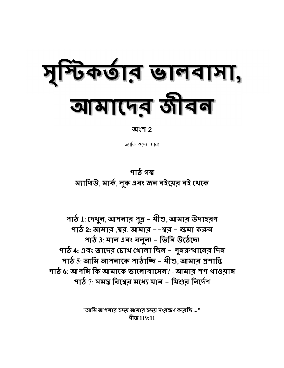# मैक्छान छानवामा, बामालंड जीवन

#### অংশ 2

জ্যাকি ওশেচ দ্বারা

### পাঠ গল্প ম্যাথিউ, মাৰ্ক, লুক এবং জন বইয়েব বই থেকে

পাঠ 1: দেখুন, আপনার পুত্র - মীশু, আমার উদাহরণ পাঠ 2: আমার ,শ্বর, আমার ––শ্বর – ক্ষমা করুন পাঠ 3: মান এবং বলুন! - তিনি উঠেছে! পাঠ 4: এবং তাদের চোথ থোলা চিল - পুনরুত্থানের দিন পাঠ 5: আমি আপনাকে পাঠাচ্চি – যীশু, আমার প্রশান্তি পাঠ 6: আপনি কি আমাকে ভালোবাসেন? - আমাব শপ থাওমান পাঠ  $7:$  সময় বিশ্বের মধ্যে যান - যিশুর নির্দেশ

> "আমি আপনার হৃদয় আমার হৃদয় সংরক্ষণ করেচ্চি ..." গীত 119:11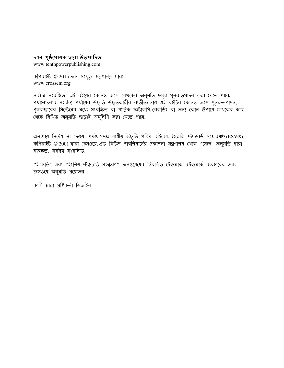#### দশম পৃষ্ঠপোষক দ্বারা উত্পাদিত

www.tenthpowerpublishing.com

কপিরাইট © 2015 ক্রস সংযুক্ত মন্ত্রণালয় দ্বারা. www.crosscm.org

সর্বম্বত্ব সংরক্ষিত. এই বইয়ের কোনও অংশ লেথকের অনুমতি ছাড়া পুনরুত্পাদন করা যেতে পারে, পর্যালোচনার সংক্ষিপ্ত পর্যায়ের উদ্ধৃতি উদ্ধৃতকারীর ব্যতীত; নাও এই বইটির কোনও অংশ পুনরুত্পাদন, পুনরুদ্ধারের সিস্টেমের মধ্যে সংরক্ষিত বা যান্ত্রিক ফটোকপি, রেকর্ডিং বা অন্য কোন উপায়ে লেখকের কাছ থেকে লিখিত অনুমতি ঘড়াই অনুলিপি করা যেতে পারে.

অন্যথায় নির্দেশ না দেওয়া পর্যন্ত, সমস্ত শাস্ত্রীয় উদ্ধৃতি পবিত্র বাইবেল, ইংরেজি স্ট্যান্ডার্ড সংস্করণ® (ESV®), কপিরাইট © 2001 দ্বারা ক্রসওয়ে, গুড নিউজ পাবলিশার্সের প্রকাশনা মন্ত্রণালয় থেকে এসেছে. অনুমতি দ্বারা ব্যবহৃত. সৰ্বম্বত্ব সংরক্ষিত.

''ইএসভি" এবং "ইংলিশ স্ট্যান্ডার্ড সংস্করণ" ক্রসওয়েয়ের নিবন্ধিত ট্রেডমার্ক. ট্রেডমার্ক ব্যবহারের জন্য ক্রসওয়ে অনুমতি প্রয়োজন.

কালি দ্বারা সৃষ্টিকর্তা ডিজাইন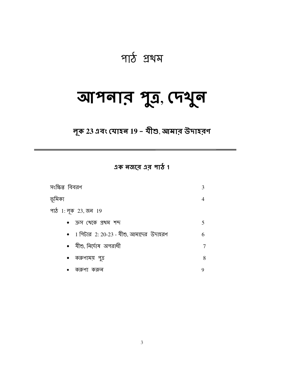## পাঠ প্ৰথম

## আপনার পুত্র, দেখুন

লূক 23 এবং যোহন 19 - যীশু, আমার উদাহরণ

এক নজরে এর পাঠ 1

| সংক্ষিপ্ত বিবরণ                                  | 3 |
|--------------------------------------------------|---|
| ভূমিকা                                           |   |
| পাঠ 1: লুক 23, জন 19                             |   |
| ক্ৰস খেকে প্ৰথম শব্দ                             | 5 |
| $\bullet$ 1 শিটার 2: 20-23 - যীশু, আমাদের উদাহরণ | 6 |
| $\bullet$ যীশু, নির্দোষ অপরাধী                   | 7 |
| করুণাময় পুত্র<br>$\bullet$                      | 8 |
| করুণ। করুন                                       | 9 |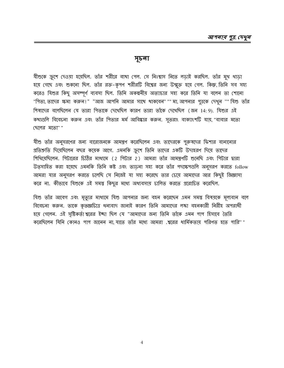#### সূচনা

যীশুকে ক্রুশে দেওয়া হয়েছিল. তাঁর শরীরে ব্যখা পেল. সে নিঃশ্বাস নিতে লডাই করছিল. তাঁর মুখ থাডা হয়ে গেছে এবং শুকনো ছিল. তাঁর রক্ত-কৃপণ শরীরটি বিশ্বের জন্য উন্মুক্ত হয়ে গেল. কিন্তু, তিনি সব সহ্য করেও যিশুর কিছু অসম্পূর্ণ ব্যবসা ছিল. তিনি অকল্পনীয় অত্যাচার সহ্য করে তিনি যা বলেন তা শোনো "গিতা, তাদের ক্ষমা করুন!" "আজ আপনি আমার সাথে থাকবেন"""মা, আপনার পুত্রকে দেখুন "" যিশু তাঁর শিষ্যদের বলেছিলেন যে তারা গিতাকে দেখেছিল কারণ তারা তাঁকে দেখেছিল (জন 14:9). যিশুর এই কথাগুলি বিবেচনা করুন এবং তাঁর পিতার মর্ম আবিষ্কার করুন. সুতরাং বাক্যাংশটি যায়, "বাবার মতো (ছলের মতো""

যীশু তাঁর অনুসরণের জন্য বারোজনকে আমন্ত্রণ করেছিলেন এবং তাদেরকে পুরুষদের ফিশার বানানোর প্রতিশ্রুতি দিয়েছিলেন বছর কয়েক আগে. এমনকি ক্রুশে তিনি তাদের একটি উদাহরণ দিয়ে তাদের শিথিয়েছিলেন. পিটারের চিঠির মাধ্যমে (2 পিটার 2) আমরা তাঁর আমন্ত্রণটি শুনেছি এবং পিটার দ্বারা উত্সাহিত করা হয়েছে এমনকি তিনি কষ্ট এবং তাডনা সহ্য করে তাঁর পদক্ষেপগুলি অনুসরণ করতে follow আমরা যার অনুসরণ করতে চলেছি সে নিজেই যা সহ্য করেছে তার চেয়ে আমাদের আর কিছুই জিজ্ঞাসা করে না. কীভাবে যিশুকে এই সমস্ত কিছুর মধ্যে অধ্যবসায় চালিত করতে প্ররোচিত করেছিল.

যিশু তাঁর আবেগ এবং মৃত্যুর মাধ্যমে যিশু আপনার জন্য বহন করেছেন এমন সমস্তু বিষয়কে মূল্যবান বলে বিবেচনা করুন. তাকে কৃতজ্ঞচিত্তে ধন্যবাদ জানাই কারণ তিনি আমাদের লঙ্কা বহনকারী নিরীহ অপরাধী হয়ে গেলেন. এই সৃষ্টিকর্তা শ্বরের ইচ্ছা ছিল যে "আমাদের জন্য তিনি তাঁকে এমন পাপ হিসাবে তৈরি করেছিলেন যিনি কোনও পাপ জানেন না, যাতে তাঁর মধ্যে আমরা .শ্বরের ধার্মিকতায় পরিণত হতে পারি'' "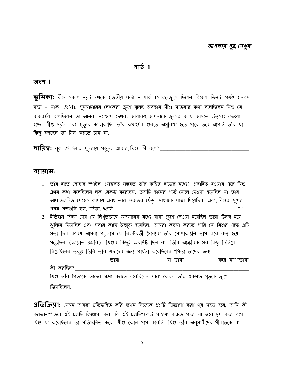#### <u>भार्ठ</u> $1$

#### অংশ  $1\,$

 $\overline{\mathbf{\varphi}}$ মিকা: যীশু সকাল নয়টা থেকে (তৃতীয় ঘন্টা - মার্ক 15:25) ক্রুশে ছিলেন বিকেল তিনটা পর্যন্ত (নবম ঘন্টা - মার্ক 15:34). সুসমাচারের লেখকরা ক্রুশে ঝুলন্তু অবস্থায় যীশু সাতবার কথা বলেছিলেন যিশু যে বাক্যগুলি বলেছিলেন তা আমরা সংক্ষেপে দেখব. আবারও, আপনাকে ক্রুশের কাছে আসতে উত্সাহ দেওয়া হচ্ছে. যীশু দুর্বল এবং মৃত্যুর কাছাকাছি. তাঁর কথাগুলি শুনতে অসুবিধা হতে পারে তবে আপনি তাঁর যা কিছু বলছেন তা মিস করতে চান না.

#### ব্যায়াম:

- 1. তাঁর হাতে লোহার স্পাইক (সম্ভবত সম্ভবত তাঁর কব্কির হাডের মধ্যে) প্রবাহিত হওয়ার পরে যিশু প্রথম কথা বলেছিলেন লক রেকর্ড করেছেন. ক্রসটি স্থানের গর্তে ফেলে দেওয়া হয়েছিল যা তার আঘাতজনিত দেহকে কাঁপায় এবং তার গুরুতর ছেঁডা মাংসকে ধাক্কা দিয়েছিল. এবং যিশুর মুখের <u>প্র</u>খম শব্দগুলি হ'ল, "পিতা, এগুলি **\_\_\_\_\_\_\_\_\_\_\_\_\_\_\_\_**\_\_\_
- 2. ইতিহাস শিক্ষা দেয় যে নিখুঁতভাবে অপমানের মধ্যে যারা ক্রুশে দেওয়া হয়েছিল তারা উলঙ্গ হয়ে ঝুলিয়ে দিয়েছিল এবং সবার কাছে উন্মুক্ত হয়েছিল. আমরা কল্পনা করতে পারি যে যিশুর পক্ষে এটি সত্য ছিল কারণ আমরা পডলাম যে নিকটবর্তী সৈন্যেরা তাঁর পোশাকগুলি ভাগ করে ব্যস্ত হয়ে পড়েছিল (আয়াত 34 বি). যিশুর কিছুই অবশিষ্ট ছিল না. তিনি আক্ষরিক সব কিছু ছিনিয়ে নিমেছিলেন তবুও তিনি তাঁর শত্রুদের জন্য প্রার্থনা করেছিলেন, "পিতা, তাদের জন্য কী করছিল?

যিশু তাঁর পিতাকে তাদের ক্ষমা করতে বলেছিলেন যারা কেবল তাঁর একমাত্র পুত্রকে ক্রুশে দিযেছিলেন.

প্রতিকিয়া: যেমন আমরা প্রতিফলিত করি তখন নিজেকে প্রশ্নটি জিজ্ঞাসা করা খুব সহজ হবে, "আমি কী করতাম?" তবে এই প্রশ্নটি জিজ্ঞাসা করা কি এই প্রশ্নটি? কেউ সাহায্য করতে পারে না তবে চুপ করে বসে যিশু যা করেছিলেন তা প্রতিফলিত করে. যীশু কোন পাপ করেনি. যিশু তাঁর অনুসারীদের, গীলাতকে বা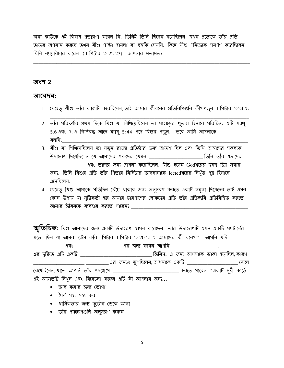অন্য কাউকে এই বিষয়ে প্রতারণা করেন নি. তিনিই তিনি ছিলেন বলেছিলেন যথন প্রত্যেকে তাঁর প্রতি তাদের অপমান করছে তথন যীশু পাল্টা হামলা বা হুমকি দেয়নি. কিন্তু যীশু "নিজেকে সমর্পণ করেছিলেন যিনি ন্যায়বিচার করেন (1 পিটার 2: 22-23)" আপনার মতামত:

#### অংশ 2

#### আবেদন:

- 1. যেহেতু যীশু তাঁর কাজটি করেছিলেন, তাই আমার জীবনের প্রতিলিপিগুলি কী? পড়ুন 1 পিটার 2:24 এ.
- 2. তাঁর পরিচর্যার প্রথম দিকে যিশু যা শিথিয়েছিলেন তা পাহাড়ের থুতবা হিসাবে পরিচিত. এটি ম্যাখু 5,6 এবং 7. এ লিপিবদ্ধ আছে ম্যাখু 5:44 পদে যিশুর পড়ুন. "তবে আমি আপনাকে বলচ্চি:  $\blacksquare$
- 3. যীশু যা শিথিয়েছিলেন তা নতুন রাজত্ব প্রতিষ্ঠার জন্য আদেশ ছিল এবং তিনি আমাদের সকলকে উদাহরণ দিয়েছিলেন যে আমাদের শত্রুদের যেমন **\_\_\_\_\_\_\_\_\_\_\_\_\_\_\_\_\_\_\_\_\_\_\_\_\_ তিনি** তাঁর শত্রুদের এবং তাদের জন্য প্রার্থনা করেছিলেন. যীশু হলেন Godশ্বরের হুবহু চিত্র সবার জন্য. তিনি যিশুর প্রতি তাঁর পিতার নির্বিচার ভালবাসাকে lectedশ্বরের নিখুঁত পুত্র হিসাবে এসেছিলেন.
- 4. যেহেতু যিশু আমাকে প্রতিদিন বেঁচে থাকার জন্য অনুসরণ করতে একটি নমুনা দিয়েছেন, তাই এমন কোন উপায় যা সৃষ্টিকর্তা শ্বর আমার চারপাশের লোকদের প্রতি তাঁর প্রতিচ্চবি প্রতিবিশ্বিত করতে আমার জীবনকে ব্যবহার করতে পারেন?

স্মৃতিচিহ্ন: যিশু আমাদের জন্য একটি উদাহরণ স্থাপন করেছেন. তাঁর উদাহরণটি এমন একটি প্যাটার্নের মতো ছিল যা আমরা ট্রেস করি. পিটার 1 পিটার 2: 20-21 এ আমাদের কী বলে? "... আপনি যদি

\_\_\_\_\_\_\_\_ এবং \_\_\_\_\_\_\_\_\_\_\_\_\_\_\_\_\_\_\_\_\_\_ এর জন্য করেন আপনি \_\_\_\_\_\_\_\_\_\_\_\_\_\_\_\_\_\_\_\_\_\_\_\_, \_\_\_ \_ \_\_\_\_\_\_\_\_\_\_ এর জন্যও ভুগছিলেন, আপনাকে একটি \_\_\_\_\_\_\_\_\_\_\_\_\_\_\_\_\_\_\_\_\_\_\_\_ ফেলে

রেখেছিলেন, যাতে আপনি তাঁর পদক্ষেপে \_\_\_\_\_\_\_\_\_\_\_\_\_\_\_\_\_\_\_\_\_\_\_\_\_\_\_\_\_\_\_\_\_ করতে পারেন " একটি সূচী কার্ডে এই আয়াতটি লিথুন এবং বিবেচনা করুন এটি কী আপনার জন্য...

- $\bullet$  ভাল করার জন্য ভোগা
- ধৈৰ্য সহ্য সহ্য করা
- ধার্মিকতার জন্য দুর্ভোগ ডেকে আনা
- তাঁর পদক্ষেপগুলি অনুসরণ করুন

6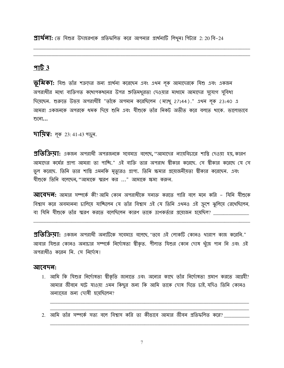$\overline{21}$ থ $\overline{q1}$ : তে যিশুর উদাহরণকে প্রতিফলিত করে আপনার প্রার্থনাটি লিথুন। পিটার 2: 20 বি-24

#### $9163$

**ভূমিকা:** যিশু তাঁর শত্রুদের জন্য প্রার্থনা করেছেন এবং এথন লূক আমাদেরকে যিশু এবং একজন অপরাধীর মধ্যে ব্যক্তিগত কথোপকথনের উপর শ্রুতিমধুরতা দেওয়ার মাধ্যমে আমাদের সুযোগ সুবিধা দিয়েছেন. শুরুতে উভয় অপরাধীই "তাঁকে অপমান করেছিলেন (ম্যাখু 27:44)." এথন লক 23:40 এ আমরা একজনকে অপরকে ধমক দিয়ে শুনি এবং যীশুকে তাঁর নিকট অতীত করে বলতে থাকে. ভালোভাবে শুলো...

**দায়িত্ব:** লূক 23: 41-43 পড়ুন.

**প্রতিক্রিমা:** একজন অপরাধী অপরজনকে সবেমাত্র বলেছে ''আমাদের ন্যায়বিচারে শাস্তি দেওয়া হয় কারণ আমাদের কর্মের প্রাপ্য আমরা তা পাচ্ছি." এই ব্যক্তি তার অপরাধ শ্বীকার করেছে. সে স্বীকার করেছে যে সে ভুল করেছে. তিনি তার শাস্তি এমনকি মৃত্যুরও প্রাপ্য. তিনি ক্ষমার প্রয়োজনীয়তা স্বীকার করেছেন. এবং যীশুকে তিনি বলেছেন, "আমাকে স্মরণ কর ..." আমাকে ক্ষমা করুন.

**আবেদন:** আমার সম্পর্কে কী?আমি কোন অপরাধীকে সনাক্ত করতে পারি বলে মনে করি – যিনি যীশুকে বিশ্বাস করে অবমাননা চালিয়ে যাচ্ছিলেন যে তাঁর বিশ্বাস এই যে তিনি এথনও এই ক্রুশে ঝুলিয়ে রেথেছিলেন, বা যিনি যীশুকে তাঁর স্মরণ করতে বলেছিলেন কারণ তাকে ত্রাণকর্তার প্রয়োজন হয়েছিল? \_\_\_\_

প্র**তিক্রিমা:** একজন অপরাধী অন্যটিকে সবেমাত্র বলেছে, "তবে এই লোকটি কোনও থারাপ কাজ করেনি." আবার যিশুর কোনও অনাচার সম্পর্কে নির্দোষতা স্বীকৃত. পীলাত যিশুর কোন দোষ খুঁজে পান নি এবং এই অপরাধীও করেন নি. সে নির্দোষ!

#### আবেদন:

- 1. আমি কি যিশুর নির্দোষতা শ্বীকৃতি জানাতে এবং অন্যের কাছে তাঁর নির্দোষতা প্রমাণ করতে আগ্রহী? আমার জীবনে ঘটে যাওয়া এমন কিছুর জন্য কি আমি তাকে দোষ দিতে চাই, যদিও তিনি কোনও অন্যায়ের জন্য দোষী হয়েছিলেন?
- 2. আমি তাঁর সম্পর্কে সত্য বলে বিশ্বাস করি তা কীভাবে আমার জীবন প্রতিফলিত করে?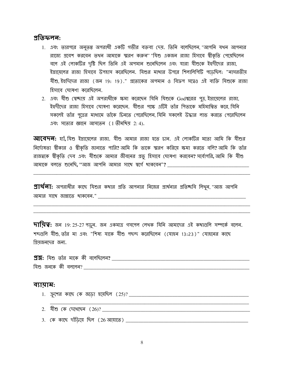#### <u>প্ৰতিফলন:</u>

- 1. এবং তারপরে অনুতপ্ত অপরাধী একটি গভীর বক্তব্য দেয়. তিনি বলেছিলেন, "আপনি যথন আপনার রাজ্যে প্রবেশ করবেন তথন আমাকে স্মরণ করুন" "যিশু একজন রাজা হিসাবে স্বীকৃতি পেয়েছিলেন বলে এই লোকটির দৃষ্টি ছিল তিনি এই অপমান শুনেছিলেন এবং যারা যীশুকে ইহুদীদের রাজা, ইস্রায়েলের রাজা হিসাবে উপহাস করেছিলেন. যিশুর মাখার উপরে শিলালিপিটি পডেছিল: "নাসরতীয় যীশু, ইহুদিদের রাজা (জন 19: 19)." প্রত্যেকের অপমান ও বিদ্রুপ সত্বেও এই ব্যক্তি যিশুকে রাজা হিসাবে ঘোষণা করেছিলেন.
- 2. এবং যীশু স্বেচ্ছায় এই অপরাধীকে ক্ষমা করেছেন যিনি যিশুকে Godশ্বরের পুত্র, ইস্রায়েলের রাজা, ইহুদীদের রাজা হিসাবে ঘোষণা করেছেন. যীশুর পক্ষে এটিই তাঁর পিতাকে মহিমান্বিত করে যিনি সকলেই তাঁর পুত্রের মাধ্যমে তাঁকে চিনতে পেরেছিলেন যিনি সকলেই উদ্ধার লাভ করতে পেরেছিলেন এবং সত্যের জ্ঞানে আসতেন (1 তীমথিয় 2:4).

**আবেদন:** য়াঁ, যিশু ইস্রায়েলের রাজা. যীশু আমার রাজা হতে চান. এই লোকটির মতো আমি কি যীশুর নির্দোষতা স্বীকার ও স্বীকৃতি জানাতে পারি? আমি কি তাকে স্মরণ করিয়ে ক্ষমা করতে বলি? আমি কি তাঁর রাজন্বকে স্বীকৃতি দেব এবং যীশুকে আমার জীবনের প্রভু হিসাবে ঘোষণা করবেন? সর্বোপরি, আমি কি যীশু আমাকে বলতে শুনেছি, ''আজ আপনি আমার সাথে স্বর্গে থাকবেন''?

 $\mathfrak A$ য $\mathfrak A$ ন: অপরাধীর কাছে যিশুর কথার প্রতি আপনার নিজের প্রার্থনার প্রতিচ্ছবি লিথুন, "আজ আপনি আমার সাথে জান্নাতে থাকবেন." \_\_\_\_\_\_\_\_\_\_\_\_\_\_\_\_\_ 

 $\overline{111}$ য় রু আর 19: 25-27 পড়ুন. জন একমাত্র গসপেল লেখক যিনি আমাদের এই কথাগুলি সম্পর্কে বলেন. শব্দগুলি যীশু তাঁর মা এবং "শিষ্য যাকে যীশু পছন্দ করেছিলেন (যোহন 13:23)" যোহনের কাছে গ্রিয়জনদের জন্য.

| <b>প্রশ্ন:</b> যিশু তাঁর মাকে কী বলেছিলেন <b>?</b> |  |
|----------------------------------------------------|--|
| $\sim$<br>যিশু জনকে কী বললেন?                      |  |

#### ব্যায়াম:

- 
- 2. মীশু কে দেখেছেন  $(26)?$  \_\_\_\_
-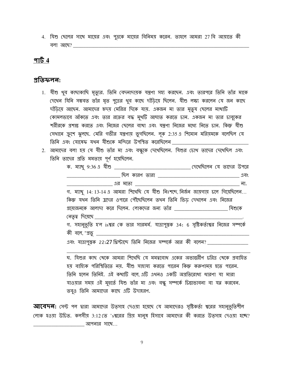4. যিশু ছেলের সাথে মায়ের এবং পুত্রকে মায়ের বিনিময় করেন. তাহলে আমরা 27 বি আয়াতে কী <u>বলা আছে? \_\_\_\_\_\_\_\_\_\_\_</u>

#### <u>পার্ট 4</u>

#### প্ৰতিফলন:

- 1. যীশু খুব কাছাকাছি মৃত্যুর. তিনি বেদনাদায়ক যন্ত্রণা সহ্য করছেন. এবং তারপরে তিনি তাঁর মাকে দেখেন যিনি সম্ভবত তাঁর মৃত পুত্রের থুব কাছে দাঁড়িয়ে ছিলেন. যীশু লক্ষ্য করলেন যে জন কাছে দাঁড়িয়ে আছেন. আমাদের হৃদয় মেরির দিকে যায়. একজন মা তার মৃতুয ছেলের মাথাটি কোমলভাবে আঁকতে এবং তার রক্তের বদ্ধ মুখটি আঘাত করতে চান. একজন মা তার চাবুকের শরীরকে প্রশান্ত করতে এবং নিজের ছেলের ব্যথা এবং যন্ত্রণা নিজের মধ্যে নিতে চান. কিন্তু যীশু সেথানে ক্রুশে ঝুলছে. মেরি গভীর যন্ত্রণায় ভুগছিলেন. লূক 2:35 এ শিমোন মরিয়মকে বলেছিল যে তিনি এবং যোষেফ যথন যীশুকে মন্দিরে উপস্থিত করেছিলেন \_\_\_\_
- 2. আমাদের বলা হয় যে যীশু তাঁর মা এবং বন্ধুকে দেথেছিলেন. যিশুর চোখ তাদের দেখেছিল এবং তিনি তাদের প্রতি মমতায় পূর্ণ হয়েছিলেন.

|                                                                                           | ा ना. |
|-------------------------------------------------------------------------------------------|-------|
| গ. ম্যাখু 14: 13-14 এ আমরা শিথেছি যে যীশু নিঃশব্দে, নির্জন জায়গায় ঢলে গিয়েছিলেন        |       |
| কিন্তু যথন তিনি হ্রদের ওপারে পৌঁছেছিলেন তথন তিনি ভিড় দেথলেন এবং নিজের                    |       |
| 31মোজনকে আলাদা করে দিলেন. লোকদের জন্য তাঁর __________________________ যিশুকে              |       |
|                                                                                           |       |
| গ. সহানুভূতি হ'ল isশ্বর কে তার সারমর্ম. যাত্রাপুস্তক 34: 6 সৃষ্টিকর্তাশ্বর নিজের সম্পর্কে |       |
|                                                                                           |       |
| এবং যাত্রাপুস্তক 22:27 খ্রিস্টাব্দে তিনি নিজের সম্পর্কে আর কী বলেন? ________              |       |

ঘ. যিশুর কাছ থেকে আমরা শিথেছি যে মমন্ববোধ একের অভ্যন্তরীণ চরিত্র থেকে প্রবাহিত হয় বাহ্যিক পরিস্থিতিতে নয়. যীশু সাহায্য করতে পারেন কিন্তু করুণাময় হতে পারেন. তিনি হলেন তিনিই. এই কথাটি বলে এটি এথনও একটি অপ্রতিরোধ্য ধারণা যা মারা যাওয়ার সময় এই মুহুর্তে যিশু তাঁর মা এবং বন্ধু সম্পর্কে চিন্তাভাবনা বা যত্ন করবেন. তবুও তিনি আমাদের কাছে এটি উদাহরণ.

**আবেদন:** সেন্ট পল দ্বারা আমাদের উত্সাহ দেওয়া হয়েছে যে আমাদেরও সৃষ্টিকর্তা শ্বরের সহানুভূতিশীল লোক হওয়া উচিত. কলসীয় 3:12 তে 'sশ্বরের গ্রিয় মানুষ হিসাবে আমাদের কী করতে উত্সাহ দেওয়া হচ্ছে? আপনার সাথে...

 $\overline{9}$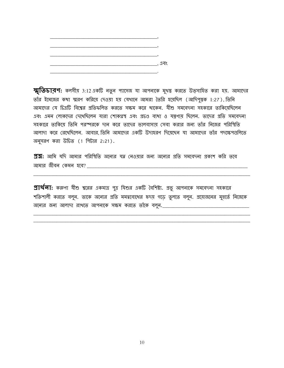

**স্মৃতিচাব়ণ:** কলসীয় 3:12 একটি নতুন প্যাসেজ যা আপনাকে মুখস্ত করতে উত্সাহিত করা হয়. আমাদের তাঁর ইমেজের কথা স্মরণ করিয়ে দেওয়া হয় যেথানে আমরা তৈরি হয়েছিল (আদিপুস্তক 1:27), তিনি আমাদের যে চিত্রটি বিশ্বের প্রতিফলিত করতে সক্ষম করে থাকেন. যীশু সমবেদনা সহকারে তাকিয়েছিলেন এবং এমন লোকদের দেখেছিলেন যারা শোকগ্রস্থ এবং প্রচণ্ড ব্যথা ও যন্ত্রণায় ছিলেন. তাদের প্রতি সমবেদনা সহকারে তাকিয়ে তিনি পরস্পরকে দান করে তাদের ভালবাসায় সেবা করার জন্য তাঁর নিজের পরিস্থিতি আলাদা করে রেখেছিলেন. আবার, তিনি আমাদের একটি উদাহরণ দিয়েছেন যা আমাদের তাঁর পদক্ষেপগুলিতে অনুসরণ করা উচিত (1 পিটার 2:21).

**প্রশ্ন:** আমি যদি আমার পরিস্থিতি অন্যের যত্ন নেওয়ার জন্য অন্যের প্রতি সমবেদনা প্রকাশ করি তবে 

**প্রার্থলা:** করুণা যীশু শ্বরের একমাত্র পুত্র যিশুর একটি বৈশিষ্ট্য. প্রভু আপনাকে সমবেদনা সহকারে শক্তিশালী করতে বলুন. তাকে অন্যের প্রতি মমন্ববোধের হৃদয় গড়ে তুলতে বলুন. প্রয়োজনের মুহুর্তে নিজেকে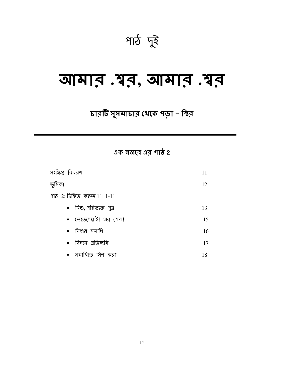পাঠ দুই

## ञामात .यून, जामान .यून

## চারটি সুসমাচার থেকে পড়া - স্থির

 $3\sigma$  নজরে এর পাঠ 2

| সংক্ষিপ্ত বিবরণ               | 11 |
|-------------------------------|----|
| ভূমিকা                        | 12 |
| পাঠ 2: চিহ্নিত করুন $11:1-11$ |    |
| •   যিশু, পরিত্যক্ত  পুত্র    | 13 |
| • তেতেলেস্তাই! এটা শেষ!       | 15 |
| $\bullet$ যিশুর সমাধি         | 16 |
| •   দিবসে  প্রতিষ্ঠ্ববি       | 17 |
| • সমাধিতে সিল করা             | 18 |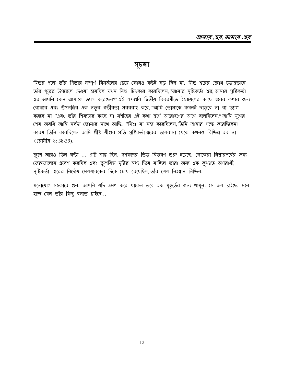#### সূচনা

যিশুর পক্ষে তাঁর পিতার সম্পূর্ণ বিসর্জনের চেয়ে কোনও কষ্টই বড় ছিল না. যীশু শ্বরের ক্রোধ চূড়ান্তভাবে তাঁর পুত্রের উপরেলে দেওয়া হয়েছিল যথন যিশু চিৎকার করেছিলেন, "আমার সৃষ্টিকর্তা শ্বর, আমার সৃষ্টিকর্তা শ্বর, আপনি কেন আমাকে ত্যাগ করেছেন?" এই শব্দগুলি দ্বিতীয় বিবরণীতে ইস্রায়েলের কাছে শ্বরের কথার জন্য বোঝার এবং উপলব্ধির এক নতুন গভীরতা সরবরাহ করে, "আমি তোমাকে কখনই ছাড়বে না বা ত্যাগ করবে না "এবং তাঁর শিষ্যদের কাছে সা মশীহের এই কথা স্বর্গে আরোহণের আগে বলেছিলেন,"আমি যুগের শেষ অবধি আমি সর্বদা তোমার সাথে আছি. "যিশু যা সহ্য করেছিলেন, তিনি আমার পক্ষে করেছিলেন! কারণ তিনি করেছিলেন আমি খ্রীষ্ট যীশুর প্রতি সৃষ্টিকর্তা শ্বরের ভালবাসা খেকে কথনও বিচ্ছিন্ন হব না (রোমীয় 8: 38-39).

ক্রুশে আরও তিন ঘন্টা ... এটি শান্ত ছিল. দর্শকদের ভিড় বিতরণ শুরু হয়েছে. লোকেরা নিস্তারপর্বের জন্য জেরুজালেমে প্রবেশ করছিল এবং ক্রুশবিদ্ধ দৃষ্টির মধ্য দিয়ে যাচ্ছিল তারা অন্য এক কুথ্যাত অপরাধী, সৃষ্টিকর্তা শ্বরের নির্দোষ মেষশাবকের দিকে চোথ রেথেছিল তাঁর শেষ নিঃশ্বাস নিষ্ঠিল.

মনোযোগ সহকারে শুন. আপনি যদি ভ্রমণ করে থাকেন তবে এক মুহুর্তের জন্য থামুন. সে জল চাইছে. মনে হচ্ছে যেন তাঁর কিছু বলতে চাইছে...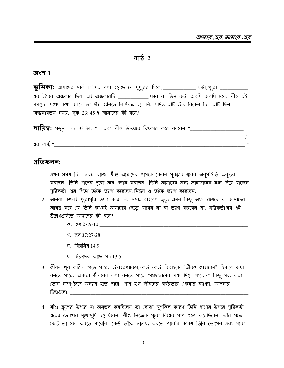#### <u>भार्क</u> 2

#### অংশ $1$

এর উপরে অন্ধকার ছিল. এই অন্ধকারটি বাসি ঘন্টা বা তিন ঘন্টা অবধি অবধি চলে. যীশু এই সময়ের মধ্যে কথা বললে তা ইঞ্জিলগুলিতে লিপিবদ্ধ হয় নি. যদিও এটি উচ্চ বিকেল ছিল এটি ছিল <u> অন্ধকারতম সময়. লক 23:45 এ আমাদের কী বলে? \_\_\_\_\_\_\_\_\_\_\_\_\_</u>

 $\overline{5}$   $\overline{1}$   $\overline{1}$   $\overline{2}$   $\overline{3}$   $\overline{4}$   $\overline{5}$   $\overline{2}$   $\overline{3}$   $\overline{4}$   $\overline{4}$   $\overline{2}$   $\overline{3}$   $\overline{5}$   $\overline{5}$   $\overline{2}$   $\overline{5}$   $\overline{5}$   $\overline{5}$   $\overline{6}$   $\overline{7}$   $\overline{6}$   $\overline{7}$   $\overline{6}$   $\overline$ 

 $\overline{13}$  অর্থ $\overline{16}$   $\overline{16}$   $\overline{16}$ 

#### <u>পতিফলন:</u>

- 1. এথন সময় ছিল নবম বাজে. যীশু আমাদের পাপকে কেবল পুরষ্কার শ্বরের অনুপস্থিতি অনুভব করছেন. তিনি পাপের পুরো অর্থ প্রদান করছেন. তিনি আমাদের জন্য জাহান্নামের মধ্য দিয়ে যাচ্ছেন. সৃষ্টিকর্তা শ্বর পিতা তাঁকে ত্যাগ করেছেন, নির্জন ও তাঁকে ত্যাগ করেছেন.
- 2. আমরা কথনই পুরোপুরি ত্যাগ করি নি. সমস্ত বাইবেল জুডে এমন কিছু অংশ রয়েছে যা আমাদের আশ্বস্তু করে যে তিনি কথনই আমাদের ছেডে যাবেন না বা ত্যাগ করবেন না. সৃষ্টিকর্তা শ্বর এই উল্লেখগুলিতে আমাদের কী বলে?
	-
	- গ. স্তব 37:27-28  $\overline{\phantom{a}}$
	-
	- ঘ. হিরুদের কাছে পত্র 13:5
- 3. জীবন খুব কঠিন পেতে পারে. উদাহরণস্বরূপ,কেউ কেউ বিবাহকে "জীবন্ত জাহান্নাম" হিসাবে কথা বলতে পারে. অন্যরা জীবনের কথা বলতে পারে "জাহান্নামের মধ্য দিয়ে যাচ্ছেন" কিছু সহ্য করা ভোগ সম্পূর্ণরূপে অন্যায় হতে পারে. পাপ হ'ল জীবনের বর্বরতার একমাত্র ব্যাথ্যা. আপনার
- 4. যীশু ক্রুশের উপরে যা অনুভব করছিলেন তা বোঝা মুশকিল কারণ তিনি পাপের উপরে সৃষ্টিকর্তা শ্বরের ক্রোধের মুথোমুখি হয়েছিলেন. যীশু নিজেকে পুরো বিশ্বের পাপ গ্রহণ করেছিলেন. তাঁর পক্ষে কেউ তা সহ্য করতে পারেনি. কেউ তাঁকে সাহায্য করতে পারেনি কারণ তিনি ভোগেন এবং মারা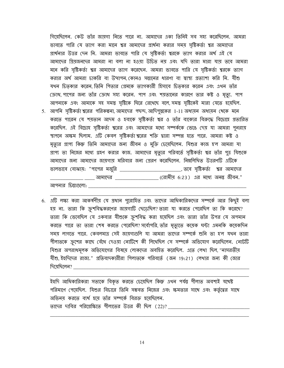গিয়েছিলেন. কেউ তাঁর জায়গা নিতে পারে না. আমাদের একা তিনিই সব সহ্য করেছিলেন. আমরা ভাবতে পারি যে ত্যাগ করা মানে শ্বর আমাদের প্রার্থনা করার সময় সৃষ্টিকর্তা শ্বর আমাদের প্রার্থনার উত্তর দেন নি. আমরা ভাবতে পারি যে সৃষ্টিকর্তা শ্বরকে ত্যাগ করার অর্থ এই যে আমাদের গ্রিয়জনদের আমরা না বলা না হওয়া উচিত নয় এবং যদি তারা মারা যায় তবে আমরা মনে করি সৃষ্টিকর্তা শ্বর আমাদের ত্যাগ করেছেন. আমরা ভাবতে পারি যে সৃষ্টিকর্তা শ্বরকে ত্যাগ করার অর্থ আমরা চাকরি বা উত্থাপন, কোনও সন্তানের ধারণা বা স্বাস্থ্য প্রত্যাশা করি নি. যীশু যখন চিতৃকার করেন, তিনি পিতার প্রেমকে ত্যাগকারী হিসাবে চিতৃকার করেন এবং এখন তাঁর ক্রোধ, পাপের জন্য তাঁর ক্রোধ সহ্য করেন. পাপ এবং শয়তানের কারণে তার কষ্ট ও মৃত্যু. পাপ আপনাকে এবং আমাকে সহ সমস্তু সৃষ্টিকে ঘিরে রেখেছে বলে, সমস্তু সৃষ্টিকেই মারা যেতে হয়েছিল. করতে পারেন যে শয়তান আদম ও হবাকে সৃষ্টিকর্তা শ্বর ও তাঁর বাক্যের বিরুদ্ধে বিদ্রাহে প্রতারিত করেছিল. এই বিদ্রোহ সৃষ্টিকর্তা শ্বরের এবং আমাদের মধ্যে সম্পর্ককে ভেঙে দেয় যা আমরা পুনরায়

5. আপনি সৃষ্টিকর্তা শ্বরের পরিকল্পনা, আমাদের পছন্দ, আদিপুস্তকের 1-11 অধ্যয়ন অধ্যয়ন থেকে মনে স্থাপনে অক্ষম ছিলাম. এটি কেবল সৃষ্টিকর্তা শ্বরের শক্তি দ্বারা সম্পন্ন হতে পারে. আমরা কষ্ট ও মৃত্যুর প্রাপ্য কিন্তু তিনি আমাদের জন্য জীবন ও মুক্তি চেয়েছিলেন. যিশুর কাজ হ'ল আমরা যা প্রাপ্য তা নিজের মধ্যে গ্রহণ করার কাজ. আমাদের মৃত্যুর পরিবর্তে সৃষ্টিকর্তা শ্বর তাঁর পুত্র যিশুকে আমাদের জন্য আমাদের জায়গায় মরিবার জন্য প্রেরণ করেছিলেন. নিম্নলিথিত উত্তরণটি এটিকে ভালভাবে বোঝায়: "পাপের মজুরি **\_\_\_\_\_\_\_\_\_\_\_\_\_\_\_\_\_\_\_\_\_\_\_\_\_\_\_\_, তবে সৃষ্টিকর্তা শ্বর আমা**দের \_\_\_\_\_\_ \_\_\_\_\_ আমাদের \_\_\_\_\_\_\_\_\_\_\_\_\_\_\_\_\_\_\_\_ (রোমীয় 6:23 ) এর মধ্যে অনন্ত জীবন."

আপনার চিন্তাগুলো: \_\_\_\_\_\_\_\_\_

6. এটি লক্ষ্য করা আকর্ষণীয় যে প্রধান পুরোহিত এবং তাদের আধিকারিকদের সম্পর্কে আর কিছুই বলা হয় না. তারা কি ক্রুশবিদ্ধকরণের জায়গাটি ছেডেছিল? তারা যা করতে পেরেছিল তা কি করেছে? তারা কি ভেবেছিল যে একবার যীশুকে ক্রশবিদ্ধ করা হয়েছিল এবং তারা তাঁর উপর যে অপমান করতে পারে তা তারা শেষ করতে পেরেছিল? সর্বোপরি, তাঁর মৃত্যুতে কমেক ঘন্টা এমনকি কমেকদিন সময় লাগতে পারে. কেবলমাত্র সেই জায়গাগুলি যা আমরা তাদের সম্পর্কে শুনি তা হ'ল যথন তারা পীলাতকে ক্রুশের কাছে বেঁধে দেওয়া নোটিশে কী লিথেছিল সে সম্পর্কে অভিযোগ করেছিলেন. নোটটি যিশুর অপরাধমূলক অভিযোগের বিষয়ে লোকদের অবহিত করেছিল. এতে লেখা ছিল, "নাসরতীয় যীশু ইহুদিদের রাজা." প্রতিবাদকারীরা পিলাতকে পরিবর্তে (জন 19:21) লেখার জন্য কী জোর দিয়েছিলেন?

ইহুদি আধিকারিকরা সত্যকে বিকৃত করতে চেয়েছিল কিন্তু এথন পর্যন্ত গীলাত অবশ্যই যথেষ্ট পরিমাণে পেয়েছিল. যিশুর বিচারে তিনি সম্ভবত নিজের এবং ক্ষমতার সাথে এবং কর্তৃত্বের সাথে অভিনয় করতে ব্যর্থ হয়ে তাঁর সম্পর্কে বিরক্ত হয়েছিলেন. তাদের দাবির পরিপ্রেক্ষিতে পীলাতের উত্তর কী ছিল (22)?

14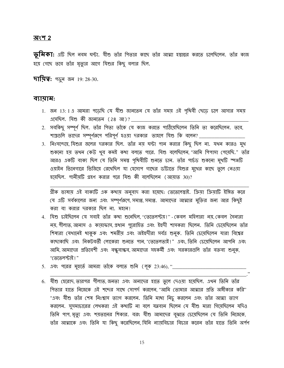#### <u> অংশ 2</u>

 $\overline{\psi}$ মিকা: এটি ছিল নবম ঘন্টা. যীশু তাঁর পিতার কাছে তাঁর আত্মা হস্তান্তর করতে চলেছিলেন. তাঁর কাজ হয়ে গেছে তবে তাঁর মৃত্যুর আগে যিশুর কিছু বলার ছিল.

**দায়িত্ব:** পড়ুন জন 19: 28-30.

#### ব্যায়াম:

- 1. জন 13:1 এ আমরা পডেছি যে যীশু জানতেন যে তাঁর সময় এই পৃথিবী ছেডে চলে আসার সময় এসেছিল. যিশু কী জানতেন (28 আ)?
- 2. সবকিছু সম্পূর্ণ ছিল. তাঁর পিতা তাঁকে যে কাজ করতে পাঠিয়েছিলেন তিনি তা করেছিলেন. তবে, শাস্ত্রগুলি তাদের সম্পূর্ণরূপে পরিপূর্ণ হওয়া দরকার তাহলে যিশু কি বলেন? \_\_\_\_\_\_\_
- 3. নিঃসন্দেহে, যিশুর জলের দরকার ছিল. তাঁর নয় ঘন্টা পান করার কিছু ছিল না. যখন কারও মুখ শুকনো হয় তথন কেউ থুব কমই কথা বলতে পারে. যিশু বলেছিলেন, "আমি পিপাসা পেয়েছি." তাঁর আরও একটি বাক্য ছিল যে তিনি সমস্ত পৃথিবীটি শুনতে চান. তাঁর পার্চড শুকনো মুখটি স্পঞ্জটি ওয়াইন ভিনেগারে ভিজিয়ে রেথেছিল যা হেসোপ গাছের ডাঁটাতে যিশুর মুথের কাছে তুলে নেওয়া হয়েছিল. পানীয়টি গ্রহণ করার পরে যিশু কী বলেছিলেন (আয়াত 30)?

গ্রীক ভাষায় এই বাক্যটি এক কথায় অনুবাদ করা হয়েছে: তেতেলেস্তাই. ক্রিয়া ক্রিয়াটি ইঙ্গিত করে যে এটি সর্বকালের জন্য এবং সম্পূর্ণরূপে, সমাপ্ত, সমাপ্ত. আমাদের আত্মার মুক্তির জন্য আর কিছুই করা বা করার দরকার ছিল না. মহান!

- 4. যিশু চাইছিলেন যে সবাই তাঁর কথা শুনেছিল, "তেতেলস্ট্রয়!" কেবল মহিলারা নয়, কেবল সৈন্যরা নয়, গীলাত, আনাস ও কায়াফাস, প্রধান পুরোহিত এবং ইহুদী শাসকরা ছিলেন. তিনি চেয়েছিলেন তাঁর শিষ্যরা যেথানেই থাকুক এবং শমরীয় এবং অইহুদীরা সর্বত্র শুনুক. তিনি চেয়েছিলেন যারা বিশ্বের কাছাকাছি এবং নিকটবৰ্তী লোকেরা শুনভে পান, "তেতেলতাই!" এবং, তিনি চেয়েছিলেন আপনি এবং আমি, আমাদের প্রতিবেশী এবং বন্ধুবান্ধব, আমাদের সহকর্মী এবং সরকারগুলি তাঁর বক্তব্য শুনুক, "তেতেলস্টাই!"
- 5. এবং পরের মুহুর্তে আমরা তাঁকে বলতে শুনি (লূক 23:46), ''\_\_\_
- 6. যীশু হেরোদ, তারপর পীলাত, জনতা এবং অন্যদের হাতে তুলে দেওয়া হয়েছিল. এখন তিনি তাঁর পিতার হাতে নিজেকে এই শব্দের সাথে সোপর্দ করলেন, "আমি তোমার আত্মার প্রতি অঙ্গীকার করি" "এবং যীশু তাঁর শেষ নিঃশ্বাস ত্যাগ করলেন. তিনি মাখা নিচু করলেন এবং তাঁর আত্মা ত্যাগ করলেন. সুসমাচারের লেথকরা এই কথাটি না বলে যত্নবান ছিলেন যে যীশু মারা গিয়েছিলেন যদিও তিনি পাপ, মৃত্যু এবং শয়তানের শিকার. বরং যীশু আমাদের বুঝতে চেয়েছিলেন যে তিনি নিজেকে, তাঁর আত্মাকে এবং তিনি যা কিছু করেছিলেন, যিনি ন্যায়বিচার বিচার করেন তাঁর হাতে তিনি অর্পণ

15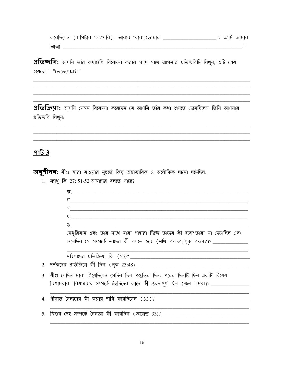|       |  | করেছিলেন ( 1 শিটার 2: 23 বি ) . আবার, "বাবা, তোমার |  | এ আমি আমার |
|-------|--|----------------------------------------------------|--|------------|
| আত্মা |  |                                                    |  |            |

প্রতিষ্কবি: আপনি তাঁর কথাগুলি বিবেচনা করার সাথে সাথে আপনার প্রতিষ্কবিটি লিথুন, "এটি শেষ হয়েছে!" "তেতেলেস্তাই!"

প্রতিকিয়া: আপনি যেমন বিবেচনা করেছেন যে আপনি তাঁর কথা শুনতে চেয়েছিলেন তিনি আপনার প্ৰতিচ্ছবি লিথুন:

#### $\frac{976}{5}$

2.

3.

 $4.$ 

5.

**অনুশীলন:** যীশু মারা যাওয়ার মুহুর্তে কিছু অম্বাভাবিক ও অলৌকিক ঘটনা ঘটেছিল.

1. ম্যাখু কি 27: 51-52 আমাদের বলতে পারে?

| क. <u>__________________</u> ______                                                     |
|-----------------------------------------------------------------------------------------|
| <u> १</u>                                                                               |
|                                                                                         |
|                                                                                         |
|                                                                                         |
| (সঙ্গুরিয়ান এবং তার সাথে যারা পাহারা দিচ্ছে তাদের কী হবে? তারা যা দেথেছিল এবং          |
| শুনেছিল সে সম্পর্কে তাদের কী বলতে হবে (মথি 27:54; লূক 23:47)? _______                   |
|                                                                                         |
|                                                                                         |
|                                                                                         |
| যীশু যেদিন মারা গিয়েছিলেন সেদিন ছিল প্রস্তুতির দিন. পরের দিনটি ছিল একটি বিশেষ          |
| বিশ্রামবার. বিশ্রামবার সম্পর্কে ইহুদিদের কাছে কী গুরুত্বপূর্ণ ছিল (জন 19:31)? _________ |
|                                                                                         |
| <u> গীলাত সৈন্যদের কী করার দাবি করেছিলেন (32)? _____________________________</u>        |
|                                                                                         |
| যিশুর দেহ সম্পর্কে সৈন্যরা কী করেছিল (আয়াত 33)? ________________________________       |
|                                                                                         |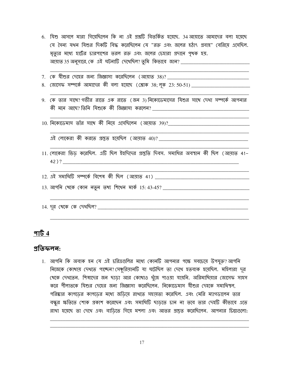- 6. যিশু আসলে মারা গিয়েছিলেন কি না এই প্রশ্নটি বিতর্কিত হয়েছে. 34 আয়াতে আমাদের বলা হয়েছে যে সৈন্য যথন যিশুর দিকটি বিদ্ধ করেছিলেন যে "রক্ত এবং জলের হঠাৎ প্রবাহ" বেরিয়ে এসেছিল. মৃত্যুর মধ্যে হার্টের চারপাশের তরল রক্ত এবং জলের চেহারা প্রদানে পৃথক হয়. আয়াত 35 অনুসারে, কে এই ঘটনাটি দেখেছিল? তুমি কিভাবে জান? \_\_\_\_\_\_\_\_\_\_\_\_\_\_\_\_\_\_\_\_\_\_\_
- 7. কে যীশুর দেহের জন্য জিজ্ঞাসা করেছিলেন (আয়াত 38)? \_\_\_\_\_\_\_\_\_\_\_\_\_
- 
- 9. কে তার সাথে?গভীর রাতে এক রাতে (জন 3)নিকোডেমাসের যিশুর সাথে দেখা সম্পর্কে আপনার কী মনে আছে?।তিনি যিশুকে কী জিজ্ঞাসা করলেন?

10. নিকোডেমাস তাঁর সাথে কী নিয়ে এসেছিলেন (আয়াত 39)?

এই লোকেরা কী করতে প্রস্তুত হয়েছিল (আয়াত 40)?

- 11. লোকেরা ভিড করেছিল. এটি ছিল ইহুদিদের প্রস্তুতি দিবস. সমাধির অবস্থান কী ছিল (আয়াত 41-42)?
- 12. এই সমাধিটি সম্পৰ্কে বিশেষ কী ছিল (আয়াত 41)
- 
- 

#### পার্ট  $4$

#### প্ৰতিফলন:

1. আপনি কি অবাক হন যে এই চরিত্রগুলির মধ্যে কোনটি আপনার পক্ষে সবচেয়ে উপযুক্ত?আপনি নিজেকে কোখায় দেখতে পাচ্ছেন? সেঞ্চুরিয়ানটি যা ঘটেছিল তা দেখে হতবাক হয়েছিল. মহিলারা দূর থেকে দেখতেন. শিষ্যদের জন ছাডা আর কোখাও খুঁজে পাওয়া যায়নি. অরিমাথিয়ার জোসেফ সাহস করে পীলাতকে যিশুর দেহের জন্য জিজ্ঞাসা করেছিলেন. নিকোডেমাস যীশুর দেহকে সমাধিস্থল, পরিষ্কার কাপডের কাপডের মধ্যে জডিয়ে রাখতে সহায়তা করেছিল. এবং মেরি ম্যাগডালেন তার বন্ধুর ক্ষতিতে শোক প্রকাশ করেছেন এবং সমাধিটি ছাডতে চান না তবে তার দেহটি কীভাবে এতে রাথা হয়েছে তা দেখে এবং বাডিতে গিয়ে মশলা এবং আতর প্রস্তুত করেছিলেন. আপনার চিন্তাগুলো: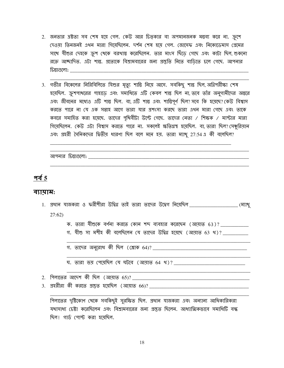- 2. জনতার ত্রষ্টতা সব শেষ হয়ে গেল. কেউ আর চিত্কার বা অপমানজনক মন্তব্য করে না. ক্রুশে দেওয়া তিনজনই এথন মারা গিয়েছিলেন. দর্শন শেষ হয়ে গেল. জোসেফ এবং নিকোডেমাস গ্রেমের সাথে যীশুর দেহকে ক্রুশ থেকে বরথাস্ত করেছিলেন. তার মাংস ছিঁডে গেছে এবং কাটা ছিল, শুকনো রক্তে আচ্চাদিত. এটা শান্ত. প্রত্যেকে বিশ্রামবারের জন্য প্রস্তুতি নিতে বাডিতে চলে গেছে. আপনার <u> মি</u>রাগুলো:
- 3. গভীর বিকেলের নিরিবিলিতে যিশুর মৃত্যু শান্তি নিয়ে আসে. সবকিছু শান্ত ছিল, অগ্নিপরীক্ষা শেষ হয়েছিল. ক্রুশপাখরের পাহাড়ে এবং সমাধিতে এটি কেবল শান্ত ছিল না, তবে তাঁর অনুগামীদের অন্তরে এবং জীবনের মধ্যেও এটি শান্ত ছিল. বা, এটি শান্ত এবং শান্তিপূর্ণ ছিল? সবে কি হয়েছে? কেউ বিশ্বাস করতে পারে না যে এক সম্ভাহ আগে তারা যার প্রশংসা করছে তারা এখন মারা গেছে এবং তাকে কবরে সমাহিত করা হয়েছে. তাদের পৃথিবীটা উল্টে গেছে. তাদের নেতা / শিক্ষক / মাস্টার মারা গিয়েছিলেন. কেউ এটা বিশ্বাস করতে পারে না. সকলেই ক্ষতিগ্রস্থ হয়েছিল. বা, তারা ছিল? সেঞ্চুরিয়ান এবং প্রহরী সৈনিকদের দ্বিতীয় ধারণা ছিল বলে মনে হয়. তারা ম্যাখু 27:54 এ কী বলেছিল?

#### পৰ্ব ৎ

#### ব্যাযাম:

| <u>।.  প্রধান  যাজকরা ও  ফরীশীরা উদ্বিগ্ন তাই  তারা  তাদের  উদ্বেগ  নিমে়ছিল ________________________</u><br>(ম্যাখু |
|----------------------------------------------------------------------------------------------------------------------|
| 27:62                                                                                                                |
| ক. তারা যীশুকে বর্ণনা করতে কোন শব্দ ব্যবহার করেছেন (আয়াত 63)?                                                       |
| গ. যীশু সা মশীহ কী বলেছিলেন যে তাদের উদ্বিগ্ন হয়েছে (আয়াত 63 থ)? ________                                          |
| গ. তাদের অনুরোধ কী ছিল (শ্লোক 64)? _________                                                                         |
|                                                                                                                      |
| ঘ. তারা ভয় পেয়েছিল যে ঘটবে (আয়াত 64 থ)?                                                                           |

- 
- $3.$  প্রহরীরা কী করতে প্রস্তুত হয়েছিল (আয়াত 66)? \_\_\_\_\_\_\_\_\_\_\_

পিলাতের দৃষ্টিকোণ থেকে সবকিছুই সুরক্ষিত ছিল. প্রধান যাজকরা এবং অন্যান্য আধিকারিকরা যথাসাধ্য চেষ্টা করেছিলেন এবং বিশ্রামবারের জন্য প্রস্তুত ছিলেন. আধ্যাত্মিকভাবে সমাধিটি বন্ধ ছিল। গার্ড পোস্ট করা হয়েছিল.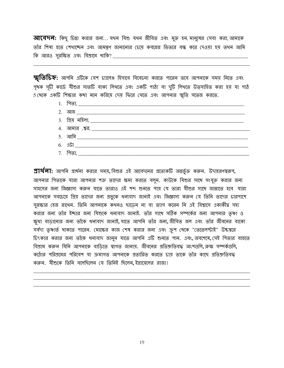**আবেদন:** কিছু চিন্তা করার জন্য... যথন যিশু যথন জীবিত এবং মুক্ত হন, মানুষের সেবা করা, আমাকে তাঁর শিষ্য হতে শেখাচ্ছেন এবং আমন্তুণ জানানোর চেয়ে কবরের ভিতরে বন্ধ করে দেওয়া হয় তথন আমি 

**স্মৃতিচিহ্ন:** আপনি এটিকে বেশ চ্যালেঞ্চ হিসাবে বিবেচনা করতে পারেন তবে আপনাকে সময় নিতে এবং পৃথক সূচী কার্ডে যীশুর সাতটি বাক্য লিথতে এবং একটি পাঠ্য বা দুটি লিথতে উত্সাহিত করা হয় যা পাঠ 5 থেকে একটি শিক্ষার কথা মনে করিয়ে দেয় ফিরে যেতে এবং আপনার স্মৃতি সতেজ করতে.



**প্রার্থলা:** আপনি প্রার্থনা করার সময়, যিশুর এই আবেদনের প্রত্যেকটি অন্তর্ভুক্ত করুন. উদাহরণস্বরূপ, আপনার পিতাকে যারা আপনার শত্রু তাদের ক্ষমা করতে বলুন. কাউকে যিশুর সাথে সংযুক্ত করার জন্য সাহসের জন্য জিজ্ঞাসা করুন যাতে তারাও এই শব্দ শুনতে পায় যে তারা যীশুর সাথে জান্নাতে হবে যারা আপনাকে সবচেয়ে গ্রিয় তাদের জন্য প্রভুকে ধন্যবাদ জানাই এবং জিজ্ঞাসা করুন যে তিনি তাদের চারপাশে সুরক্ষার হেজ রাথেন. তিনি আপনাকে কথনও ছাডেন না বা ত্যাগ করেন নি এই বিশ্বাসে একাকীত্ব সহ্য করার জন্য তাঁর ইচ্ছার জন্য যিশুকে ধন্যবাদ জানাই. তাঁর সাথে সঠিক সম্পর্কের জন্য আপনার তৃষ্ণা ও ক্ষুধা বাড়ানোর জন্য তাঁকে ধন্যবাদ জানাই, যাতে আপনি তাঁর জন্য, জীবিত জল এবং তাঁর জীবনের বাক্যে সর্বদা তৃষ্ণার্ত থাকতে পারেন. মোক্ষের কাজ শেষ করার জন্য এবং ক্রুশ থেকে "তেতেলস্টাই" উচ্চস্বরে চিৎকার করার জন্য তাঁকে ধন্যবাদ জানুন যাতে আপনি এটি শুনতে পান. এবং, অবশেষে, সেই পিতার বাহুতে বিশ্রাম করুন যিনি আপনাকে বাডিতে স্বাগত জানায়. জীবনের প্রতিশ্রুতিবদ্ধ অংশগুলি, রুক্ষ সম্পর্কগুলি, কঠোর পরিশ্রমের পরিবেশ যা ক্রমাগত আপনাকে প্রতারিত করতে চায় তাকে তাঁর কাছে প্রতিশ্রুতিবদ্ধ করুন. যীশুকে তিনি বলেছিলেন যে তিনিই ছিলেন, ইস্রায়েলের রাজা!

19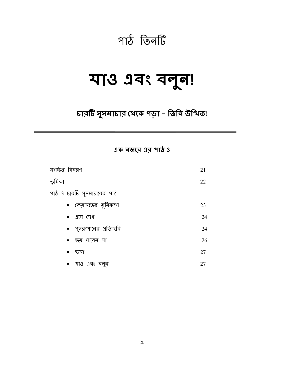## পাঠ তিনটি

## या3 १वः वनून!

### চারটি সুসমাচার থেকে পড়া - তিনি উত্থিত!

এক নজরে এর পাঠ 3

| সংক্ষিপ্ত বিবরণ               | 21 |
|-------------------------------|----|
| ভূমিকা                        | 22 |
| পাঠ 3: চারটি সুসমাচারের পাঠ   |    |
| • কেয়ামতের ভূমিকম্প          | 23 |
| $\bullet$ এসে দেখ             | 24 |
| •   পুনরুত্থানের  প্রতিচ্চ্বি | 24 |
| • ভয় পাবেন না                | 26 |
| ক্ষমা<br>$\bullet$            | 27 |
| • যাও এবং বলুন                | 27 |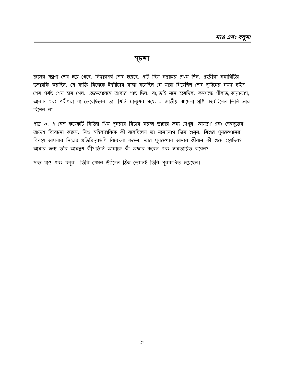#### সূচনা

ক্রসের যন্ত্রণা শেষ হয়ে গেছে. নিস্তারপর্ব শেষ হয়েছে. এটি ছিল সপ্তাহের প্রথম দিন. প্রহরীরা সমাধিটির তদারকি করছিল. যে ব্যক্তি নিজেকে ইহুদীদের রাজা বলেছিল সে মারা গিয়েছিল শেষ দুদিনের সমস্তু হাইপ শেষ পর্যন্ত শেষ হয়ে গেল. জেরুজালেমে আবার শান্ত ছিল. বা, তাই মনে হয়েছিল. কমপক্ষে পীলাত, কায়াফাস, আনাস এবং প্রবীণরা যা ভেবেছিলেন তা. যিনি মানুষের মধ্যে এ জাতীয় ঝামেলা সৃষ্টি করেছিলেন তিনি আর ছিলেন না.

পাঠ ৩. এ বেশ কয়েকটি বিভিন্ন থিম পুনরায় রিচার করুন তাদের জন্য দেখুন. আমন্তুণ এবং দেবদূতের আদেশ বিবেচনা করুন. যিশু মহিলাগুলিকে কী বলেছিলেন তা মনোযোগ দিয়ে শুনুন. যিশুর পুনরুত্থানের বিষয়ে আপনার নিজের প্রতিক্রিয়াগুলি বিবেচনা করুন. তাঁর পুনরুত্থান আমার জীবনে কী শুরু হয়েছিল? আমার জন্য তাঁর আমন্তুণ কী? তিনি আমাকে কী অফার করেন এবং ক্ষমতায়িত করেন?

দ্ৰুত, যাও এবং বলুৰ! তিনি যেমন উঠলেন ঠিক তেমনই তিনি পুনরুত্থিত হয়েছেন!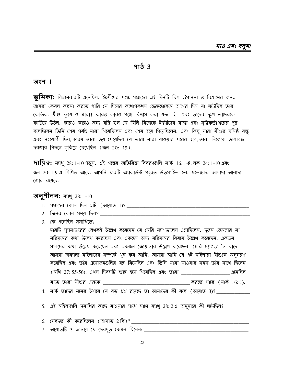#### $9T_{\alpha}$  3

#### $\overline{a}$ ংশ  $1$

ভূমিকা: বিশ্রামবারটি এসেছিল. ইহুদীদের পক্ষে সপ্তাহের এই দিনটি ছিল উপাসনা ও বিশ্রামের জন্য. আমরা কেবল কল্পনা করতে পারি যে দিনের কথোপকথন জেরুজালেমে আগের দিন যা ঘটেছিল তার কেন্দ্রিক. যীশু ক্রুশে ও মারা! কারও কারও পক্ষে বিশ্বাস করা শক্ত ছিল এবং তাদের দুঃথ তাদেরকে কাটিয়ে উঠল. কারও কারও জন্য শ্বস্তি হ'ল যে যিনি নিজেকে ইহুদীদের রাজা এবং সৃষ্টিকর্তা শ্বরের পুত্র বলেছিলেন তিনি শেষ পর্যন্ত মারা গিয়েছিলেন এবং শেষ হয়ে গিয়েছিলেন. এবং কিছু যারা যীশুর ঘনিষ্ঠ বন্ধু এবং সহযোগী ছিল কারণ তারা ভয় পেয়েছিল যে তারা মারা যাওয়ার পরের হবে তারা নিজেকে তালাবদ্ধ দরজার পিছনে লুকিয়ে রেথেছিল (জন 20: 19).

 $\overline{111}$ য় : ম্যাখু 28: 1-10 পড়ুন. এই গল্পের অতিরিক্ত বিবরণগুলি মার্ক 16: 1-8, লুক 24: 1-10 এবং জন 20: 1-9-এ লিখিত আছে. আপনি চারটি অ্যাকাউন্ট পড়তে উত্সাহিত হন. প্রত্যেকের আলাদা আলাদা জোর রয়েছে.

#### **अनूगीलन:** माथू 28: 1-10

- 
- 2. দিনের কোন সময় ছিল?
- 3. কে এসেছিল সমাধিতে? \_\_

চারটি সুসমাচারের লেথকই উল্লেথ করেছেন যে মেরি ম্যাগডালেন এসেছিলেন. দুজন জেমসের মা মরিয়মের কথা উল্লেখ করেছেন এবং একজন অন্য মরিয়মের বিষয়ে উল্লেখ করেছেন. একজন সালমের কথা উল্লেখ করেছেন এবং একজন জোযানার উল্লেখ করেছেন. মেরি ম্যাগডালিন বাদে আমরা অন্যান্য মহিলাদের সম্পর্কে থুব কম জানি. আমরা জানি যে এই মহিলারা যীশুকে অনুসরণ করেছিল এবং তাঁর প্রয়োজনগুলির যত্ন নিয়েছিল এবং তিনি মারা যাওয়ার সময় তাঁর সাথে ছিলেন (মথি 27: 55-56). এথন দিবসটি শুরু হয়ে গিয়েছিল এবং তারা \_\_\_\_\_\_\_\_\_\_\_\_\_\_\_\_\_\_\_\_\_ এনেছিল 

- 4. মার্ক তাদের মনের উপরে যে বড় প্রশ্ন রয়েছে তা আমাদের কী বলে (আয়াত 3)? \_\_\_\_\_\_\_\_\_\_\_
- 5. এই মহিলাগুলি সমাধির কাছে যাওয়ার সাথে সাথে ম্যাথু 28:2 এ অনুসারে কী ঘটেছিল?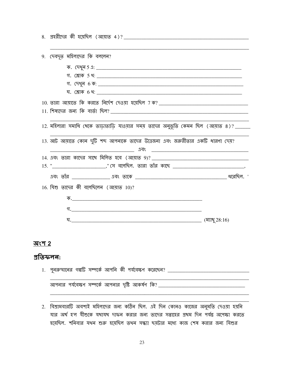| 9. দেবদূত মহিলাদের কি বললেন?                                                                                                                                                                                                            |  |
|-----------------------------------------------------------------------------------------------------------------------------------------------------------------------------------------------------------------------------------------|--|
|                                                                                                                                                                                                                                         |  |
|                                                                                                                                                                                                                                         |  |
|                                                                                                                                                                                                                                         |  |
|                                                                                                                                                                                                                                         |  |
|                                                                                                                                                                                                                                         |  |
|                                                                                                                                                                                                                                         |  |
| 12. মহিলারা সমাধি থেকে তাড়াতাড়ি যাওয়ার সময় তাদের অনুভূতি কেমন ছিল (আয়াত ৪)? _____                                                                                                                                                  |  |
| 13. আট আয়াতে কোন দুটি শব্দ আপনাকে তাদের উত্তেজনা এবং জরুরীতার একটি ধারণা দেয়?                                                                                                                                                         |  |
|                                                                                                                                                                                                                                         |  |
| 15. " _______________________," সে বলেছিল. তারা তাঁর কাছে _______________________________,                                                                                                                                              |  |
|                                                                                                                                                                                                                                         |  |
| 16. যিশু তাদের কী বলেছিলেন (আয়াত 10)?                                                                                                                                                                                                  |  |
| $\overline{\Phi}$ . The contract of the contract of the contract of the contract of the contract of the contract of the contract of the contract of the contract of the contract of the contract of the contract of the contract of the |  |
|                                                                                                                                                                                                                                         |  |
|                                                                                                                                                                                                                                         |  |

#### অংশ 2

#### প্ৰতিফলন:

| 1. পুনরুত্থানের গল্পটি সম্পর্কে আপনি কী পর্যবেক্ষণ করেছেন? |  |
|------------------------------------------------------------|--|
|                                                            |  |
| আপনার পর্যবেক্ষণ সম্পর্কে আপনার দৃষ্টি আকর্ষণ কি? _        |  |
|                                                            |  |

2. বিশ্রামবারটি অবশ্যই মহিলাদের জন্য কঠিন ছিল. এই দিন কোনও কাজের অনুমতি দেওয়া হয়নি যার অর্থ হ'ল যীশুকে যথাযথ দাফন করার জন্য তাদের সপ্তাহের প্রথম দিন পর্যন্ত অপেক্ষা করতে হয়েছিল. শনিবার যথন শুরু হয়েছিল তথন সন্ধ্যা ছয়টার মধ্যে কাজ শেষ করার জন্য যিশুর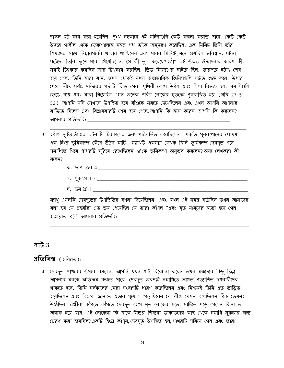দাফল হুট করে করা হয়েছিল. দুঃখ সহকারে এই মহিলাগুলি কেউ কল্পনা করতে পারে. কেউ কেউ উত্তরে গালীল থেকে জেরুশালেমে সমস্ত পথ তাঁকে অনুসরণ করেছিল. এক মিনিট তিনি তাঁর শিষ্যদের সাথে নিস্তারপর্বের থাবার থাঙ্চিলেন এবং পরের মিনিটে, মনে হয়েছিল, অবিশ্বাস্য ঘটনা ঘটেছে. তিনি ক্রুশে মারা গিয়েছিলেন. সে কী ভুল করেছে? হঠাৎ এই উন্মত্ত উন্মাদনার কারণ কী? সবাই চিংকার করছিল আর চিংকার করছিল. ভিড নিয়ন্ত্রণের বাইরে ছিল. তারপরে হঠাৎ শেষ হয়ে গেল. তিনি মারা যান. তথন থেকেই যথন অস্বাভাবিক জিনিসগুলি ঘটতে শুরু করে. উপরে থেকে নীঢ়ে পর্যন্ত মন্দিরের পর্দাটি ছিঁডে গেল. পৃথিবী কেঁপে উঠল এবং শিলা বিভক্ত হল. সমাধিগুলি ভেঙে যায় এবং মারা গিয়েছিল এমন অনেক পবিত্র লোকের মৃতদেহ পুনরুত্থিত হয় (মথি 27: 51-52) আপনি যদি সেখানে উপস্থিত হয়ে যীশুকে মরতে দেখেছিলেন এবং এথন আপনি আপনার বাডিতে ছিলেন এবং বিশ্রামবারটি শেষ হয়ে গেছে আপনি কি মনে করেন আপনি কি করছেন? আপনার প্রতিষ্চবি:

3. হঠাং সৃষ্টিকর্তা শ্বর ঘটনাটি চিরকালের জন্য পরিবর্তিত করেছিলেন। প্রকৃতি পুনরুত্থানের ঘোষণা। এক হিংস্ৰ ভূমিকম্পে কেঁপে উঠল মাটি! ম্যাখিউ একমাত্ৰ লেখক যিনি ভূমিকম্প, দেবদূত এসে সমাধিতে গিয়ে পাখরটি ঘুরিয়ে রেখেছিলেন of কে ভূমিকম্প অনুভব করলেন? অন্য লেখকরা কী বলেন $?$ 

|    | ------<br>'6' I -4<br>י≺ادە د1ت |  |
|----|---------------------------------|--|
|    |                                 |  |
| ٠. | ্গ লক $24 \cdot 1 - 3$<br>ሐ'    |  |

ঘ. জন  $20:1$ 

ম্যাখু এমনকি দেবদূতের উপস্থিতির বর্ণনা দিমেছিলেন. এবং যথন এই সমস্তু ঘটেছিল তথন আমাদের বলা হয় যে প্রহরীরা এত ভয় পেয়েছিল যে তারা কাঁপল "এবং মৃত মানুষের মতো হয়ে গেল (আয়াত ৪)" আপনার প্রতিষ্ঠবি:

#### $9163$

#### $\mathfrak{A}$ তিবিম্ব (অবিরত):

4. দেবদূত পাখরের উপরে বসলেন. আপনি যখন এটি বিবেচনা করেন তথন মজাদার কিছু চিন্তা আপনার মনকে অতিক্রম করতে পারে. দেবদূত অবশ্যই সমাধিতে আগত প্রত্যাশিত দর্শনার্থীদের খাকতে হবে. তিনি সর্বকালের সেরা সংবাদটি ধারণ করেছিলেন এবং নিশ্চয়ই তিনি এত তাডিত হয়েছিলেন এবং বিশ্বকে জানাতে এতটা সুযোগ পেয়েছিলেন যে যীশু যেমন বলেছিলেন ঠিক তেমনই উঠেছিল. রক্ষীরা কাঁপতে কাঁপতে দেবদূত হেসে মৃত লোকের মতো মাটিতে পডে গেলেন কিনা তা অবাক হয়ে যায়. এই লোকেরা কি যাকে যীশুর শিষ্যরা ডাকাতদের কাছ থেকে সমাধি সুরক্ষার জন্য প্রেরণ করা হয়েছিল? একটি হিংস্র কাঁপুন, দেবদৃত উপস্থিত হল, পাখরটি সরিয়ে গেল এবং তারা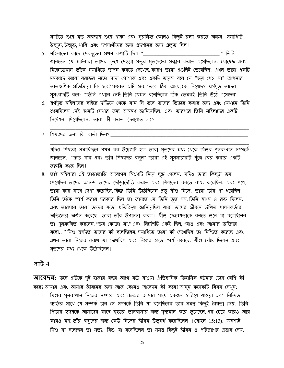মাটিতে শুয়ে মৃত অবস্থায় শুয়ে থাকা এবং সুরক্ষিত কোনও কিছুই রক্ষা করতে অক্ষম. সমাধিটি উন্মুক্ত, উন্মুক্ত, থালি এবং দর্শনার্থীদের জন্য প্রদর্শনের জন্য প্রস্তুত ছিল।

- 5. মহিলাদের কাছে দেবদূতের প্রথম কথাটি ছিল, "  $\cdots$  जिलि জানতেন যে মহিলারা তাদের ক্রুশে দেওয়া প্রভুর মৃতদেহের সন্ধান করতে এসেছিলেন. যোষেফ এবং নিকোডেমাস তাঁকে সমাধিতে স্থাপন করতে দেখেছে কারণ তারা এগুলিই ভেবেছিল. এখন তারা একটি চমকপ্রদ আলো বরফের মতো সাদা পোশাক এবং একটি ভয়েস বলে যে "ভয় পেও না" আপনার তাত্স্কণিক প্রতিক্রিয়া কি হবে? সম্ভবত এটি হবে, "তবে ঠিক আছে, কে নিয়েছে?" স্বর্গদৃত তাদের সুসংবাদটি বলে: "তিনি এথানে নেই; তিনি যেমন বলেছিলেন ঠিক তেমনই তিনি উঠে এসেছেন'
- 6. স্বর্গদৃত মহিলাদের বাইরে দাঁডিয়ে থেকে যান নি তবে তাদের ভিতরে কবার জন্য এবং যেথানে তিনি শুয়েছিলেন সেই স্থানটি দেখার জন্য আমন্ত্রণ জানিয়েছিল. এবং তারপরে তিনি মহিলাদের একটি নিৰ্দেশনা দিয়েছিলেন. তানা কী করত (আয়াত 7)?
- 7. শিষ্যদের জন্য কি বার্তা ছিল?

যদিও শিষ্যরা সমাধিস্থলে প্রথম নন, উদ্বেগটি হ'ল তারা মৃতদের মধ্য থেকে যিশুর পুনরুত্থান সম্পর্কে জানতেন. "দ্রুত যান এবং তাঁর শিষ্যদের বলুন' "তারা এই সুসমাচারটি খুঁজে বের করার একটি জরুরি কাজ ছিল।

৪. তাই মহিলারা এই তাডাতাডি আবেগের মিশ্রণটি নিয়ে ছুটে গেলেন. যদিও তারা কিছুটা ভয় পেয়েছিল, তাদের আনন্দ তাদের দৌডাদৌডি করতে এবং শিষ্যদের বলতে বাধ্য করেছিল. এবং পথে, তারা কার সাথে দেখা করেছিল, কিন্তু তিনি উঠেছিলেন প্রভু যীশু নিজে. তারা তাঁর পা ধরেছিল. তিনি তাঁকে স্পর্শ করার দরকার ছিল তা জানতে যে তিনি ভূত নন, তিনি মাংস ও রক্ত ছিলেন. এবং তারপরে তারা তাদের মতো প্রতিক্রিয়া জানিয়েছিল যারা তাদের জীবনে উত্থিত পালনকর্তার অভিজ্ঞতা অৰ্জন করেছে. তারা তাঁর উপাসনা করল। যীশু ফেরেশতাকে বলতে শুনে যা বলেছিলেন তা পুনরুত্থিত করলেন, "ভয় কোরো না." এবং নির্দেশটি একই ছিল, "যাও এবং আমার ভাইদের বলো..." যিশু স্বর্গদূত তাদের কী বলেছিলেন, সমাধিতে তারা কী দেখেছিল তা নিশ্চিত করেছে এবং এখন তারা নিজের চোখে যা দেখেছিল এবং নিজের হাতে স্পর্শ করেছে. যীশু বেঁচে ছিলেন এবং মৃতদের মধ্য থেকে উঠেছিলেন!

#### পার্ট  $4$

**আবেদন:** তবে এটিকে দুই হাজার বছর আগে ঘটে যাওয়া ঐতিহাসিক তিহাসিক ঘটনার চেয়ে বেশি কী করে? আমার এবং আমার জীবনের জন্য আজ কোনও আবেদন কী করে? আসুন কয়েকটি বিষয় দেখুন:

1. যিশুর পুনরুত্থান নিজের সম্পর্কে এবং theশ্বর আমার সাথে একজন হারিয়ে যাওয়া এবং নিন্দিত ব্যক্তির সাথে যে সম্পর্ক চান সে সম্পর্কে তিনি যা বলেছিলেন তার সমস্ত কিছুই বৈধতা দেয়. তিনি পিতার হৃদয়কে আমাদের কাছে বৃহত্তর ভালবাসার জন্য দৃশ্যমান করে তুলেছেন, এর চেয়ে কারও আর কারও নয়, তাঁর বন্ধুদের জন্য কেউ নিজের জীবন উত্সর্গ করেছিলেন (যোহন 15:13). অবশ্যই যিশু যা বলেছেন তা সত্য. যিশু যা বলেছিলেন তা সমস্ত কিছুই জীবন ও পরিত্রাণের প্রস্তাব দেয়.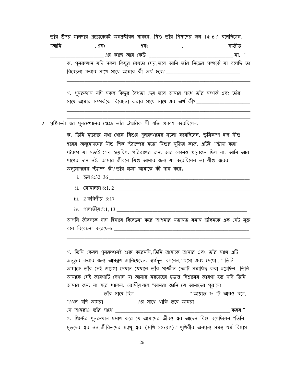তাঁর উপর মানদার প্রত্যেকেরই অনন্তর্জীবন থাকবে. যিশু তাঁর শিষ্যদের জন 14:6এ বলেছিলেন, "আমি \_\_\_\_\_\_\_\_\_\_\_\_\_, এবং \_\_\_\_\_\_\_\_\_\_\_\_\_ এবং \_\_\_\_\_\_\_\_\_\_\_\_\_\_. \_\_\_\_\_\_\_\_\_\_\_\_\_\_\_\_\_\_\_ ব্যভীত ক. পুনরুত্থান যদি সকল কিছুর বৈধতা দেয়, তবে আমি তাঁর নিজের সম্পর্কে যা বলেছি তা 

গ. পুনরুত্থান যদি সকল কিছুর বৈধতা দেয় তবে আমার সাথে তাঁর সম্পর্ক এবং তাঁর সাথে আমার সম্পর্ককে বিবেচনা করার সাথে সাথে এর অর্থ কী? \_\_\_\_\_\_\_\_\_\_\_\_\_\_\_\_\_\_\_\_\_\_\_\_\_

2. সৃষ্টিকর্তা শ্বর পুনরুত্থানের ক্ষেত্রে তাঁর ঐশ্বরিক শী শক্তি প্রকাশ করেছিলেন.

ক. তিনি মৃতদের মধ্য থেকে যিশুর পুনরুত্থানের সূচনা করেছিলেন. ভূমিকম্প হ'ল যীশু শ্বরের অনুমোদনের যীশু শিক স্ট্যাম্পের মতো যিশুর মুক্তির কাজ. এটিই "স্টাফ করা" স্ট্যাম্প যা সত্যই শেষ হয়েছিল. পরিত্রাণের জন্য আর কোনও প্রয়োজন ছিল না. আমি আর পাপের দাস নই. আমার জীবনে যিশু আমার জন্য যা করেছিলেন তা যীশু শ্বরের অনুমোদনের স্ট্যাম্প কী? তাঁর ক্ষমা আমাকে কী দান করে?

- i.  $\pi$  8:32, 36
- 
- 
- iv. গালাতীয় 5:1, 13

আপনি জীবনকে দাস হিসাবে বিবেচনা করে আপনার মতামত বনাম জীবনকে এক সেট মক্ত বলে বিবেচনা করেছেন: আন্দোলি আছে আছে আছে একাডে আছে।

গ. তিনি কেবল পুনরুত্থানই শুরু করেননি, তিনি আমাকে আসার এবং তাঁর সাথে এটি অনুভব করার জন্য আমন্ত্রণ জানিয়েছেন. স্বর্গদৃত বললেন, ''এসো এবং দেখো...'' তিনি আমাকে তাঁর সেই জায়গা দেখান যেখানে তাঁর প্রাণহীন দেহটি সমাধিস্থ করা হয়েছিল. তিনি আমাকে সেই জায়গাটি দেখান যা আমার মরদেহের চডান্ত বিশ্রামের জায়গা হত যদি তিনি আমার জন্য না মরে থাকেন. রোমীয় বলে, "আমরা জানি যে আমাদের পুরানো "এখন যদি আমরা \_\_\_\_\_\_\_\_\_\_\_\_\_ এর সাথে থাকি তবে আমরা \_\_\_\_\_\_\_\_\_\_\_\_ যে আমরাও তাঁর সাখে করব." গ. খ্রিস্টের পুনরুত্থান প্রমাণ করে যে আমাদের জীবন্তু শ্বর আছেন যিশু বলেছিলেন, "তিনি মৃতদের শ্বর নন,জীবিতদের ম্যাখু শ্বর (মখি 22:32)."পৃথিবীর অন্যান্য সমস্ত ধর্ম বিশ্বাস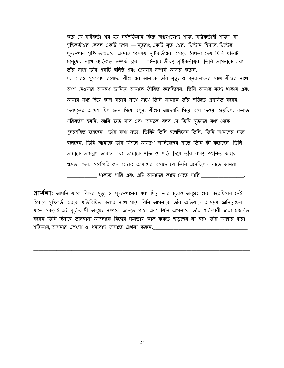করে যে সৃষ্টিকর্তা শ্বর হয় সর্বশক্তিমান কিন্তু অগ্রহণযোগ্য শক্তি, "সৃষ্টিকর্তাশী শক্তি" বা সৃষ্টিকর্তাশ্বর কেবল একটি দর্শন — সুত্তরাং, একটি মৃত .শ্বর. খ্রিস্টান হিসাবে, খ্রিস্টের পুনরুত্থান সৃষ্টিকর্তাশ্বরকে অন্তরঙ্গ, প্রেমময় সৃষ্টিকর্তাশ্বর হিসাবে বৈধতা দেয় যিনি প্রতিটি মানুষের সাথে ব্যক্তিগত সম্পর্ক চান — এইভাবে জীবন্তু সৃষ্টিকর্তাশ্বর. তিনি আপনাকে এবং তাঁর সাথে তাঁর একটি ঘনিষ্ঠ এবং প্রেমময় সম্পর্ক অফার করেন. ঘ. আরও সুসংবাদ রয়েছে. যীশু শ্বর আমাকে তাঁর মৃত্যু ও পুনরুত্থানের সাথে যীশুর সাথে অংশ নেওযার আমন্ত্রণ জানিযে আমাকে জীবিত করেছিলেন. তিনি আমার মধ্যে থাকায এবং আমার মধ্য দিয়ে কাজ করার সাথে সাথে তিনি আমাকে তাঁর শক্তিতে প্রস্বলিত করেন. দেবদৃতের আদেশ ছিল দ্রুত গিয়ে বলুন. যীশুর আদেশটি গিয়ে বলে দেওয়া হয়েছিল. কমান্ড পরিবর্তন হয়নি. আমি দ্রুত যাব এবং অন্যকে বলব যে তিনি মৃতদের মধ্য খেকে পুনরুত্থিত হয়েছেন। তাঁর কথা সত্য. তিনিই তিনি বলেছিলেন তিনি. তিনি আমাদের সত্য বলেছেন. তিনি আমাকে তাঁর মিশনে আমন্ত্রণ জানিয়েছেন যাতে তিনি কী করেছেন তিনি আমাকে আমন্ত্রণ জানান এবং আমাকে শক্তি ও শক্তি দিয়ে তাঁর বাক্য প্রস্বলিত করার ক্ষমতা দেন. সর্বোপরি জন 10:10 আমাদের বলেছে যে তিনি এসেছিলেন যাতে আমরা থাকতে পারি এবং এটি আমাদের কাছে পেতে পারি

 $312$ র্যনা: আপনি যাকে যিশুর মৃত্যু ও পুনরুত্থানের মধ্য দিয়ে তাঁর চূড়ান্ত অনুগ্রহ শুরু করেছিলেন সেই হিসাবে সৃষ্টিকর্তা শ্বরকে প্রতিবিশ্বিত করার সাথে সাথে যিনি আপনাকে তাঁর অভিযানে আমন্ত্রণ জানিয়েছেন যাতে সকলেই এই মুক্তিকামী অনুগ্রহ সম্পর্কে জানতে পারে এবং যিনি আপনাকে তাঁর শক্তিশালী দ্বারা প্রজ্বলিত করেন তিনি হিসাবে ভালবাসা আপনাকে নিজের ক্ষমতায় কাজ করতে ছাডছেন না বরং তাঁর আত্মার দ্বারা শক্তিমান আপনার প্রশংসা ও ধন্যবাদ জানাতে প্রার্থনা করুন.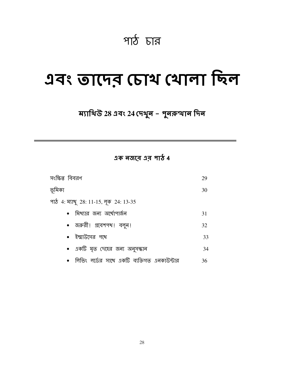## পাঠ চার

## এবং তাদের চোথ থোলা ছিল

## ম্যাথিউ 28 এবং 24 দেখুন - পুনরুত্থান দিন

এক নজরে এর পাঠ 4

| সংক্ষিপ্ত বিবরণ                                      | 29 |
|------------------------------------------------------|----|
| ভূমিকা                                               | 30 |
| পাঠ 4: ম্যাখু 28: 11-15, লূক 24: 13-35               |    |
| মিখ্যার জন্য অর্থোপার্জন                             | 31 |
| • জরুরী! প্রবেশপখ! বলুন!                             | 32 |
| • ইম্মাউসের পথে                                      | 33 |
| • একটি মৃত দেহের জন্য অনুসন্ধান                      | 34 |
| •   লিভিং  লর্ডের  সাথে  একটি  ব্যক্তিগত  এনকাউন্টার | 36 |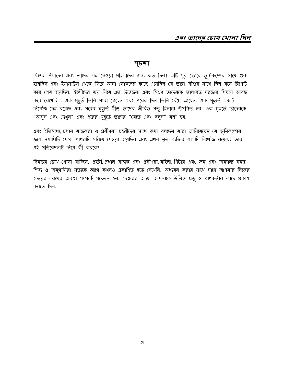#### সূচনা

যিশুর শিষ্যদের এবং তাদের যত্ন নেওয়া মহিলাদের জন্য কত দিন। এটি থুব ভোরে ভূমিকম্পের সাথে শুরু হয়েছিল এবং ইমাসাউস থেকে ফিরে আসা লোকদের কাছে এসেছিল যে তারা যীশুর সাথে ছিল বলে রিপোর্ট করে শেষ হয়েছিল. ইহুদীদের ভয় নিয়ে এত উত্তেজনা এবং মিশ্রণ তাদেরকে তালাবদ্ধ দরজার পিছনে আবদ্ধ করে রেখেছিল. এক মুহূর্ত তিনি মারা গেছেন এবং পরের দিন তিনি বেঁচে আছেন. এক মুহুর্তে একটি নিথোঁজ দেহ রয়েছে এবং পরের মুহূর্তে যীশু তাদের জীবিত প্রভু হিসাবে উপস্থিত হন. এক মুহুর্তে তাদেরকে "আসুন এবং দেখুন" এবং পরের মুহূর্তে তাদের "যেতে এবং বলুন" বলা হয়.

এবং ইতিমধ্যে, প্রধান যাজকরা ও প্রবীণরা প্রহরীদের সাথে কথা বলছেন যারা জানিয়েছেন যে ভূমিকম্পের ফলে সমাধিটি থেকে পাখরটি সরিয়ে দেওয়া হয়েছিল এবং এখন মৃত ব্যক্তির লাশটি নিথোঁজ রয়েছে. তারা এই প্ৰতিবেদনটি নিয়ে কী করবে?

দিনভর চোখ থোলা যাচ্ছিল. প্রহরী, প্রধান যাজক এবং প্রবীণরা, মহিলা, পিটার এবং জন এবং অন্যান্য সমস্ত শিষ্য ও অনুগামীরা সত্যকে আগে কথনও প্রকাশিত হতে দেথেনি. অধ্যয়ন করার সাথে সাথে আপনার নিজের হৃদমের চোথের অবস্থা সম্পর্কে সচেতন হন. 'Sশ্বরের আত্মা আপনাকে উত্থিত প্রভু ও ত্রাণকর্তার কাছে প্রকাশ করতে দিন.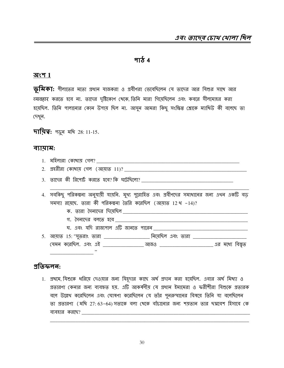#### <u>পাঠ 4</u>

#### অংশ  $1$

**ভূমিকা:** গীলাতের মতো প্রধান যাজকরা ও প্রবীণরা ভেবেছিলেন যে তাদের আর যিশুর সাথে আর टयवहार করতে হবে না. তাদের দৃষ্টিকোণ থেকে, তিনি মারা গিয়েছিলেন এবং কবরে সীলমোহর করা হয়েছিল. তিনি পালানোর কোন উপায় ছিল না. আসুন আমরা কিছু সংক্ষিপ্ত শ্লোকে ম্যাখিউ কী বলেছে তা দেখুন.

**দায়িত্ব:** পড়ুৰ মখি 28: 11-15.

#### ব্যায়াম:

| . . | வட<br>ו הווח כו         | . কাথাম <i>ণে</i> ল° |  |  |
|-----|-------------------------|----------------------|--|--|
|     | the control of the con- |                      |  |  |

- 
- 

4. সবকিছু পরিকল্পনা অনুযায়ী যায়নি. মূখ্য পুরোহিত এবং প্রবীণদের সমাধানের জন্য এখন একটি বড সমস্যা রয়েছে. তারা কী পরিকল্পনা তৈরি করেছিল (আয়াত 12 থ -14)?

- 
- গ. সৈন্যদের বলতে হবে
- ঘ. এবং যদি রাজ্যপাল এটি জানতে পারেন

5. আয়াত 15: "মুতরাং তারা \_\_\_\_\_\_\_\_\_\_\_\_\_\_\_ নিয়েছিল এবং তারা \_\_\_\_\_\_\_\_\_\_\_\_\_\_\_\_\_\_\_\_ (যমন করেছিল. এবং এই <u>\_\_\_\_\_\_\_\_\_\_\_\_\_\_\_\_\_</u> আজও \_\_\_\_\_\_\_\_\_\_\_\_\_\_\_\_\_\_\_\_\_\_\_\_ এর মধ্যে বিষ্মৃত 

#### প্ৰতিফলন:

1. প্রখমে, যিশুকে ধরিয়ে দেওয়ার জন্য যিয়দার কাছে অর্থ প্রদান করা হয়েছিল. এবার অর্থ মিথ্যা ও গ্রতারণা কেনার জন্য ব্যবহৃত হয়. এটি আকর্ষণীয় যে প্রধান ইমামেরা ও ফরীশীরা যিশুকে প্রতারক বলে উল্লেখ করেছিলেন এবং ঘোষণা করেছিলেন যে তাঁর পুনরুত্থানের বিষয়ে তিনি যা বলেছিলেন তা প্রতারণা (মথি 27: 63-64) সত্যকে বলা থেকে বাঁচানোর জন্য শয়তান তার ছদ্মবেশ হিসাবে কে ব্যবহার কর্ছে? $\frac{1}{2}$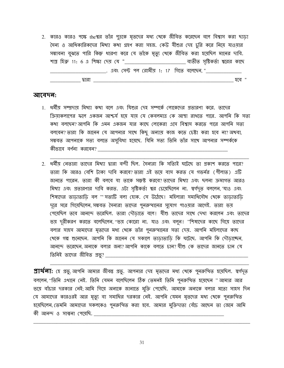2. কারও কারও পক্ষে theশ্বর তাঁর পুত্রকে মৃতদের মধ্য থেকে জীবিত করেছেন বলে বিশ্বাস করা ছাডা সৈন্য ও আধিকারিকদের মিখ্যা কথা গ্রহণ করা সহজ. কেউ যীশুর দেহ চুরি করে নিয়ে যাওয়ার সম্ভাবনা বুঝতে পারি কিন্তু ধারণা করে যে তাঁকে মৃত্যু থেকে জীবিত করা হয়েছিল মানের দাবি. শাস্ত্র হিব্রু 11: 6 এ শিক্ষা দেয় যে "\_\_\_\_\_\_\_\_\_\_\_\_\_\_\_\_\_\_\_\_\_\_\_\_\_\_\_ ব্যতীত সৃষ্টিকর্তা শ্বরের কাছে \_\_\_\_\_\_\_\_\_\_\_\_\_\_\_\_\_\_\_\_\_\_\_\_\_\_\_. এবং সেন্ট পল রোমীয় 1: 17 গিতে বলেডেন, "\_\_\_\_\_\_\_\_\_\_\_\_\_\_\_\_\_\_\_\_ 

#### আবেদন:

- 1. ধর্মীয় সম্প্রদায় মিখ্যা কথা বলে এবং যিশুর দেহ সম্পর্কে লোকেদের প্রতারণা করে. তাদের ক্রিয়াকলাপের ফলে একজন আশ্চর্য হয়ে যায় যে কেবলমাত্র কে আস্থা রাখতে পারে. আপনি কি সত্য কথা বলছেন? আপনি কি এমন একজন যার কাছে লোকেরা এসে বিশ্বাস করতে পারে আপনি সত্য বলবেন? তারা কি জানেন যে আপনার সাথে কিছু অন্যায় কাজ কতে চেষ্টা করা হবে না? অথবা, সম্ভবত আপনাকে সত্য বলতে অসুবিধা হয়েছে. যিনি সত্য তিনি তাঁর সাথে আপনার সম্পর্ককে কীভাবে বৰ্ণনা করবেন?
- 2. ধর্মীয় নেতারা তাদের মিখ্যা দ্বারা বন্দী ছিল. সৈন্যরা কি সত্যিই ঘটেছে তা প্রকাশ করতে পারে? তারা কি আরও বেশি টাকা দাবি করবে?তারা এই ভয়ে বাস করত যে গভর্নর (পীলাত) এটি জানতে পারেন. তারা কী বলবে যা তাকে সম্ভষ্ট করবে?তাদের মিখ্যা এবং ছলনা ক্রমাগত আরও মিখ্যা এবং প্রতারণার দাবি করত. এটা সৃষ্টিকর্তা শ্বর চেয়েছিলেন না. স্বর্গদৃত বললেন, যাও এবং শিষ্যদের তাডাতাডি বল " সত্যটি বলা হোক. সে উঠেছে। মহিলারা সমাধিসৌধ থেকে তাডাতাডি দুরে সরে গিয়েছিলেন সম্ভবত সৈন্যরা তাদের পুনরুত্থানের সুযোগ পাওয়ার আগেই. তারা ভয় পেয়েছিল তবে আনন্দে ভরেছিল. তারা দৌডাতে বলে। যীশু তাদের সাথে দেখা করলেন এবং তাদের ভয় দূরীকরণ করতে বলেছিলেন, ''ভয় কোরো না. যাও এবং বলুন। ''শিষ্যদের কাছে গিয়ে তাদের বলার সাহস আমাদের মৃতদের মধ্য থেকে তাঁর পুনরুত্থানের সত্য দেম়. আপনি মহিলাদের কাছ থেকে গল্প শুনেছেন. আপনি কি জানেন যে সকালে তাডাতাডি কি ঘটেছে. আপনি কি দৌডাচ্ছেন, আনন্দে ভরেছেন অন্যকে বলার জন্য?আপনি কাকে বলতে চান?যীশু কে তাদের জানতে চান যে

**প্রার্থলা:** হে প্রভু, আপনি আমার জীবন্ত প্রভু. আপনার দেহ মৃতদের মধ্য খেকে পুনরুত্থিত হয়েছিল. স্বর্গদৃত বললেন, ''তিনি এথানে নেই. তিনি যেমন বলেছিলেন ঠিক তেমনই তিনি পুনরুত্থিত হয়েছেন '' আমার আর ভয়ে বাঁচার দরকার নেই; আমি গিয়ে অন্যকে জানাতে মুক্তি পেয়েছি. আমাকে অন্যকে বলার মতো সাহস দিন যে আমাদের কারওরই আর মৃত্যু বা সমাধির দরকার নেই. আপনি যেমন মৃতদের মধ্য থেকে পুনরুত্থিত হয়েছিলেন, তেমনি আমাদের সকলকেও পুনরুত্থিত করা হবে. আমার মুক্তিদাতা বেঁচে আছেন তা জেনে আমি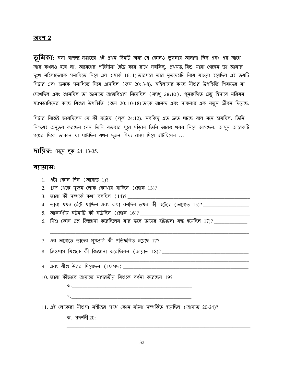#### <u> অংশ 2</u>

 $\overline{\psi}$ মিকা: বলা বাহুল্য, সপ্তাহের এই প্রথম দিনটি অন্য যে কোনও তুলনায় আলাদা ছিল এবং এর আগে আর কথনও হবে না. আবেগের পরিসীমা হৈচৈ করে রাখে সবকিছু. প্রথমত, যিশু মারা গেছেন তা জানার দুঃখ মহিলাদেরকে সমাধিতে নিয়ে এল (মার্ক 16: 1) তারপরে তাঁর মৃতদেহটি নিয়ে যাওয়া হয়েছিল এই ভয়টি পিটার এবং জনকে সমাধিতে নিয়ে এসেছিল (জন 20: 3-8). মহিলাদের কাছে যীশুর উপস্থিতি শিষ্যদের যা দেথেছিল এবং শুনেছিল তা জানাতে আত্মবিশ্বাস নিয়েছিল (ম্যাথু 28:10). পুনরুত্থিত প্রভু হিসাবে মরিয়ম ম্যাগডালিনের কাছে যিশুর উপস্থিতি (জন 20: 10-18) তাকে আনন্দ এবং সাম্বনার এক নতুন জীবন দিয়েছে.

পিটার নিজেই ভাবছিলেন যে কী ঘটেছে (লূক 24:12). সবকিছু এত দ্রুত ঘটছে বলে মনে হয়েছিল. তিনি নিশ্চয়ই অনুভব করছেন যেন তিনি যতবার ঘুরে দাঁড়ান তিনি আরও থবর নিয়ে আসছেন. আসুন আরেকটি গল্পের দিকে তাকান যা ঘটেছিল যথন দুজন শিষ্য রাস্তা দিয়ে হাঁটছিলেন ...

**দায়িত্ব:** পড়ুন লুক 24: 13-35.

#### ব্যায়াম:

| 4. তারা যথন হেঁটে যাচ্ছিল এবং কথা বলছিল, তথন কী ঘটেছে (আয়াত 15)? _________________        |
|--------------------------------------------------------------------------------------------|
|                                                                                            |
| 6. যিশু কোন প্রশ্ন জিজ্ঞাসা করেছিলেন যার ফলে তাদের হাঁটাচলা বন্ধ হয়েছিল 17)? ____________ |
|                                                                                            |
|                                                                                            |
|                                                                                            |
|                                                                                            |
|                                                                                            |
| 10. তারা কীভাবে আয়াতে নাসরতীয় যিশুকে বর্ণনা করেছেন 19?                                   |
|                                                                                            |
|                                                                                            |
|                                                                                            |
| 11. এই লোকেরা যীশুসা মশীহের সাথে কোন ঘটনা সম্পর্কিত হয়েছিল (আয়াত 20-24)?                 |
|                                                                                            |
|                                                                                            |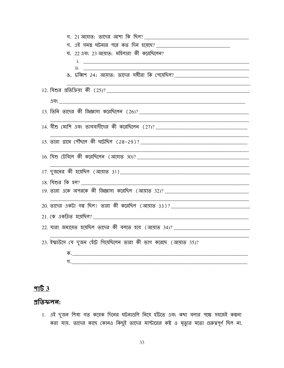| ঘ. 22 এবং 23 আয়াত: মহিলারা কী করেছিলেন?                                         |
|----------------------------------------------------------------------------------|
|                                                                                  |
| <u>ii. _____________________</u>                                                 |
| ঙ. চব্বিশ 24: আয়াত: তাদের সঙ্গীরা কি পেয়েছিল? ________________________________ |
|                                                                                  |
|                                                                                  |
|                                                                                  |
|                                                                                  |
|                                                                                  |
|                                                                                  |
|                                                                                  |
|                                                                                  |
|                                                                                  |
|                                                                                  |
| <u>18. মিশুর কি হল?</u>                                                          |
|                                                                                  |
|                                                                                  |
|                                                                                  |
|                                                                                  |
|                                                                                  |
| 23. ইম্মাউসে যে দুজন হেঁটে গিয়েছিলেন তারা কী ভাগ করেছে (আয়াত 35)?              |
|                                                                                  |
|                                                                                  |

### <u>পার্ট 3</u>

#### প্ৰতিফলন:

1. এই দুজন শিষ্য গত কয়েক দিনের ঘটনাগুলি নিয়ে হাঁটতে এবং কথা বলার পক্ষে সহজেই কল্পনা<br>করা যায়. তাদের কাছে কোনও কিছুই তাদের মাস্টারের কষ্ট ও মৃত্যুর মতো গুরুত্বপূর্ণ ছিল না.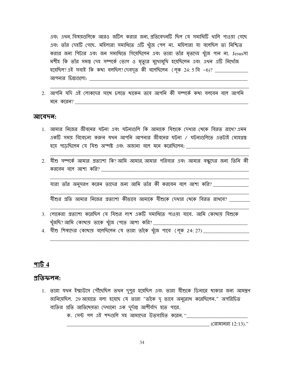এবং এখন বিষয়গুলিকে আরও জটিল করার জন্য প্রতিবেদনটি ছিল যে সমাধিটি থালি পাওয়া গেছে এবং তাঁর দেহটি গেছে. মহিলারা সমাধিতে এটি থুঁজে পেল না. মহিলারা যা বলেছিল তা নিশ্চিত করার জন্য পিটার এবং জন সমাধিতে গিয়েছিলেন এবং তারা তাঁর মৃতদেহ খুঁজে পান না. Jesusসা মশীহ কি তাঁর সমস্ত দেহ সম্পর্কে ভোগ ও মৃত্যুর মুথোমুথি হয়েছিলেন এবং এথন এটি নিথোঁজ হয়েছিল? এই সবাই কি কথা বলছিল? দেবদূত কী বলেছিলেন (লূক 24: 5 বি -6)? \_\_\_\_\_\_\_\_\_\_\_\_ আপনার চিন্তাগুলো: সামের সামের সামের

2. আপনি যদি এই লোকদের সাথে চলতে থাকেন তবে আপনি কী সম্পর্কে কথা বলবেন বলে আপনি মনে করেন?

#### আবেদন:

- 1. আমার নিজের জীবনের ঘটনা এবং ঘটনাগুলি কি আমাকে যিশুকে দেখার খেকে বিরত রাখে?এমন একটি সময় বিবেচলা করুল যখন আপনি আপনার জীবনের ঘটনা / ঘটনাগুলিতে এতটাই মোহগ্রস্ত হয়ে পডেছিলেন যে যিশু অস্পষ্ট এবং অজানা বলে মনে করেছিলেন: \_\_\_\_\_\_\_\_\_\_\_\_\_\_\_\_\_\_\_\_\_\_
- 2. যীশু সম্পর্কে আমার প্রত্যাশা কি?আমি আমার,আমার পরিবার এবং আমার বন্ধুদের জন্য তিনি কী

যারা তাঁর অনুসরণ করেন তাদের জন্য আমি তাঁর কী করবেন বলে আশা করি? \_\_\_\_\_\_\_\_\_\_\_\_\_\_\_

যীশুর প্রতি আমার নিজের প্রত্যাশা কীভাবে আমাকে যীশুকে দেখার খেকে বিরত রাখবে? \_\_\_\_\_\_\_\_

- 3. লোকেরা প্রত্যাশা করেছিল যে যিশুর লাশ একটি সমাধিতে পাওয়া যাবে. আমি কোখায় যিশুকে
- 

#### পার্ট  $4$

#### প্ৰতিফলন:

1. তারা যথন ইম্মাউদে পৌঁছেছিল তথন দুপুর হয়েছিল এবং তারা যীশুকে ডিনারে থাকার জন্য আমন্ত্রণ জানিয়েছিল. 29 আয়াতে বলা হয়েছে যে তারা "তাঁকে দৃ ভাবে অনুরোধ করেছিলেন." অপরিচিত ব্যক্তির প্রতি আতিথেয়তা দেখানো এক দুর্দান্ত আশীর্বাদ হতে পারে.

ক. সেন্ট পল এই শব্দগুলি সহ আমাদের উত্সাহিত করেন, "\_\_\_\_\_\_\_\_\_\_\_\_\_\_\_\_\_\_\_\_\_\_\_\_\_\_\_\_\_\_

 $\sim$  (রোমানরা 12:13)."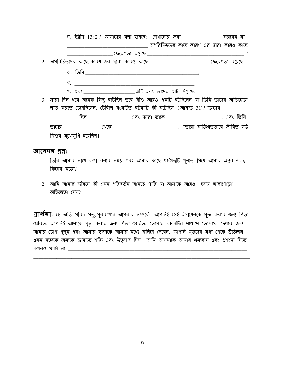| গ. ইব্রীয় 13:2এ আমাদের বলা হয়েছে: "দেখানোর জন্য ________________ করবেন না              |                                             |  |
|------------------------------------------------------------------------------------------|---------------------------------------------|--|
|                                                                                          | __ অপরিচিতদের কাছে কারণ এর দ্বারা কারও কাছে |  |
|                                                                                          |                                             |  |
|                                                                                          |                                             |  |
|                                                                                          |                                             |  |
|                                                                                          |                                             |  |
| গ. এবং ________________________ এটি এবং তাদের এটি দিয়েছে.                               |                                             |  |
| 3. সারা দিন ধরে অনেক কিছু ঘটেছিল তবে যীশু আরও একটি ঘটছিলেন যা তিনি তাদের অভিজ্ঞতা        |                                             |  |
| লাভ করতে চেয়েছিলেন. টেবিলে সংঘটিত ঘটনাটি কী ঘটেছিল (আয়াত 31)?"তাদের                    |                                             |  |
|                                                                                          |                                             |  |
|                                                                                          |                                             |  |
| যিশুর মুথোমুখি হয়েছিল।                                                                  |                                             |  |
| আবেদন প্ৰশ্ন:                                                                            |                                             |  |
| ।   ভিন্নি আমান ঘাণ্ড কথা নলান ঘমস ৭ন॰ আমান কাচ্ন ধৰ্মগৰুটি থল্যে গ্ৰিয়ান আমান অলন জল্ল |                                             |  |

- 1. তিনি আমার সাথে কথা বলার সময় এবং আমার কাছে ধর্মগ্রন্থাট থুলতে াগয়ে আমার অন্তর জ্বলন্তু কিসের মতো?
- অভিজ্ঞতা দেয়?

প্রার্থ**না:** হে অতি পবিত্র প্রভু, পুনরুত্থান আপনার সম্পর্কে. আপনিই সেই ইস্রায়েলকে মুক্ত করার জন্য পিতা প্রেরিত. আপনিই আমাকে মুক্ত করার জন্য পিতা প্রেরিত. তোমার বাক্যটির মাধ্যমে তোমাকে দেখার জন্য আমার চোখ থুলুন এবং আমার হৃদয়কে আমার মধ্যে জ্বলিয়ে দেবেন. আপনি মৃতদের মধ্য থেকে উঠেছেন এমন সত্যকে অন্যকে জানাতে শক্তি এবং উত্সাহ দিন। আমি আপনাকে আমার ধন্যবাদ এবং প্রশংসা দিতে কথনও থামি না.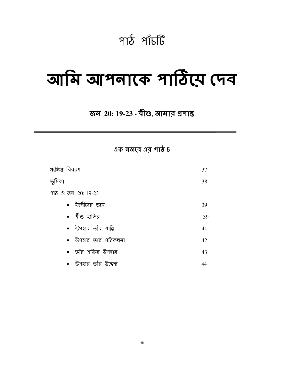## পাঠ পাঁচটি

## আমি আপনাকে পাঠিয়ে দেব

### জন 20: 19-23 - মীশু, আমার প্রশান্ত

এক নজরে এর পাঠ 5

| সংক্ষিপ্ত বিবরণ        | 37 |
|------------------------|----|
| ভূমিকা                 | 38 |
| পাঠ 5: জন 20: 19-23    |    |
| • ইহুদীদের ভয়ে        | 39 |
| • যীশু হাজির           | 39 |
| • উপহার তাঁর শান্তি    | 41 |
| • উপহার তার পরিকল্পনা  | 42 |
| • তাঁর শক্তির উপহার    | 43 |
| •  উপহার তাঁর উদ্দেশ্য | 44 |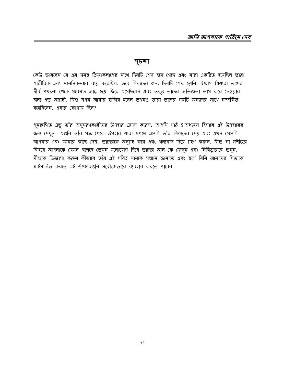#### সূচনা

কেউ ভাববেন যে এর সমস্তু ক্রিয়াকলাপের সাথে দিনটি শেষ হয়ে গেছে এবং যারা একত্রিত হয়েছিল তারা শারীরিক এবং মানসিকভাবে ব্যয় করেছিল. তবে শিষ্যদের জন্য দিনটি শেষ হয়নি. ইম্মাস শিষ্যরা তাদের দীর্ঘ পথ্যচলা থেকে সবেমাত্র ক্লান্ত হয়ে ফিরে এসেছিলেন এবং তবুও তাদের অভিজ্ঞতা ভাগ করে নেওয়ার জন্য এত আগ্রহী. যিশু যখন আবার হাজির হলেন তখনও তারা তাদের গল্পটি অন্যদের সাথে সম্পর্কিত করছিলেন. এবার কোখায ছিল?

পুনরুত্থিত প্রভূ তাঁর অনুসরণকারীদের উপহার প্রদান করেন. আপনি পাঠ 5 অধ্যয়ন হিসাবে এই উপহারের জন্য দেখুন। এগুলি তাঁর পক্ষ থেকে উপহার যারা প্রথমে এগুলি তাঁর শিষ্যদের দেয় এবং এখন সেগুলি আপনার এবং আমার কাছে দেয়. তাদেরকে অনুগ্রহ করে এবং ধন্যবাদ দিয়ে গ্রহণ করুন. যীশু সা মশীহের বিষয়ে আপনাকে যেমন বলেছে তেমন মনোযোগ দিয়ে তাদের আন-কে ফেলুন এবং নিবিডভাবে শুনুন. যীশুকে জিজ্ঞাসা করুন কীভাবে তাঁর এই পবিত্র নামকে সম্মান জানাতে এবং স্বর্গে যিনি আমাদের পিতাকে মহিমান্বিত করতে এই উপহারগুলি সর্বোত্তমভাবে ব্যবহার করতে পারেন.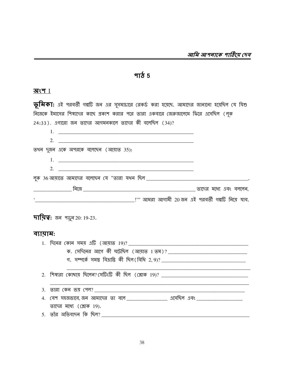$9755$ 

#### <u> অংশ  $1$ </u>

তূ**মিকা:** এই পরবর্তী গল্পটি জন এর সুসমাচারে রেকর্ড করা হয়েছে. আমাদের জানানো হয়েছিল যে যিশু ্র<br>নিজেকে ইমাসের শিষ্যদের কাছে প্রকাশ করার পরে তারা একবারে জেরুজালেমে ফিরে এসেছিল (লূক  $24.33$ ) এগাবো জন ভাদেব আগমনকালে ভাদেব কী বলেছিল (34)?

|                             | $\mathcal{L}$ ריס, ויצוויץ היין שוירויש שויירי הויון ניוט ויש וישהויה (כ-               |  |
|-----------------------------|-----------------------------------------------------------------------------------------|--|
|                             |                                                                                         |  |
|                             | 2.                                                                                      |  |
|                             | তথন দুজন একে অপরকে বলেছেন (আয়াত 35):                                                   |  |
|                             |                                                                                         |  |
|                             | 2. $\qquad \qquad$                                                                      |  |
|                             |                                                                                         |  |
|                             |                                                                                         |  |
|                             |                                                                                         |  |
| ব্যায়াম:                   | <b>দায়িত্ব:</b> জন পড়ুন 20: 19-23.                                                    |  |
|                             |                                                                                         |  |
|                             |                                                                                         |  |
|                             | গ. সম্পৰ্কে সময়ু বিভ্ৰান্তি কী ছিল(বিধি 2,9)? __________________________________       |  |
| $\mathcal{D}_{\mathcal{L}}$ |                                                                                         |  |
| 3.                          |                                                                                         |  |
| 4.                          | <u>(বশ সহজভাবে, জন আমাদের তা বলে _________________</u> এসেছিল এবং _____________________ |  |
|                             | তাদের মধ্যে (শ্লোক $19$ ).                                                              |  |
|                             |                                                                                         |  |
|                             |                                                                                         |  |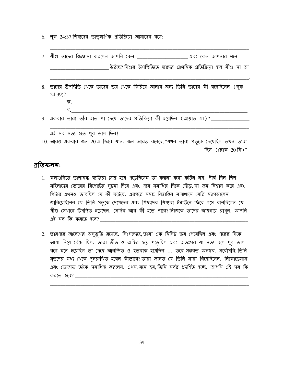6. লূক 24:37 শিষ্যদের তাত্স্কণিক প্রতিক্রিয়া আমাদের বলে: \_\_\_\_\_\_\_\_\_\_\_\_\_\_\_\_\_\_\_\_\_\_\_

| উঠছে? যিশুর উপস্থিতিতে তাদের প্রাথমিক প্রতিক্রিয়া হ'ল যীশু সা আ                                       |
|--------------------------------------------------------------------------------------------------------|
| ৪.  তাদের উপস্থিতি থেকে তাদের ভয় থেকে ফিরিয়ে আনার জন্য তিনি তাদের কী বলেছিলেন (লূক<br>$24:39$ ?      |
| ক. কি.                                                                                                 |
| গ. -<br>$9.$ একবার তারা তাঁর হাত পা দেখে তাদের প্রতিক্রিয়া কী হয়েছিল (আয়াত 41)? _____               |
| এই সব সত্য হতে থুব ভাল ছিল!                                                                            |
| 10. আরও একবার জন 20 এ ফিরে যান. জন আরও বলেছে, "যথন তারা প্রভুকে দেখেছিল তথন তারা<br>ছিল (শ্লোক 20 বি)" |

#### প্ৰতিফলন:

- 1. কক্ষগুলিতে তালাবদ্ধ ব্যক্তিরা ক্লান্ত হয়ে পডেছিলেন তা কল্পনা করা কঠিন নয়. দীর্ঘ দিন ছিল মহিলাদের ভোরের রিপোর্টের সূচনা দিয়ে এবং পরে সমাধির দিকে দৌড, যা জন বিশ্বাস করে এবং পিটার এখনও ভাবছিল যে কী ঘটেছে. এরপরে সমস্ত বিত্রান্তির মাঝখানে মেরি ম্যাগডালেন জানিয়েছিলেন যে তিনি প্রভুকে দেখেছেন এবং শিষ্যদের শিষ্যরা ইমাউসে ফিরে এসে বলেছিলেন যে যীশু সেখানে উপস্থিত হয়েছেন. সেদিন আর কী হতে পারে? নিজেকে তাদের জায়গায় রাখুন. আপনি  $12$ ই সব কি করতে হবে $?$  \_\_\_\_\_\_\_\_
- 2. তারপরে আবেগের অনুভূতি রয়েছে. নিঃসন্দেহে, তারা এক মিনিট ভয় পেয়েছিল এবং পরের দিকে আশা নিয়ে বেঁচে ছিল. তারা ভীত ও অস্থির হয়ে পড়েছিল এবং অতঃপর যা সত্য বলে থুব ভাল বলে মনে হয়েছিল তা দেখে আনন্দিত ও হতবাক হয়েছিল ... তবে, সম্ভবত অসম্ভব. সর্বোপরি, তিনি মৃতদের মধ্য থেকে পুনরুত্থিত হবেন কীভাবে? তারা জানত যে তিনি মারা গিয়েছিলেন. নিকোডেমাস এবং জোসেফ তাঁকে সমাধিস্থ করলেন. এখন মনে হয় তিনি সর্বত্র প্রদর্শিত হচ্ছে. আপনি এই সব কি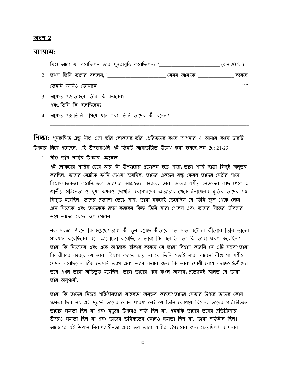#### অংশ 2

#### ব্যায়াম:

| 1. মিশু আগে যা বলেছিলেন তার পুনরাবৃত্তি করেছিলেন: "_____________________________       | (জন $20:21$ )." |
|----------------------------------------------------------------------------------------|-----------------|
|                                                                                        | করেছে           |
| <u>তেমনি আমিও তোমাকে _______________</u>                                               | 22.11           |
| <u> এবং তিনি কি বলেছিলেন? _____________________</u>                                    |                 |
| <u> 4. আয়াত 23: তিনি এগিয়ে যান এবং তিনি তাদের কী বলেন? _________________________</u> |                 |

শিক্ষা: পুনরুত্থিত প্রভু যীশু এসে তাঁর লোকদের, তাঁর প্রেরিতদের কাছে আপনার ও আমার কাছে চারটি উপহার নিয়ে এসেছেন. এই উপহারগুলি এই তিনটি আয়াতটিতে উল্লেখ করা হয়েছে, জন 20: 21-23.

1. যীশু তাঁর শান্তির উপহার *আনেল.* 

এই লোকদের শান্তির চেয়ে আর কী উপহারের প্রয়োজন হতে পারে? তারা শান্তি ছাড়া কিছুই অনুভব করছিল. তাদের নেত্রীকে ফাঁসি দেওয়া হয়েছিল. তাদের একজন বন্ধু কেবল তাদের নেত্রীর সাথে বিশ্বাসঘাতকতা করেনি, তবে তারপরে আত্মহত্যা করেছে. তারা তাদের ধর্মীয় নেতাদের কাছ থেকে এ জাতীয় সহিংসতা ও ঘূণা কথনও দেখেনি. রোমানদের অত্যাচার থেকে ইস্রায়েলের মুক্তির তাদের স্বপ্ল বিশ্মত হয়েছিল. তাদের প্রত্যাশা ভেঙে যায়. তারা সকলেই ভেবেছিল যে তিনি ক্রুশ খেকে নেমে এসে নিজেকে এবং তাদেরকে রক্ষা করবেন কিন্তু তিনি মারা গেলেন এবং তাদের নিজের জীবনের ভয়ে তাদের ছেড়ে চলে গেলেন.

লক দরজা পিছনে কি হয়েছে? তারা কী ভুল হয়েছে কীভাবে এত দ্রুত ঘটেছিল কীভাবে তিনি তাদের সাবধান করেছিলেন বলে আলোচনা করেছিলেন? তারা কি বলেছিল তা কি তারা স্মরণ করেছিল? তারা কি নিজেদের এবং একে অপরকে স্বীকার করেছে যে তারা বিশ্বাস করেনি যে এটি সম্ভব?তারা কি শ্বীকার করেছে যে তারা বিশ্বাস করতে চায় না যে তিনি সত্যই মারা যাবেন?যীশু সা মশীহ যেমন বলেছিলেন ঠিক তেমনি ত্যাগ এবং ত্যাগ করার জন্য কি তারা দোষী বোধ করছে? ইহুদীদের ভয়ে এখন তারা অভিভূত হয়েছিল. তারা তাদের পরে কখন আসবে? প্রত্যেকেই জানত যে তারা তাঁর অনুগামী.

তারা কি তাদের নিজম্ব শক্তিয়ীনতার বাস্তবতা অনুভব করছে? তাদের নেতার উপরে তাদের কোন ক্ষমতা ছিল না. এই মুহুর্তে তাদের কোন ধারণা নেই যে তিনি কোথায় ছিলেন. তাদের পরিস্থিতিতে তাদের ক্ষমতা ছিল না এবং মৃত্যুর উপরেও শক্তি ছিল না. এমনকি তাদের ভয়ের প্রতিক্রিয়ার উপরও ক্ষমতা ছিল না এবং তাদের ভবিষ্যতের কোনও ক্ষমতা ছিল না. তারা শক্তিহীন ছিল। আবেগের এই উত্থান নিরাপত্তাহীনতা এবং ভয তারা শান্তির উপহারের জন্য চেযেছিল। আপনার

40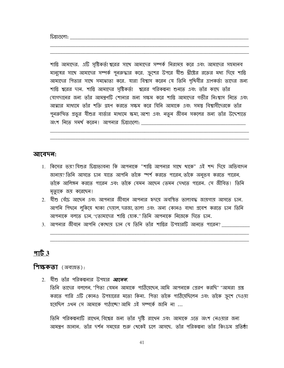চিন্তাগুলো: অনুষ্ঠান কৰা হয়। এই কেৱল কৰা হয়। এই কেৱল কৰা হয়। এই কেৱল কৰা হয়। এই কেৱল কৰা হয়। এই কেৱল কৰা

শান্তি আমাদের. এটি সৃষ্টিকর্তা শ্বরের সাথে আমাদের সম্পর্ক নিরাময় করে এবং আমাদের সহমানব মানুষের সাথে আমাদের সম্পর্ক পুনরুদ্ধার করে. ক্রুশের উপরে যীশু খ্রীষ্টের রক্তের মধ্য দিয়ে শান্তি আমাদের পিতার সাথে সমঝোতা করে. যারা বিশ্বাস করেন যে তিনি পৃথিবীর ত্রাণকর্তা তাদের জন্য শান্তি শ্বরের দান. শান্তি আমাদের সৃষ্টিকর্তা শ্বরের পরিকল্পনা শুনতে এবং তাঁর কাছে তাঁর যোগদানের জন্য তাঁর আমন্ত্রণটি শোনার জন্য সক্ষম করে শান্তি আমাদের গভীর নিঃশ্বাস নিতে এবং আত্মার মাধ্যমে তাঁর শক্তি গ্রহণ করতে সক্ষম করে যিনি আমাকে এবং সমস্ত বিশ্বাসীদেরকে তাঁর পুনরুত্থিত প্রভুর যীশুর বার্তার মাধ্যমে ক্ষমা, আশা এবং নতুন জীবন সকলের জন্য তাঁর উদ্দেশ্যতে অংশ নিতে সমর্থ করেন। আপনার চিন্তাগুলো:

#### আবেদন:

- 1. কিসের ভয়? যিশুর চিন্তাভাবনা কি আপনাকে "শান্তি আপনার সাথে থাকে" এই শব্দ দিয়ে অভিবাদন জানায়? তিনি আসতে চান যাতে আপনি তাঁকে স্পর্শ করতে পারেন, তাঁকে অনুভব করতে পারেন, তাঁকে আলিঙ্গন করতে পারেন এবং তাঁকে যেমন আছেন তেমন দেখতে পারেন. সে জীবিত! তিনি মৃত্যুকে জয় করেছেন!
- 2. যীশু বেঁচে আছেন এবং আপনার জীবনে আপনার হৃদয়ে অবস্থিত তালাবদ্ধ জায়গায় আসতে চান. আপনি পিছনে লুকিয়ে থাকা দেয়াল, দরজা, তালা এবং অন্য কোনও বাধা প্রবেশ করতে চান তিনি আপনাকে বলতে চান "তোমাদের শান্তি হোক." তিনি আপনাকে নিজেকে দিতে চান.
- 3. আপনার জীবনে আপনি কোখায় চান যে তিনি তাঁর শান্তির উপহারটি আনতে পারেন? \_\_\_\_\_\_\_\_\_

#### পার্ট  $3$

**শিক্ষকতা** (অব্যাহত):

2. যীশু তাঁর পরিকল্পনার উপহার *আনেল*. তিনি তাদের বললেন "পিতা যেমন আমাকে পাঠিয়েছেন আমি আপনাকে প্রেরণ করছি' "আমরা প্রশ্ন করতে পারি এটি কোনও উপহারের মতো কিনা. পিতা তাঁকে পাঠিয়েছিলেন এবং তাঁকে ক্রুশে দেওয়া হয়েছিল এথন সে আমাকে পাঠাচ্ছে?আমি এই সম্পৰ্কে জানি না ...

তিনি পরিকল্পনাটি রাখেন, বিশ্বের জন্য তাঁর দৃষ্টি রাখেন এবং আমাকে এতে অংশ নেওয়ার জন্য আমন্ত্রণ জানান. তাঁর দর্শন সময়ের শুরু খেকেই চলে আসছে. তাঁর পরিকল্পনা তাঁর কিংডম প্রতিষ্ঠা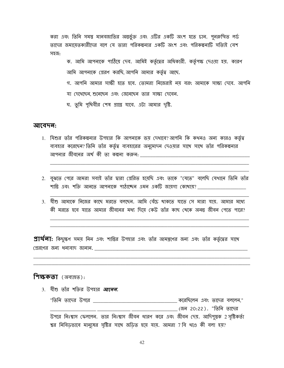করা এবং তিনি সমস্ত মানবজাতির অন্তর্ভুক্ত এবং এটির একটি অংশ হতে চান. পুনরুত্থিত লর্ড তাদের জমায়েতকারীদের বলে যে তারা পরিকল্পনার একটি অংশ এবং পরিকল্পনাটি সত্যিই বেশ সহজ:

ক. আমি আপনাকে পাঠিয়ে দেব. আমিই কর্তৃত্বের অধিকারী. কর্তৃপক্ষ দেওয়া হয়. কারণ আমি আপনাকে প্রেরণ করছি, আপনি আমার কর্তৃত্ব আছে.

গ. আপনি আমার সাক্ষী হতে হবে. তোমরা নিজেরাই নয় বরং আমাকে সাক্ষ্য দেবে. আপনি যা দেখেছেন শুনেছেন এবং জেনেছেন তার সাক্ষ্য দেবেন.

ঘ. তুমি পৃথিবীর শেষ প্রান্তে যাবে. এটা আমার দৃষ্টি.

#### আবেদন:

- 1. যিশুর তাঁর পরিকল্পনার উপহার কি আপনাকে ভয় দেখাবে? আপনি কি কথনও অন্য কারও কর্তৃত্ব ব্যবহার করেছেন? তিনি তাঁর কর্তৃত্ব ব্যবহারের অনুমোদন দেওয়ার সাথে সাথে তাঁর পরিকল্পনার <u>আপনার জীবনের অর্থ কী তা কল্পনা করুন: \_\_\_\_\_\_\_\_\_\_\_\_\_\_\_\_\_\_\_\_\_\_\_\_\_\_\_\_</u>
- 2. বুঝতে পেরে আমরা সবাই তাঁর দ্বারা প্রেরিত হমেছি এবং তাকে "যেতে" বলেছি যেখানে তিনি তাঁর শান্তি এবং শক্তি আনতে আপনাকে পাঠাচ্ছেন এমন একটি জায়গা কোখায়?
- 3. যীশু আমাকে নিজের কাছে মরতে বলছেন. আমি বেঁচে থাকতে যাতে সে মারা যায়. আমার মধ্যে কী মরতে হবে যাতে আমার জীবনের মধ্য দিয়ে কেউ তাঁর কাছ খেকে অনন্তু জীবন পেতে পারে?

**প্রার্থলা:** কিছুক্ষণ সময় নিন এবং শান্তির উপহার এবং তাঁর আমন্ত্রণের জন্য এবং তাঁর কর্তৃত্বের সাথে প্রেরণের জন্য ধন্যবাদ জানান.

#### **শিক্ষকতা** (অব্যাহত):

3. যীশু তাঁর শক্তির উপহার *আনেন.* "তিনি তাদের উপরে \_\_\_\_\_\_\_\_\_\_\_\_\_\_\_\_\_\_\_\_\_\_\_\_\_\_\_\_\_\_\_\_\_\_ করেছিলেন এবং তাদের বললেন," \_\_\_\_\_\_\_\_\_\_ (জন 20:22 ) . "তিনি তাদের উপরে নিঃশ্বাস ফেল্লেন. তার নিঃশ্বাস জীবন ধারণ করে এবং জীবন দেয়. আদিপুস্তক 2 সৃষ্টিকর্তা শ্বর নিবিডভাবে মানুষের সৃষ্টির সাথে জডিত হয়ে যায়. আমরা 7 বি থণ্ডে কী বলা হয়?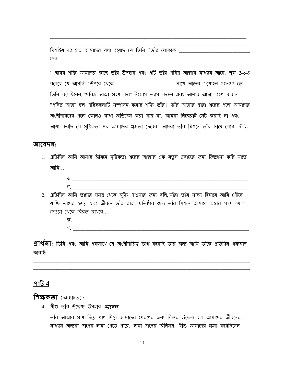যিশাইয় 42: 5 এ আমাদের বলা হয়েছে যে তিনি "তাঁর লোককে (দন "

' শ্বরের শক্তি আমাদের কাছে তাঁর উপহার এবং এটি তাঁর পবিত্র আত্মার মাধ্যমে আসে. লক 24:49 বলেছে যে আপনি "উপরে খেকে \_\_\_\_\_\_\_\_\_\_\_\_\_\_\_\_\_\_\_\_\_\_\_\_\_\_\_\_\_\_\_\_ সাথে আছেন "যোহন 20:22 তে তিনি বলেছিলেন ''পবিত্ৰ আত্মা গ্ৰহণ কর''নিঃশ্বাস ত্যাগ করুন এবং আমার আত্মা গ্ৰহণ করুন ''পবিত্র আত্মা হ'ল পরিকল্পনাটি সম্পাদন করার শক্তি তাঁর! তাঁর আত্মার দ্বারা শ্বরের পক্ষে আমাদের অংশীদারদের পক্ষে কোনও বাধা অতিক্রম করা যায় না. আমরা নিজেরাই সেট করছি না এবং আশা করছি যে সৃষ্টিকর্তা শ্বর আমাদের ক্ষমতা দেবেন. আমরা তাঁর মিশনে তাঁর সাথে যোগ দিচ্চি.

#### আবেদন:

- 1. প্রতিদিন আমি আমার জীবনে সৃষ্টিকর্তা শ্বরের আত্মার এক নতুন প্রবাহের জন্য জিজ্ঞাসা করি যাতে আমি...
	- $\overline{\Phi}$ . The contract of the contract of the contract of the contract of the contract of the contract of the contract of the contract of the contract of the contract of the contract of the contract of the contract of the গ.
- 2. প্রতিদিন আমি তাদের সমস্ত থেকে মুক্তি পাওয়ার জন্য বলি, যাঁরা তাঁর সাক্ষ্য হিসাবে আমি পৌঁছে যাচ্ছি তাদের হৃদয় এবং জীবনে তাঁর রাজ্য প্রতিষ্ঠার জন্য তাঁর মিশনে আমাকে শ্বরের সাথে যোগ দেওয়া খেকে বিরত রাখবে...
	- $\mathfrak{N}$ .

 $\mathfrak A$ য $\mathfrak A$ ন: তিনি এবং আমি একসাথে যে অংশীদারিত্ব ভাগ করেছি তার জন্য আমি তাঁকে প্রতিদিন ধন্যবাদ 

#### পার্ট  $4$

**শিক্ষকতা** (অব্যাহত):

4. যীশু তাঁর উদ্দেশ্য উপহার *আলেল.* 

তাঁর আত্মার প্রাণ দিযে প্রাণ দিযে আমাদের প্রেরণের জন্য যিশুর উদ্দেশ্য হ'ল আমাদের জীবনের মাধ্যমে অন্যরা পাপের ক্ষমা পেতে পারে. ক্ষমা পাপের বিনিময়. যীশু আমাদের ক্ষমা করেছিলেন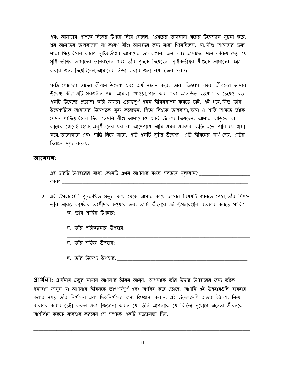এবং আমাদের পাপকে নিজের উপরে নিয়ে গেলেন. 'Sশ্বরের ভালবাসা শ্বরের উদ্দেশ্যকে সূচনা করে. শ্বর আমাদের ভালবাসেন না কারণ যীশু আমাদের জন্য মারা গিয়েছিলেন. না, যীশু আমাদের জন্য মারা গিয়েছিলেন কারণ সৃষ্টিকর্তাশ্বর আমাদের ভালবাসেন. জন 3:16 আমাদের মনে করিয়ে দেয় যে সৃষ্টিকর্তাশ্বর আমাদের ভালবাসেন এবং তাঁর পুত্রকে দিয়েছেন. সৃষ্টিকর্তাশ্বর যীশুকে আমাদের রক্ষা করার জন্য দিয়েছিলেন আমাদের নিন্দা করার জন্য নয় (জন 3:17).

সর্বত্র লোকেরা তাদের জীবনে উদ্দেশ্য এবং অর্থ সন্ধান করে. তারা জিজ্ঞাসা করে "জীবনের আমার উদ্দেশ্য কী?" এটি সর্বজনীন প্রশ্ন. আমরা ''থাওয়া, পান করা এবং আনন্দিত হওয়া' এর চেয়েও বড একটি উদ্দেশ্যে প্রত্যাশা করি আমরা গুরুত্বপূর্ণ এমন জীবনযাপন করতে চাই. এই গল্পে, যীশু তাঁর উদ্দেশ্যটিকে আমাদের উদ্দেশ্যকে যুক্ত করেছেন. পিতা বিশ্বকে ভালবাসা ক্ষমা ও শান্তি আনতে তাঁকে যেমন পাঠিয়েছিলেন ঠিক তেমনি যীশু আমাদেরও একই উদ্দেশ্য দিয়েছেন. আমার বাডিতে বা কাজের ক্ষেত্রেই হোক, অনুশীলনের ঘর বা আশেপাশে আমি এমন একজন ব্যক্তি হতে পারি যে ক্ষমা করে, ভালোবাসে এবং শান্তি নিয়ে আসে. এটি একটি দুর্দান্ত উদ্দেশ্য! এটি জীবনের অর্থ দেয়. এটির চিরন্তন মূল্য রয়েছে.

#### আবেদন:

- 1. এই চারটি উপহারের মধ্যে কোনটি এথন আপনার কাছে সবচেয়ে মূল্যবান? \_\_\_\_\_\_\_\_\_\_\_\_\_\_ কারণ
- 2. এই উপহারগুলি পুনরুত্থিত প্রভুর কাছ থেকে আমার কাছে আসার বিষয়টি জানতে পেরে, তাঁর মিশনে তাঁর আরও কার্যকর অংশীদার হওয়ার জন্য আমি কীভাবে এই উপহারগুলি ব্যবহার করতে পারি? ক. তাঁর শান্তির উপহার:  $\frac{1}{2}$ 
	- গ. তাঁর পরিকল্পনার উপহার:
	- গ. তাঁর শক্তির উপহার: <u>\_\_\_\_\_\_\_\_\_\_</u>
	- ঘ. তাঁর উদ্দেশ্য উপহার: \_\_\_\_\_\_\_\_\_\_\_

**প্রার্থলা:** প্রার্থনায় প্রভুর সামনে আপনার জীবন আনুন. আপনাকে তাঁর উদার উপহারের জন্য তাঁকে ধন্যবাদ জানুন যা আপনার জীবনকে তাৎপর্যপূর্ণ এবং অর্থবহ করে তোলে. আপনি এই উপহারগুলি ব্যবহার করার সময় তাঁর নির্দেশনা এবং দিকনির্দেশের জন্য জিজ্ঞাসা করুন. এই উদ্দেশ্যগুলি অত্যন্ত উদ্দেশ্য নিয়ে ব্যবহার করার চেষ্টা করুন এবং জিজ্ঞাসা করুন যে তিনি আপনাকে যে বিভিন্ন সুযোগে অন্যের জীবনকে আশীর্বাদ করতে ব্যবহার করবেন সে সম্পর্কে একটি সচেতনতা দিন.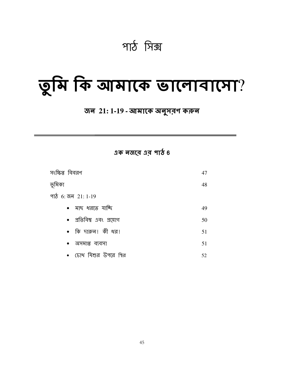পাঠ সিক্স

## তুমি কি আমাকে ভালোবাসো?

#### জন 21: 1-19 - আমাকে অনুসরণ করুন

 $95$  बजा़ अब भार्य 6

| সংক্ষিপ্ত বিবরণ            | 47 |
|----------------------------|----|
| ভূমিকা                     | 48 |
| পাঠ 6: জন 21: 1-19         |    |
| • মাছ ধরতে যাচ্ছি          | 49 |
| • প্রতিবিম্ব এবং প্রয়োগ   | 50 |
| $\bullet$ কি দারুন! কী ধর! | 51 |
| •  অসমাপ্ত ব্যবসা          | 51 |
| • চোখ যিশুর উপরে স্থির     | 52 |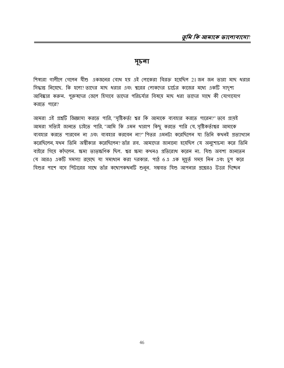#### সূচনা

শিষ্যরা গালীলে গেলেন যীশু একজনের বোধ হয় এই লোকেরা বিরক্ত হয়েছিল 21 জন জন তারা মাছ ধরার সিদ্ধান্ত নিয়েছে. কি হলো? তাদের মাছ ধরার এবং শ্বরের লোকদের চার্চের কাজের মধ্যে একটি সাদৃশ্য আবিষ্কার করুন. পুরুষদের জেলে হিসাবে তাদের পরিচর্যার বিষয়ে মাছ ধরা তাদের সাথে কী যোগাযোগ করতে পারে?

আমরা এই প্রশ্নটি জিজ্ঞাসা করতে পারি, "সৃষ্টিকর্তা শ্বর কি আমাকে ব্যবহার করতে পারেন'?" তবে প্রায়ই আমরা সত্যিই জানতে চাইতে পারি, "আমি কি এমন থারাপ কিছু করতে পারি যে, সৃষ্টিকর্তাশ্বর আমাকে ব্যবহার করতে পারবেন না এবং ব্যবহার করবেন না?"পিতর এমনটা করেছিলেন যা তিনি কথনই প্রত্যাথ্যান করেছিলেন যথন তিনি অশ্বীকার করেছিলেন? তাঁর রব. আমাদের জানানো হয়েছিল যে অনুশোচনা করে তিনি বাইরে গিয়ে কাঁদলেন. ক্ষমা তাতৃক্ষণিক ছিল. শ্বর ক্ষমা কথনও প্রতিরোধ করেন না. যিশু অবশ্য জানতেন যে আরও একটি সমস্যা রয়েছে যা সমাধান করা দরকার. পাঠ 6 এ এক মুহূর্ত সময় নিন এবং চুপ করে যিশুর পাশে বসে পিটারের সাথে তাঁর কথোপকথনটি শুনুন. সম্ভবত যিশু আপনার প্রশ্নেরও উত্তর দিচ্ছেন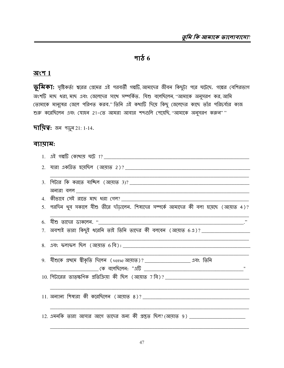#### <u>भार्ठ</u>  $6$

#### <u> অংশ 1</u>

**ভূমিকা:** সৃষ্টিকর্তা শ্বরের প্রেমের এই পরবর্তী গল্পটি,আমাদের জীবন কিছুটা পরে ঘটেছে. গল্পের বেশিরভাগ অংশটি মাছ ধরা, মাছ এবং জেলেদের সাথে সম্পর্কিত. যিশু বলেছিলেন, ''আমাকে অনুসরণ কর, আমি তোমাকে মানুষের জেলে পরিণত করব." তিনি এই কথাটি দিয়ে কিছু জেলেদের কাছে তাঁর পরিচর্যার কাজ শুরু করেছিলেন এবং যোহন 21-তে আমরা আবার শব্দগুলি পেয়েছি, "আমাকে অনুসরণ করুন""

**দায়িত্ব:** জন পড়ুন 21: 1-14.

#### ব্যায়াম:

| 5. পরদিন থুব সকালে যীশু তীরে দাঁড়ালেন. শিষ্যদের সম্পর্কে আমাদের কী বলা হয়েছে (আয়াত 4)? |
|-------------------------------------------------------------------------------------------|
|                                                                                           |
| 7. অবশ্যই তারা কিছুই ধরেনি তাই তিনি তাদের কী বলবেন (আয়াত 6.1)? _____________________     |
|                                                                                           |
| 9.  যীশুকে প্ৰখমে স্বীকৃতি দিলেন (verse আয়াত)? ______________________ এবং তিনি           |
|                                                                                           |
| <u>11. অন্যান্য শিষ্যরা কী করেছিলেন (আয়াত ৪)? __________________________________</u>     |
| 12. এমনকি তারা আসার আগে তাদের জন্য কী প্রস্তুত ছিল? (আয়াত 9) ___________________         |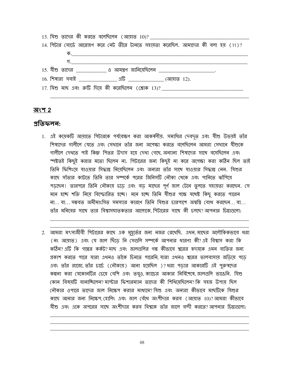| 14. পিটার বোর্ডে আরোহণ করে নেট তীরে টানতে সহায়তা করেছিল. আমাদের কী বলা হয় (11)?    |
|--------------------------------------------------------------------------------------|
|                                                                                      |
| <u>ร. _________________________</u>                                                  |
| <u> 15. যীশু তাদের ____________ ও আমন্ত্রণ জানিমেছিলেন ________________________.</u> |
|                                                                                      |
| $17.$ যিশু মাছ এবং রুটি দিয়ে কী করেছিলেন (শ্লোক $13$ )?                             |
|                                                                                      |

#### অংশ 2

#### প্ৰতিফলন:

- 1. এই কমেকটি আয়াতে পিটারকে পর্যবেক্ষণ করা আকর্ষণীয়. সমাধির দেবদূত এবং যীশু উভয়ই তাঁর শিষ্যদের গালীলে যেতে এবং সেখানে তাঁর জন্য অপেক্ষা করতে বলেছিলেন আমরা সেখানে যীশুকে গালীলে দেখতে পাই কিন্তু পিত্তর উদাস হয়ে দেখা গেছে অন্যান্য শিষ্যদের সাথে বসেছিলেন এবং স্পষ্টতই কিছুই করার মতো ছিলেন না. পিটারের জন্য কিছুই না করে অপেক্ষা করা কঠিন ছিল তাই তিনি ফিশিংয়ে যাওয়ার সিদ্ধান্ত নিয়েছিলেন এবং অন্যরা তাঁর সাথে যাওয়ার সিদ্ধান্ত নেন. যিশুর কাছে সাঁতার কাটতে তিনি তার সম্পর্কে পরের জিনিসটি নৌকা খেকে এবং পানিতে ঝাঁপিযে পড়্ছেন! তারপরে তিনি নৌকায় চড়ে এবং বড় মাছের পূর্ণ জাল টেনে তুলতে সহায়তা করছেন. সে মনে হচ্ছে শক্তি নিয়ে বিস্ফোরিত হচ্ছে। মনে হচ্ছে তিনি যীশুর পক্ষে যথেষ্ট কিছু করতে পারেন না... বা... সম্ভবত অমীমাংসিত সমস্যার কারণে তিনি যিশুর চারপাশে অম্বস্তি বোধ করছেন... বা... তাঁর মনিবের সাথে তার বিশ্বাসঘাতকতার আলোকে পিটারের সাথে কী চলচ্ছে?আপনার চিন্তাগুলো:
- 2. আমরা মৎস্যজীবী পিটারের কাছে এক মুহর্তের জন্য নজর রেখেছি. এথন মাছের অলৌকিকভাবে ধরা (নং আয়াত) এবং যে জাল ছিঁডে নি সেগুলি সম্পর্কে আপনার ধারণা কী?এই বিশ্বাস করা কি কঠিন? এটি কি গল্পের কর্কট? মাছ এবং জালগুলির গল্প কীভাবে শ্বরের হৃদমকে এমন ব্যক্তির জন্য প্রকাশ করতে পারে যারা এথনও তাঁকে চিনতে পারেনি, যারা এথনও শ্বরের ভালবাসায় জড়িয়ে পড়ে এবং তাঁর রাজ্যে, তাঁর চার্চে (নৌকায়) আনা হয়েছিল )?ধরা পড়ার আকারটি এই পুরুষদের কল্পনা করা যেকোনটির চেয়ে বেশি এবং তবুও, ক্যাচের আকার নির্বিশেষে, জালগুলি ভাঙেনি. যিশু কোন বিষয়টি বানাঙ্ঘিলেন? মাস্টার ফিশারম্যান তাদের কী শিথিয়েছিলেন? কি সহজ উপায় ছিল নৌকার ওপারে তাদের জাল নিক্ষেপ করার মাধ্যমে? যিশু এবং অন্যরা কীতাবে মাছটিকে যিশুর কাছে আনার জন্য নিক্ষেপ হোলিং এবং জাল বেঁধে অংশীদার করব (আয়াত 10)?আমরা কীভাবে যীশু এবং একে অপরের সাথে অংশীদার করব বিশ্বকে তাঁর জালে বন্দী করতে?আপনার চিন্তাগুলো:

48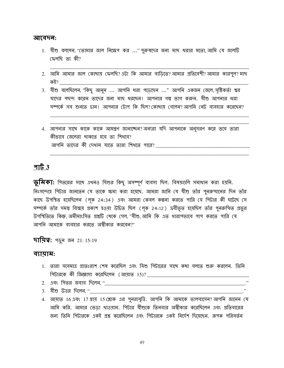#### আবেদন:

- 1. যীশু বললেন, "তোমার জাল নিক্ষেপ কর ..." পুরুষদের জন্য মাছ ধরার মতো, আমি যে জালটি ফেলছি তা কী?
- 2. আমি আমার জাল কোখায় ফেলছি? এটা কি আমার বাডিতে? আমার প্রতিবেশী? আমার কারপুল? মাছ কই?
- 3. যীশু বলেছিলেন, "কিছু আনুন ... আপনি ধরা পড়েছেন ..." আপনি একজন জেলে, সৃষ্টিকর্তা শ্বর যাদের পছন্দ করেন তাদের জন্য মাছ ধরছেন। আপনার গল্প ভাগ করুন. যীশু আপনার ধরা সম্পর্কে সব শুনতে চান! আপনার টোপ কি ছিল? কোখায় গেলেন? আপনি নেট ব্যবহার করেছেন?
- 4. আপনার সাথে কাকে কাকে আমন্ত্রণ জানাচ্ছেন?অন্যরা যদি আপনাকে অনুসরণ করে তবে তারা কীভাবে জেলেরা থাকতে হবে তা শিখবে?

#### $9163$

**ড়মিকা:** গিতরের সাথে এথনও যিশুর কিছু অসম্পূর্ণ ব্যবসা ছিল. বিষয়গুলি সমাধান করা হয়নি. নিঃসন্দেহে পিটার জানতেন যে তাকে ক্ষমা করা হয়েছে. আমরা জানি যে যীশু তাঁর পুনরুত্থানের দিন তাঁর কাছে উপস্থিত হয়েছিলেন (লক 24:34) এবং আমরা কেবল কল্পনা করতে পারি যে পিটার কী ঘটেছে সে সম্পর্কে তাঁর সমস্ত বিস্ময় প্রকাশ হওয়া উচিত ছিল (লূক 24:12) দ্রবীভূত হয়েছিল তাঁর পুনরুত্থিত প্রভুর উপস্থিতিতে কিন্তু অমীমাংসিত প্রশ্নটি থেকে গেল "যীশু আমি কি এত থারাপভাবে পাপ করতে পারি যে আপনি আমাকে ব্যবহার করতে অস্বীকার করবেন?"

**দায়িত্ব:** পড়ুৰ জৰ 21:15-19

#### ব্যায়াম:

- 1. তারা সবেমাত্র প্রাতঃরাশ শেষ করেছিল এবং যিশু গিটারের সাথে কথা বলতে শুরু করলেন. তিনি
- 
- 3. যীশু উত্তর দিলেন."
- 4. আয়াত 16 এবং 17 প্রায় 15 শ্লোক এর পুনরাবৃত্তি. আপনি কি আমাকে ভালবাসেন? আপনি জানেন যে আমি করি. আমার ভেডা থাওয়ান. পিটার যীশুকে তিনবার অস্বীকার করেছিলেন এবং প্রতিবারের জন্য তিনি শিটারকে একই প্রশ্ন করেছিলেন এবং শিটারকে একই নির্দেশ দিয়েছেন. রূপক পরিবর্তন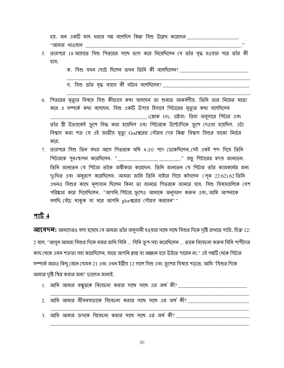হয়. জন একটি মাছ ধরার গল্প বলেছিল কিন্তু যিশু উল্লেখ করেছেন \_\_\_\_\_\_\_\_\_\_ "আমার থাওয়ান \_\_\_\_\_

5. তারপরে 18 আয়াতে যিশু পিতরের সাথে ভাগ করে নিয়েছিলেন যে তাঁর বৃদ্ধ হওয়ার পরে তাঁর কী হবে:

ক. যিশু যখন ছোট ছিলেন তখন তিনি কী বলেছিলেন?

গ. যিশু তাঁর বৃদ্ধ বয়সে কী ঘটবে বলেছিলেন? \_\_\_\_\_\_\_\_\_\_\_\_\_\_\_\_\_\_\_\_\_

- 6. পিতরের মৃত্যুর বিষয়ে যিশু কীভাবে কথা বলেছেন তা শুনতে আকর্ষণীয়. তিনি তার নিজের মতো করে এ সম্পর্কে কথা বলেছেন. যিশু একটি উপায় হিসাবে পিটারের মৃত্যুর কথা বলেছিলেন \_\_\_\_\_\_\_\_\_\_\_\_\_\_\_\_\_\_ (শ্লোক 19). দ্রষ্টব্য: তিহ্য অনুসারে পিটার এবং তাঁর স্ত্রী উভয়কেই ক্রুশে বিদ্ধ করা হয়েছিল এবং পিটারকে উল্টোদিকে ক্রুশে দেওয়া হয়েছিল. এটা বিশ্বাস করা শক্ত যে এই জাতীয় মৃত্যু Godশ্বরের গৌরব দেয় কিন্তু বিশ্বাস যিশুর বাক্যে নির্ভর করে.
- 7. তারপরে যিশু তিন বছর আগে পিতরকে মথি 4:20 পদে ডেকেছিলেন সেই একই শব্দ দিয়ে তিনি পিটারকে পুনঃস্থাপন করেছিলেন. "\_\_\_\_\_\_\_\_\_\_\_\_\_\_\_\_\_\_\_\_\_\_\_\_\_\_\_\_\_\_\_." প্রভু পিটারের হৃদয় জানতেন. তিনি জানতেন যে শিটার তাঁকে অস্বীকার করেছেন. তিনি জানতেন যে শিটার তাঁর কাজকর্মের জন্য দুঃথিত এবং অনুতাপ করেছিলেন. আমরা জানি তিনি বাইরে গিয়ে কাঁদলেন (লূক 22:62) 62 তিনি এখনও যিশুর কাছে মূল্যবান ছিলেন কিনা তা জানতে পিতরকে জানতে হবে. যিশু বিষয়গুলিকে বেশ পরিষ্কার করে দিয়েছিলেন. "আপনি, পিটার, ক্রুশেও আমাকে অনুসরণ করুন এবং, আমি আপনাকে বলছি, বেঁচে থাকুক বা মরে আপনি glorশ্বরের গৌরব করবেন""

#### পার্ট  $4$

**আবেদন:** আমাদেরও বলা হয়েছে যে আমরা তাঁর অনুগামী হওয়ার সাথে সাথে যিশুর দিকে দৃষ্টি রাখতে পারি. হিব্রু 12: 2 বলে, "আসুন আমরা যিশুর দিকে নজর রাখি যিনি ... যিনি ক্রুশ সহ্য করেছিলেন ... তাকে বিবেচনা করুন যিনি পাপীদের কাছ থেকে এমন শত্ৰুতা সহ্য করেছিলেন, যাতে আপনি ক্লান্ত বা অজ্ঞান হয়ে উঠতে পারেন না." এই গল্পটি থেকে পিটার সম্পর্কে আরও কিছু জেনে যোহন 21 এবং এথন ইব্রীয় 12 সালে যিশু এবং ক্রুশের বিষয়ে পড়তে, আমি "যিশুর দিকে আমার দৃষ্টি স্থির করার জন্য" চ্যালেঞ্জ জানাই.

- 1. আমি আমার বন্ধুত্বকে বিবেচনা করার সাথে সাথে এর অর্থ কী? \_\_\_\_\_\_\_\_\_\_\_\_\_\_\_\_\_\_\_\_\_\_\_\_\_\_\_\_\_
- 2. আমি আমার জীবনযাত্রাকে বিবেচনা করার সাথে সাথে এর অর্থ কী? 3. আমি আমার ক্রসকে বিবেচনা করার সাথে সাথে এর অর্থ কী?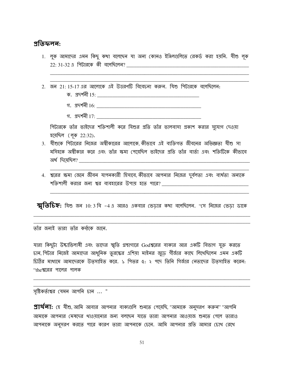#### <u>প্রতিফলন:</u>

- 1. লুক আমাদের এমন কিছু কথা বলেছেন যা অন্য কোনও ইঞ্জিলগুলিতে রেকর্ড করা হয়নি. যীশু লুক  $22:31$ -32 এ পিটারকে কী বলেছিলেন?
- 2. জন 21:15-17 এর আলোকে এই উত্তরণটি বিবেচনা করুন. যিশু পিটারকে বলেছিলেন:
	- গ. স্ৰদৰ্শনী  $16$ :
	- গ. প্ৰদৰ্শনী 17:

পিটারকে তাঁর ভাইদের শক্তিশালী করে যিশুর প্রতি তাঁর ভালবাসা প্রকাশ করার সুযোগ দেওয়া হয়েছিল ( লূক 22:32).

- 3. যীশুকে পিটারের নিজের অস্বীকারের আলোকে কীভাবে এই ব্যক্তিগত জীবনের অভিজ্ঞতা যীশু সা মসিহকে অশ্বীকার করে এবং তাঁর ক্ষমা পেয়েছিল ভাইদের প্রতি তাঁর বার্তা এবং শক্তিটিকে কীভাবে অর্থ দিয়েছিল? <u>সা</u>মী সম্মান কৰি আছিল আছিল আছিল আছিল।
- 4. শ্বরের ক্ষমা জেনে জীবন যাপনকারী হিসাবে কীভাবে আপনার নিজের দুর্বলতা এবং ব্যর্থতা অন্যকে <u>শক্তিশালী করার জন্য শ্বর ব্যবহারের উপায় হতে পারে? \_\_\_\_\_\_\_\_\_\_\_\_\_\_\_\_</u>

**স্মৃতিচিহ্ন:** শিশু জন 10:3 বি -4 এ আরও একবার ভেড়ার কথা বলেছিলেন. ''সে নিজের ভেড়া ডাকে

তাঁর জন্যই তারা তাঁর কন্ঠকে জানে.

যারা কিছুটা উদ্যভিলাষী এবং তাদের স্মৃতি গ্রন্থাগারে Godশ্বরের বাক্যর আর একটি বিভাগ যুক্ত করতে চান, পিটার নিজেই আমাদের আধুনিক তুরস্কের এশিয়া মাইনর জুডে গীর্জার কাছে লিখেছিলেন এমন একটি চিঠির মাধ্যমে আমাদেরকে উত্সাহিত করে. ১ গিতর ৫: ২ পদে তিনি গির্জার নেতাদের উত্সাহিত করেন: "theশ্বরের পালের পালক

সৃষ্টিকর্তাশ্বর যেমন আপনি চান ... "

**প্রার্থলা:** হে যীশু, আমি আবার আপনার বাক্যগুলি শুনতে পেয়েছি, "আমাকে অনুসরণ করুন" "আপনি আমাকে আপনার মেষদের থাওয়ানোর জন্য বলছেন যাতে তারা আপনার আওয়াজ শুনতে পেলে তারাও আপনাকে অনুসরণ করতে পারে কারণ তারা আপনাকে চেনে. আমি আপনার প্রতি আমার চোখ রেখে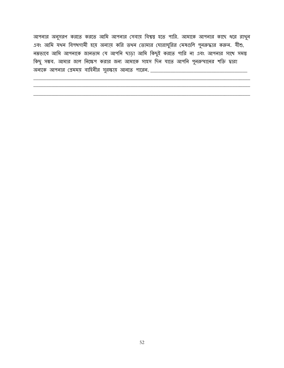আপনার অনুসরণ করতে করতে আমি আপনার সেবায় বিশ্বস্ত হতে পারি. আমাকে আপনার কাছে ধরে রাখুন এবং আমি যথন বিপথগামী হয়ে অন্যায় করি তথন তোমার ঘোরাঘুরির মেষগুলি পুনরুদ্ধার করুন. যীশু, নম্রভাবে আমি আপনাকে জানতাম যে আপনি ছাড়া আমি কিছুই করতে পারি না এবং আপনার সাথে সমস্ত কিছু সম্ভব. আমার জাল নিক্ষেপ করার জন্য আমাকে সাহস দিন যাতে আপনি পুনরুত্থানের শক্তি দ্বারা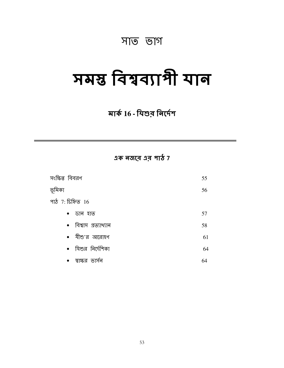### সাত ভাগ

## সমস্ত বিশ্বব্যাপী যান

### মাৰ্ক 16 - যিশুর নির্দেশ

 $3\sigma$  নজরে এর পাঠ 7

| সংক্ষিপ্ত বিবরণ        | 55 |
|------------------------|----|
| ভূমিকা                 | 56 |
| পাঠ $7:$ চিহ্নিত $16$  |    |
| ডান হাত<br>$\bullet$   | 57 |
| • বিশ্বাস প্ৰত্যাখ্যান | 58 |
| • যীশু'র আরোহণ         | 61 |
| • যিশুর নির্দেশিকা     | 64 |
| স্বাক্ষর<br>ভাসন       | 64 |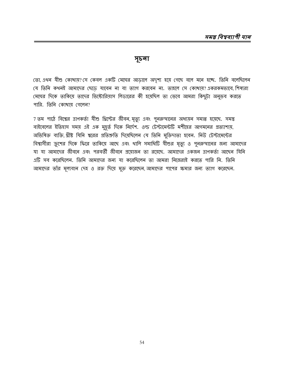#### সূচলা

তো, এখন যীশু কোখায়? সে কেবল একটি মেঘের আড়ালে অদৃশ্য হয়ে গেছে বলে মনে হচ্ছে. তিনি বলেছিলেন যে তিনি কথনই আমাদের ছেডে যাবেন না বা ত্যাগ করবেন না. তাহলে সে কোথায়? একরকমভাবে, শিষ্যরা মেঘের দিকে তাকিয়ে তাদের ভিক্টোরিয়াস লিডারের কী হয়েছিল তা ভেবে আমরা কিছুটা অনুভব করতে পারি. তিনি কোথায় গেলেন?

7 তম পাঠে বিশ্বের ত্রাণকর্তা যীশু খ্রিস্টের জীবন, মৃত্যু এবং পুনরুত্থানের অধ্যয়ন সমাপ্ত হয়েছে. সমস্ত বাইবেলের ইতিহাস সময় এই এক মুহূর্ত দিকে নির্দেশ. ওল্ড টেস্টামেন্টটি মশীহের আগমনের প্রত্যাশায়, অভিষিক্ত ব্যক্তি, খ্রীষ্ট যিনি শ্বরের প্রতিশ্রুতি দিয়েছিলেন যে তিনি মুক্তিদাতা হবেন. নিউ টেস্টামেন্টের বিশ্বাসীরা ক্রুশের দিকে ফিরে তাকিয়ে আছে এবং থালি সমাধিটি যীশুর মৃত্যু ও পুনরুত্থানের জন্য আমাদের যা যা আমাদের জীবনে এবং পরবর্তী জীবনে প্রয়োজন তা রয়েছে. আমাদের একজন ত্রাণকর্তা আছেন যিনি এটি সব করেছিলেন. তিনি আমাদের জন্য যা করেছিলেন তা আমরা নিজেরাই করতে পারি নি. তিনি আমাদের তাঁর মূল্যবান দেহ ও রক্ত দিয়ে মুক্ত করেছেন, আমাদের পাপের ক্ষমার জন্য ত্যাগ করেছেন.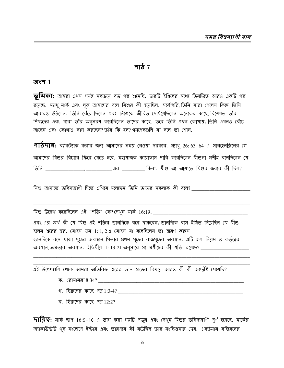#### পাঠ  $7$

#### অংশ  $1$

ভূ**মিকা:** আমরা এখন পর্যন্ত সবচেয়ে বড় গল্প শুনেছি. চারটি ইঞ্জিলের মধ্যে তিনটিতে আরও একটি গল্প রয়েছে. ম্যাখু, মার্ক এবং লক আমাদের বলে যিশুর কী হয়েছিল. সর্বোপরি, তিনি মারা গেলেন কিন্তু তিনি আবারও উঠলেন. তিনি বেঁচে ছিলেন এবং নিজেকে জীবিত দেখিয়েছিলেন অনেকের কাছে বিশেষত তাঁর শিষ্যদের এবং যারা তাঁর অনুসরণ করেছিলেন তাদের কাছে. তবে তিনি এথন কোথায়? তিনি এথনও বেঁচে আছেন এবং কোথাও বাস করছেন? তাঁর কি হল? গসপেলগুলি যা বলে তা শোন.

**পাঠদান:** ব্যাকট্যাক করার জন্য আমাদের সময় নেওয়া দরকার. ম্যাখু 26: 63-64-এ সানহেনড়িনের গে আমাদের যিশুর বিচারে ফিরে যেতে হবে. মহাযাজক কায়াফাস দাবি করেছিলেন যীশুসা মশীহ বলেছিলেন যে তিনি \_\_\_\_\_\_\_\_\_\_\_\_\_\_\_, \_\_\_\_\_\_\_\_\_\_\_\_ এর \_\_\_\_\_\_\_\_\_ কিনা. যীশু আ আয়াতে যিশুর জবাব কী ছিল?

যিশু উল্লেখ করেছিলেন এই "শক্তি" কে?দেখন মার্ক 16:19.

এবং এর অর্থ কী যে যিশু এই শক্তির ডানদিকে বসে থাকবেন?ডানদিকে বসে ইঙ্গিত দিয়েছিল যে যীশু হলেন শ্বরের স্বর. যোহন জন 1:1,2এ যোহন যা বলেছিলেন তা স্মরণ করুন ডানদিকে বসে থাকা পুত্রের অবস্থান, পিতার প্রথম পুত্রের রাজপুত্রের অবস্থান. এটি হ'ল নিয়ম ও কর্তৃত্বের অবস্থান, ক্ষমতার অবস্থান. ইফিষীয় 1:19-21 অনুসারে সা মশীহের কী শক্তি রয়েছে? \_\_\_\_\_\_\_\_\_\_\_\_\_\_\_\_\_\_\_\_\_

এই উল্লেখগুলি খেকে আমরা অতিরিক্ত শ্বরের ডান হাতের বিষয়ে আরও কী কী অন্তর্দৃষ্টি পেয়েছি?

- 
- 
- ঘ. হিব্রুদের কাছে পত্র 12:2?

অ্যাকাউন্টটি থুব সংক্ষেপে ইস্টার এবং তারপরে কী ঘটেছিল তার সংক্ষিপ্তসার দেয়. (বর্তমান বাইবেলের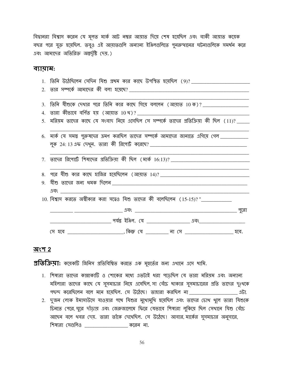বিদ্বানরা বিশ্বাস করেন যে মূলত মার্ক আট নম্বর আয়াত দিয়ে শেষ হয়েছিল এবং বাকী আয়াত কয়েক বছর পরে যুক্ত হয়েছিল. তবুও এই আয়াতগুলি অন্যান্য ইঞ্জিলগুলিতে পুনরুত্থানের ঘটনাগুলিকে সমর্থন করে এবং আমাদের অতিরিক্ত অন্তর্দৃষ্টি দেয়.)

#### ব্যায়াম:

| 1. তিনি উঠেছিলেন সেদিন যিশু প্ৰথম কার কাছে উপস্থিত হয়েছিল $(9)? \underline{\hspace{2cm}1.2cm}$      |
|------------------------------------------------------------------------------------------------------|
|                                                                                                      |
|                                                                                                      |
| 3. তিনি যীশুকে দেখার পরে তিনি কার কাছে গিয়ে বললেন (আয়াত 10 ক)? __________________                  |
| <u>4. তারা কীভাবে বর্ণিত হয় (আয়াত 10 থ)? _________________________________</u>                     |
| <u>5.  মরিম়ম তাদের কা</u> ছে যে সংবাদ নিয়ে এসেছিল সে সম্পর্কে তাদের প্রতিক্রিয়া কী ছিল (11)? ____ |
|                                                                                                      |
| 6. মার্ক যে সমস্ত পুরুষদের ত্রমণ করছিল তাদের সম্পর্কে আমাদের জানাতে এগিয়ে গেল ___________           |
|                                                                                                      |
|                                                                                                      |
| <u>7. তাদের রিপোর্টে শিষ্যদের প্রতিক্রিয়া কী ছিল (মার্ক 16:13)? ______________________________</u>  |
|                                                                                                      |
|                                                                                                      |
|                                                                                                      |
|                                                                                                      |
| 10. বিশ্বাস করতে অশ্বীকার করা সত্বেও যিশু তাদের কী বলেছিলেন (15-15)? "<br>[2020]                     |
|                                                                                                      |
|                                                                                                      |
| (স হবে _________________________, কিন্তু যে __________ না সে __________________________ হবে.         |

#### <u> অংশ 2</u>

**প্রতিক্রিয়া:** কয়েকটি জিনিস প্রতিবিশ্বিত করতে এক মুহুর্তের জন্য এখানে এসে খামি.

- 1. শিষ্যরা তাদের কান্নাকাটি ও শোকের মধ্যে এতটাই ধরা পড়েছিল যে তারা মরিয়ম এবং অন্যান্য মহিলারা তাদের কাছে যে সুসমাচার নিয়ে এসেছিল, সা বেঁচে থাকার সুসমাচারের প্রতি তাদের দুঃথকে গছন্দ করেছিলেন বলে মনে হয়েছিল. সে উঠেছে। তাহারা করছিল না \_\_\_\_\_\_\_\_\_\_\_\_\_\_\_\_\_\_\_\_\_\_ এটা.
- 2. দুজন লোক ইমাসাউদে যাওয়ার পথে যিশুর মুথোমুথি হয়েছিল এবং তাদের চোখ থুলে তারা যিশুকে চিনতে পেরে, ঘুরে দাঁড়ায় এবং জেরুজালেমে ফিরে যেভাবে শিষ্যরা লুকিয়ে ছিল সেখানে যিশু বেঁচে আছেন বলে থবর দেয়. তারা তাঁকে দেখেছিল. সে উঠেছে। আবার, মার্কের সুসমাচার অনুসারে, শিষ্যরা সেগুলিও \_\_\_\_\_\_\_\_\_\_\_\_\_\_\_\_ করেন না.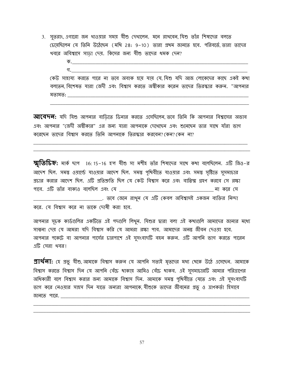- 3. সৃতরাং এগারো জন থাওয়ার সময় যীশু দেথালেন. মনে রাখবেন যিশু তাঁর শিষ্যদের বলতে চেয়েছিলেন যে তিনি উঠেছেন (মথি 28: 9–10) তারা প্রথম জানতে হবে. পরিবর্তে তারা তাদের খবরে অবিশ্বাসে সাডা দেয়. কিসের জন্য যীশু তাদের ধমক দেন?
	- গ $\sim$ কেউ সাহায্য করতে পারে না তবে অবাক হয়ে যায় যে যিশু যদি আজ লোকেদের কাছে একই কথা বলতেন, বিশেষত যারা জেদী এবং বিশ্বাস করতে অস্বীকার করেন তাদের তিরস্কার করুন. "আপনার মতামত:

**আবেদন:** যদি যিশু আপনার বাডিতে ডিনার করতে এসেছিলেন, তবে তিনি কি আপনার বিশ্বাসের অভাব এবং আপনার "জেদী অস্বীকার" এর জন্য যারা আপনাকে দেখেছেন এবং শুনেছেন তার সাথে যাঁরা ভাগ করেছেন তাদের বিশ্বাস করতে তিনি আপনাকে তিরস্কার করবেন? কেন? কেন না?

 $\overline{\mathbf{\mathcal{B}}}$ তিচিহ্ন: মার্ক ছাপ  $\,$  16: 15-16 হ'ল যীশু সা মশীহ তাঁর শিষ্যদের সাথে কথা বলেছিলেন. এটি জিও-র আদেশ ছিল. সমস্তু ওয়ার্ল্ডে যাওয়ার আদেশ ছিল. সমস্তু পৃথিবীতে যাওয়ার এবং সমস্তু সৃষ্টিতে সুসমাচার প্রচার করার আদেশ ছিল. এটি প্রতিশ্রুতি ছিল যে কেউ বিশ্বাস করে এবং বাপ্তিস্ম গ্রহণ করবে সে রক্ষা \_\_\_\_\_\_\_\_\_\_\_\_\_\_\_\_\_\_. তবে জেনে রাথুন যে এটি কেবল অবিশ্বাসই একজন ব্যক্তির নিন্দা করে. যে বিশ্বাস করে না তাকে দোষী করা হবে.

আপনার সূচক কার্ডগুলির একটিতে এই পদগুলি লিখুন. যিশুর দ্বারা বলা এই কথাগুলি আমাদের জানার মধ্যে সাম্বনা দেয় যে আমরা যদি বিশ্বাস করি যে আমরা রক্ষা পাব. আমাদের অনন্ত জীবন দেওয়া হবে. আপনার পকেটে বা আপনার পার্দের চারপাশে এই সুসংবাদটি বহন করুন. এটি আপনি ভাগ করতে পারেন এটি সেরা থবর।

 $\mathfrak A$ য $\mathfrak A$ ন: হে প্রভূ যীশু, আমাকে বিশ্বাস করুন যে আপনি সত্যই মৃতদের মধ্য থেকে উঠে এসেছেন. আমাকে বিশ্বাস করতে বিশ্বাস দিন যে আপনি বেঁচে থাকায় আমিও বেঁচে থাকব. এই সুসমাচারটি আমার পরিত্রাণের অধিকারী বলে বিশ্বাস করার জন্য আমাকে বিশ্বাস দিন. আমাকে সমস্ত পৃথিবীতে যেতে এবং এই সুসংবাদটি ভাগ করে নেওয়ার সাহস দিন যাতে অন্যরা আপনাকে, যীশুকে তাদের জীবনের প্রভু ও ত্রাণকর্তা হিসাবে 

57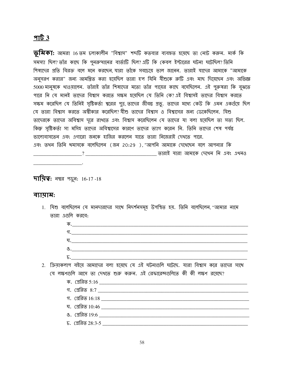#### $9163$

**ভূমিকা:** আমরা 16 তম চলাকালীন "বিশ্বাস" শব্দটি কতবার ব্যবহৃত হয়েছে তা নোট করুন. মার্ক কি সমস্যা ছিল? তাঁর কাছে কি পুনরুত্থানের বার্তাটি ছিল? এটি কি কেবল ইস্টারের ঘটনা ঘটেছিল? তিনি শিষ্যদের প্রতি বিরক্ত বলে মনে করছেন যারা তাঁকে সবচেয়ে ভাল জানেন. তারাই যাদের আমাকে "আমাকে অনুসরণ করার" জন্য আমন্ত্রিত করা হয়েছিল তারা হ'ল যিনি যীশুকে রুটি এবং মাছ দিয়েছেন এবং অভিজ্ঞ 5000 মানুষকে থাওয়ালেন. তাঁরাই তাঁর শিষ্যদের মতো তাঁর পায়ের কাছে বসেছিলেন. এই পুরুষরা কি বুঝতে পারে নি যে মানই তাদের বিশ্বাস করতে সক্ষম হয়েছিল যে তিনি কে? এই বিশ্বাসই তাদের বিশ্বাস করতে সক্ষম করেছিল যে তিনিই সৃষ্টিকর্তা শ্বরের পুত্র, তাদের জীবন্ত প্রভু. তাদের মধ্যে কেউ কি এমন একগুঁয়ে ছিল যে তারা বিশ্বাস করতে অস্বীকার করেছিল? যীশু তাদের বিশ্বাস ও বিশ্বাসের জন্য ডেকেছিলেন. যিশু তাদেরকে তাদের অবিশ্বাস দূরে রাথতে এবং বিশ্বাস করেছিলেন যে তাদের যা বলা হয়েছিল তা সত্য ছিল. কিন্তু সৃষ্টিকর্তা সা মসিহ তাদের অবিশ্বাসের কারণে তাদের ত্যাগ করেন নি. তিনি তাদের শেষ পর্যন্ত ভালোবাসতেন এবং এগারো জনকে হাজির করলেন যাতে তারা নিজেরাই দেখতে পারে. এবং তথন তিনি থমাসকে বলেছিলেন (জন 20:29 ), "আপনি আমাকে দেখেছেন বলে আপনার কি 

**দায়িত্ব:** নম্বর পড়ুন: 16-17 -18

#### ব্যায়াম:

1. যিশু বলেছিলেন যে মানদারদের সাথে নিদর্শনসমূহ উপস্থিত হয়. তিনি বলেছিলেন, "আমার নামে তারা এগুলি করবে:

| ক,                                                                                       |
|------------------------------------------------------------------------------------------|
| গ.                                                                                       |
| ঘ.                                                                                       |
| $\mathcal{B}_{\prime}$                                                                   |
| Б.                                                                                       |
| 2. ক্রিয়াকলাপ বইয়ে আমাদের বলা হয়েছে যে এই ঘটনাগুলি ঘটেছে. যারা বিশ্বাস করে তাদের সাথে |
| যে লক্ষণগুলি আসে তা দেখতে শুরু করুন. এই রেফারেন্সগুলিতে কী কী লক্ষণ রয়েছে?              |

ঘ. (প্ৰৱিত  $10:46$ চ. প্রেরিত 28:3-5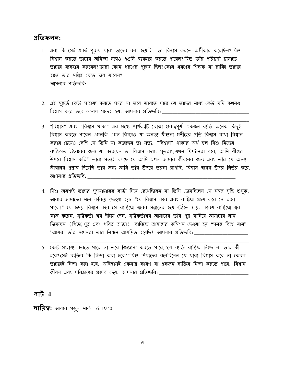#### প্ৰতিফলন:

- 1. এরা কি সেই একই পুরুষ যারা তাদের বলা হয়েছিল তা বিশ্বাস করতে অস্বীকার করেছিল?যিশু বিশ্বাস করতে তাদের অনিচ্ছা সত্বেও এগুলি ব্যবহার করতে পারেন? যিশু তাঁর পরিচর্যা চালাতে তাদের ব্যবহার করবেন? তারা কোন ধরণের পুরুষ ছিল? কোন ধরণের শিক্ষক বা রাব্বি তাদের হাতে তাঁর মন্ত্রিত্ব ছেডে চলে যাবেন? আপনার প্রতিচ্ছবি:
- 2. এই মুহুর্তে কেউ সাহায্য করতে পারে না তবে ভাবতে পারে যে তাদের মধ্যে কেউ যদি কথনও বিশ্বাস করে তবে কেবল সন্দেহ হয়. আপনার প্রতিচ্ছবি: \_\_\_\_\_\_\_\_
- 3. "বিশ্বাস" এবং "বিশ্বাস থাকা" এর মধ্যে পার্থক্যটি বোঝা গুরুত্বপূর্ণ. একজন ব্যক্তি অনেক কিছুই বিশ্বাস করতে পারেন এমনকি এমন বিষয়ও যা অসত্য যীশুসা মশীহের প্রতি বিশ্বাস রাখা বিশ্বাস করার চেয়েও বেশি যে তিনি যা করেছেন তা সত্য. "বিশ্বাস" থাকার অর্থ হ'ল যিশু নিজের ব্যক্তিগত উদ্ধারের জন্য যা করেছেন তা বিশ্বাস করা. সুতরাং, যথন থ্রিস্টানরা বলে, "আমি যীশুর উপরে বিশ্বাস করি" তারা সত্যই বলছে যে আমি এখন আমার জীবনের জন্য এবং তাঁর যে অনন্ত জীবনের প্রস্তাব দিয়েছি তার জন্য আমি তাঁর উপরে ভরসা রাখছি. বিশ্বাস শ্বরের উপর নির্ভর করে. আপনার প্রতিষ্চ্বি:
- 4. যিশু অবশ্যই তাদের সুসমাচারের বার্তা দিয়ে রেথেছিলেন যা তিনি চেয়েছিলেন যে সময়ু সৃষ্টি শুনুক. আবার আমাদের মনে করিয়ে দেওয়া হয়: "যে বিশ্বাস করে এবং বাপ্তিস্ম গ্রহণ করে সে রক্ষা পাবে!" যে হৃদয় বিশ্বাস করে সে বাপ্তিস্মে শ্বরের সন্তানের হয়ে উঠতে চায়. কারণ বাপ্তিস্মে শ্বর কাজ করেন. সৃষ্টিকর্তা শ্বর দীক্ষা দেন. সৃষ্টিকর্তাশ্বর আমাদের তাঁর পুত্র বানিয়ে আমাদের নাম দিয়েছেন (পিতা, পুত্র এবং পবিত্র আত্মা) বাপ্তিস্মে আমাদের কমিশন দেওয়া হয় ''সমস্ত বিশ্বে যান'' "আমরা তাঁর সন্তানরা তাঁর মিশনে আমন্ত্রিত হয়েছি। আপনার প্রতিষ্চবি: \_\_
- 5. কেউ সাহায্য করতে পারে না তবে জিজ্ঞাসা করতে পারে "যে ব্যক্তি বাপ্তিশ্ম নিচ্ছে না তার কী হবে? সেই ব্যক্তির কি নিন্দা করা হবে? "যিশু শিষ্যদের বলেছিলেন যে যারা বিশ্বাস করে না কেবল তাদেরই নিন্দা করা হবে. অবিশ্বাসই একমাত্র কারণ যা একজন ব্যক্তির নিন্দা করতে পারে. বিশ্বাস জীবন এবং পরিত্রাণের প্রস্তাব দেয়. আপনার প্রতিষ্<del>দ্</del>ববি:

#### পার্ট  $4$

**দায়িত্ব:** আবার পড়ুন মার্ক 16: 19-20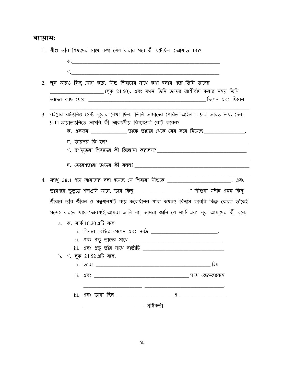#### ব্যামাম:

| 1. যীশু তাঁর শিষ্যদের সাথে কথা শেষ করার পরে,কী ঘটেছিল (আয়াত 19)?                                                     |
|-----------------------------------------------------------------------------------------------------------------------|
|                                                                                                                       |
|                                                                                                                       |
| 2. লুক আরও কিছু যোগ করে. যীশু শিষ্যদের সাথে কথা বলার পরে তিনি তাদের                                                   |
| _____________ (লূক 24:50). এবং যথন তিনি তাদের আশীর্বাদ করার সময় তিনি                                                 |
|                                                                                                                       |
| 3. বইয়ের বইগুলিও সেন্ট লুকের লেখা ছিল. তিনি আমাদের গ্রেরিত আইন 1:9এ আরও তথ্য দেন.                                    |
| 9-11 আয়াতগুলিতে আপনি কী আকর্ষণীয় বিষয়গুলি নোট করেন?                                                                |
| ক. একজন _________________ তাকে তাদের থেকে বের করে নিয়েছে ___________________.                                        |
|                                                                                                                       |
|                                                                                                                       |
| <u> 1990 - Johann Harry Harry Harry Harry Harry Harry Harry Harry Harry Harry Harry Harry Harry Harry Harry Harry</u> |
|                                                                                                                       |
| 4. ম্যাথু 28:1 পদে আমাদের বলা হয়েছে যে শিষ্যরা যীশুকে __________________________. এবং                                |
| তারপরে ভুতুড়ে শব্দগুলি আসে, "তবে কিছু <b>_____________________________</b> " "যীশুসা মশীহ এমন কিছু                   |
| জীবনে তাঁর জীবন ও মন্ত্রণালয়টি ব্যয় করেছিলেন যারা কথনও বিশ্বাস করেনি কিন্তু কেবল তাঁকেই                             |
| সন্দেহ করতে থাকে?অবশ্যই,আমরা জানি না. আমরা জানি যে মার্ক এবং লুক আমাদের কী বলে.                                       |
| a. ক. মাৰ্ক 16:20 এটি বলে                                                                                             |
| i. শিষ্যরা বাইরে গেলেন এবং সর্বত্র <b>[18]</b> [19] [19] [19] [19] [19]                                               |
|                                                                                                                       |
|                                                                                                                       |
| b. গ. লুক 24:52 এটি বলে.                                                                                              |
| হিম                                                                                                                   |
|                                                                                                                       |
|                                                                                                                       |
|                                                                                                                       |
|                                                                                                                       |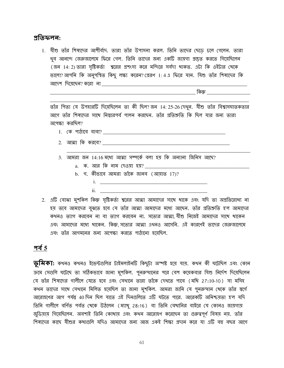#### প্ৰতিফলন:

1. যীশু তাঁর শিষ্যদের আশীর্বাদ. তারা তাঁর উপাসনা করল. তিনি তাদের ছেডে চলে গেলেন. তারা খুব আনন্দে জেরুজালেমে ফিরে গেল. তিনি তাদের জন্য একটি জায়গা প্রস্তুত করতে গিয়েছিলেন (জন 14: 2) তারা সৃষ্টিকর্তা শ্বরের প্রশংসা করে মন্দিরে সর্বদা থাকত. এটা কি ওইটার খেকে ভালো? আপনি কি অনুপস্থিত কিছু লক্ষ্য করেন? প্রেরণ 1: 4 এ ফিরে যান. যিশু তাঁর শিষ্যদের কি আদেশ দিয়েছেন? করো না \_\_\_\_\_\_\_\_\_\_\_\_\_\_\_

কিন্তু *কি*ন্তু

তাঁর পিতা যে উপহারটি দিয়েছিলেন তা কী ছিল? জন 14: 25-26 দেখুন. যীশু তাঁর বিশ্বাসঘাতকতার আগে তাঁর শিষ্যদের সাথে নিস্তারপর্ব পালন করছেন. তাঁর প্রতিশ্রুতি কি ছিল যার জন্য তারা অপেক্ষা করছিল?

- 
- 2. আত্মা কি করবে?
- 3. আমরা জন 14:16 মধ্যে আত্মা সম্পর্কে বলা হয় কি অন্যান্য জিনিস আছে?
	- a. ক. আর কি নাম দেওয়া হয়?
	- b. গ. কীভাবে আমরা তাঁকে জানব (আয়াত  $17$ )?
- <u>i. \_\_\_\_\_\_\_\_\_\_\_\_\_\_\_\_\_\_\_\_\_\_\_\_\_\_</u>  $ii.$ 2. এটি বোঝা মুশকিল কিন্তু সৃষ্টিকর্তা শ্বরের আত্মা আমাদের সাথে থাকে এবং যদি তা অপ্রতিরোধ্য না
- হয় তবে আমাদের বুঝতে হবে যে তাঁর আত্মা আমাদের মধ্যে আছেন. তাঁর প্রতিশ্রুতি হ'ল আমাদের কখনও ত্যাগ করবেন না বা ত্যাগ করবেন না. সত্যের আত্মা যীশু নিজেই আমাদের সাথে থাকেন এবং আমাদের মধ্যে থাকেন. কিন্তু, সত্যের আত্মা এথনও আসেনি. এই কারণেই তাদের জেরুজালেমে এবং তাঁর আগমনের জন্য অপেক্ষা করতে পাঠানো হযেছিল.

#### <u>পৰ্ব 5</u>

**ভূমিকা:** কথনও কথনও ইভেন্টগুলির টাইমলাইনটি কিছুটা অস্পষ্ট হয়ে যায়. কথন কী ঘটেছিল এবং কোন ক্রমে সেগুলি ঘটেছে তা সঠিকভাবে জানা মুশকিল. পুনরুত্থানের পরে বেশ কয়েকবার যিশু নির্দেশ দিয়েছিলেন (য তাঁর শিষ্যদের গালীলে যেতে হবে এবং সেথানে তারা তাঁকে দেখতে পাবে (মথি 27:10-10) সা মসিহ কথন তাদের সাথে সেথানে মিলিত হয়েছিল তা জানা মুশকিল. আমরা জানি যে পুনরুত্থান থেকে তাঁর স্বর্গে আরোহণের আগ পর্যন্ত 40 দিন ছিল যাতে এই দিনগুলিতে এটি ঘটতে পারে. আরেকটি অনিশ্চয়তা হ'ল যদি তিনি গালীলে বর্ণিত পর্বত থেকে উঠলেন (ম্যাখু 28:16) বা তিনি বেথানির বাইরে যে কোনও জায়গায় জুডিয়ায় গিয়েছিলেন. অবশ্যই তিনি কোখায় এবং কথন আরোহণ করেছেন তা গুরুত্বপূর্ণ বিষয় নয়. তাঁর শিষ্যদের কাছে যীশুর কথাগুলি যদিও আমাদের জন্য আজ একই শিক্ষা প্রদান করে যা এটি বহু বছর আগে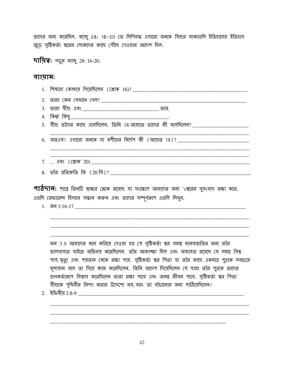তাদের জন্য করেছিল. ম্যাখু 28: 18–20 তে লিপিবদ্ধ এগারো জনকে যিশুর বাক্যগুলি ইতিহাসের ইতিহাস জুড়ে সৃষ্টিকর্তা শ্বরের লোকদের কাছে পৌঁছে দেওয়ার আদেশ ছিল.

**দায়িত্ব:** পড়ুৰ ম্যাখু 28: 16-20.

#### ব্যায়াম:

| 5. যীশু তাঁদের কাছে এসেছিলেন. তিনি 18 আয়াতে তাদের কী বলেছিলেন? _______________________ |
|-----------------------------------------------------------------------------------------|
|                                                                                         |
| 6. অতএব! এগারো জনকে সা মশীহের নির্দেশ কী (আয়াত 19)? ____________________________       |
|                                                                                         |
|                                                                                         |
| 7.  এবং (শ্লোক 20)                                                                      |
|                                                                                         |
|                                                                                         |

পাঠদান: শাস্ত্র তিনটি স্বাক্ষর শ্লোক রয়েছে যা সংক্ষেপে আমাদের জন্য 'sশ্বরের সুসংবাদ রক্ষা করে. এগুলি রেফারেন্স হিসাবে সন্ধান করুন এবং তাদের সম্পূর্ণরূপে এগুলি লিথুন.

জন 3 এ আমাদের মনে করিয়ে দেওয়া হয় যে সৃষ্টিকর্তা শ্বর সমস্ত মানবজাতির জন্য তাঁর ভালবাসার বাইরে অভিনয় করেছিলেন. তাঁর আকাঙ্ক্ষা ছিল এবং অব্যাহত রয়েছে যে সমগ্র বিশ্ব পাপ, মৃত্যু এবং শয়তান থেকে রক্ষা পায়. সৃষ্টিকর্তা শ্বর পিতা যা তাঁর কাছে একমাত্র পুত্রকে সবচেয়ে মূল্যবান বলে তা দিয়ে কাজ করেছিলেন. তিনি আদেশ দিয়েছিলেন যে যারা তাঁর পুত্রকে তাদের ত্রাণকর্তারূপে বিশ্বাস করেছিলেন তারা রক্ষা পাবে এবং অনন্ত জীবন পাবে. সৃষ্টিকর্তা শ্বর পিতা যীশুকে পৃথিবীর নিন্দা করার উদ্দেশ্যে নয়, বরং তা বাঁচানোর জন্য পাঠিয়েছিলেন! 

<u> 1980 - Johann Barn, mars ar breithinn ar chuid ann an t-Alban ann an t-Alban ann an t-Alban ann an t-Alban a</u>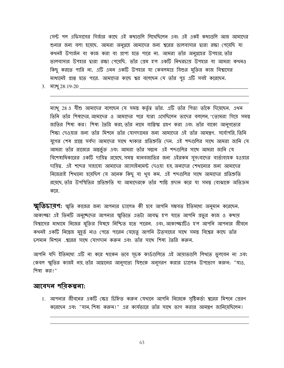সেন্ট পল এফিসাসের গির্জার কাছে এই কথাগুলি লিখেছিলেন এবং এই একই কথাগুলি আজ আমাদের শুনার জন্য বলা হয়েছে. আমরা অনুগ্রহে আমাদের জন্য শ্বরের ভালবাসার দ্বারা রক্ষা পেয়েছি যা কথনই উপার্জন বা কাজ করা বা প্রাপ্য হতে পারে না. আমরা তাঁর অনুগ্রহের উপহার,তাঁর ভালবাসার উপহার দ্বারা রক্ষা পেয়েছি. তাঁর প্রেম হ'ল একটি নিথরচায় উপহার যা আমরা কথনও কিছু করতে পারি না. এটি এমন একটি উপহার যা কেবলমাত্র যিশুর মুক্তির কাজ বিশ্বাসের মাধ্যমেই প্রাপ্ত হতে পারে. আমাদের কাছে শ্বর বলেছেন যে তাঁর পুত্র এটি সবই করেছেন.

ম্যাখু 28 এ যীশু আমাদের বলেছেন যে সমস্তু কর্তৃত্ব তাঁর. এটি তাঁর পিতা তাঁকে দিয়েছেন. এথন তিনি তাঁর শিষ্যদের আমাদের ও আমাদের পরে যারা এসেছিলেন তাদের বললেন ''তোমরা গিয়ে সমস্ত জাতির শিষ্য কর। শিষ্য তৈরি করা, তাঁর নামে বাপ্তিস্ম গ্রহণ করা এবং তাঁর বাক্যে আনুগত্যের শিক্ষা দেওয়ার জন্য তাঁর মিশনে তাঁর যোগদানের জন্য আমাদের এই তাঁর আমন্ত্রণ. সর্বোপরি তিনি যুগের শেষ প্রান্তে সর্বদা আমাদের সাথে থাকার প্রতিশ্রুতি দেন. এই শব্দগুলির সাথে আমরা জানি যে আমরা তাঁর রাজ্যের অন্তর্ভুক্ত এবং আমরা তাঁর সন্তান এই শব্দগুলির সাথে আমরা জানি যে বিশেষাধিকারের একটি দায়িত্ব রয়েছে সমস্ত মানবজাতির জন্য এইরকম সুসংবাদের বার্তাবাহক হওয়ার দায়িত্ব. এই শব্দের সাহায্যে আমাদের অ্যাসাইনমেন্ট দেওয়া হয় অন্যদের শেখানোর জন্য আমাদের নিজেরাই শিথানো হয়েছিল যে অনেক কিছু বা থুব কম. এই শব্দগুলির সাথে আমাদের প্রতিশ্রুতি রযেছে তাঁর উপস্থিতির প্রতিশ্রুতি যা আমাদেরকে তাঁর শান্তি প্রদান করে যা সমস্ত বোঝাকে অতিক্রম করে.

স্মৃতি**চাব়ণ:** স্মৃতি কাজের জন্য আপনার চ্যালেঞ্জ কী হবে আপনি সম্ভবত ইতিমধ্যে অনুমান করেছেন. আকাঙ্ক্ষা এই তিনটি অনুচ্ছেদের আপনার স্মৃতিতে এতটা আবদ্ধ হ'ল যাতে আপনি প্রতুর কাজ ও কথায় বিশ্বাসের মাধ্যমে নিজের মুক্তির বিষয়ে নিশ্চিত হতে পারেন. এবং আকাঙ্ক্ষাটিও হ'ল আপনি আপনার জীবনে কখনই একটি নিস্তেজ মুহূর্ত নাও পেতে পারেন যেহেতু আপনি উত্সাহের সাথে সমস্ত বিশ্বের কাছে তাঁর চলমান মিশনে .শ্বরের সাথে যোগদান করুন এবং তাঁর সাথে শিষ্য তৈরি করুন.

আপনি যদি ইতিমধ্যে এটি না করে থাকেন তবে সূচক কার্ডগুলিতে এই আয়াতগুলি লিথতে ভুলবেন না এবং কেবল স্মৃতির কাজই নয়, তাঁর আহ্বানের আনুগত্যে যিশুকে অনুসরণ করার চ্যালেঞ্চ উপভোগ করুন: "যাও, শিষ্য কর।"

#### আবেদন পরিকল্পনা:

1. আপনার জীবনের একটি ক্ষেত্র চিহ্নিত করুন যেথানে আপনি নিজেকে সৃষ্টিকর্তা শ্বরের মিশনে প্রেরণ করেছেন এবং "যান শিষ্য করুন।" এর কার্যভারে তাঁর সাথে ভাগ করার আমন্ত্রণ জানিয়েছিলেন।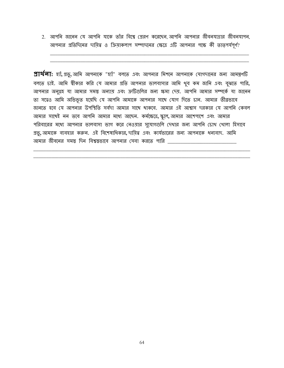2. আপনি জানেন যে আপনি যাকে তাঁর বিশ্বে প্রেরণ করেছেন, আপনি আপনার জীবনযাত্রার জীবনযাপন, আপনার প্রতিদিনের দায়িত্ব ও ক্রিয়াকলাপ সম্পাদনের ক্ষেত্রে এটি আপনার পক্ষে কী তাত্পর্যপূর্ণ?

**প্রার্থলা:** হ্যাঁ, প্রভু, আমি আপনাকে "হ্যাঁ" বলতে এবং আপনার মিশনে আপনাকে যোগদানের জন্য আমন্ত্রণটি বলতে চাই. আমি শ্বীকার করি যে আমার প্রতি আপনার ভালবাসার আমি থুব কম জানি এবং বুঝতে পারি, আপনার অনুগ্রহ যা আমার সমস্ত অন্যায় এবং ক্রটিগুলির জন্য ক্ষমা দেয়. আপনি আমার সম্পর্কে যা জানেন তা সত্বেও আমি অভিভূত হয়েছি যে আপনি আমাকে আপনার সাথে যোগ দিতে চান. আমার তীব্রভাবে জানতে হবে যে আপনার উপস্থিতি সর্বদা আমার সাথে থাকবে, আমার এই আশ্বাস দরকার যে আপনি কেবল আমার সাথেই নন তবে আপনি আমার মধ্যে আছেন. কর্মক্ষেত্রে, স্কুলে, আমার আশেপাশে এবং আমার পরিবারের মধ্যে আপনার ভালবাসা ভাগ করে নেওয়ার সুযোগগুলি দেখার জন্য আপনি চোখ থোলা হিসাবে প্রভু, আমাকে ব্যবহার করুন. এই বিশেষাধিকার, দায়িত্ব এবং কার্যভারের জন্য আপনাকে ধন্যবাদ. আমি আমার জীবনের সমস্ত দিন বিশ্বস্তভাবে আপনার সেবা করতে পারি \_\_\_\_\_\_\_\_\_\_\_\_\_\_\_\_\_\_\_\_\_\_\_\_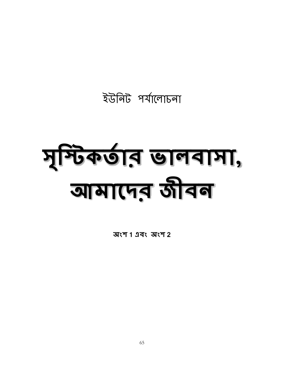ইউনিট পৰ্যালোচনা

# मुकिकर्णन लावामा, बामारमड़ जीवन

অংশ 1 এবং অংশ 2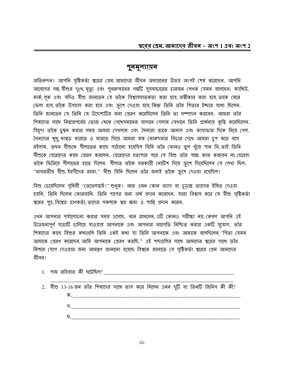#### পুনমূল্যায়ন

অভিনন্দন! আপনি সৃষ্টিকর্তা শ্বরের প্রেম, আমাদের জীবন অধ্যয়নের উভয় অংশই শেষ করেছেন. আপনি আবেগের গল্প, যীশুর দুঃখ, মৃত্যু এবং পুনরুত্থানের গল্পটি সুসমাচারের চারজন লেখক যেমন বলেছেন: ম্যাথিউ, মার্ক, লূক এবং যদিও যীশু জানতেন যে তাঁকে বিশ্বাসঘাতকতা করা হবে, অস্বীকার করা হবে, তাকে মেরে ফেলা হবে, তাঁকে উপহাস করা হবে এবং ক্রুশে দেওয়া হবে, কিন্তু তিনি তাঁর পিতার ইচ্ছার বাধ্য ছিলেন. তিনি জানতেন যে তিনি যে উদ্দেশ্যটির জন্য প্রেরণ করেছিলেন তিনি তা সম্পাদন করবেন. আমরা তাঁর শিষ্যদের সাথে নিস্তারপর্বের ভোজ থেকে গেথেসমানের বাগানে গেলাম যেথানে তিনি প্রার্থনায় কুস্তি করেছিলেন. যিয়ৃদা তাঁকে চুম্বন করার সময় আমরা দেখলাম এবং সৈন্যরা তাকে আনাস এবং কায়াফার দিকে নিয়ে গেল. সৈন্যদের থুথু, থাগ্গড মারতে ও মারতে গিয়ে আমরা মক মোকদমার বিচার দেখে আমরা চুপ করে বসে রইলাম. তথন যীশুকে পীলাতের কাছে পাঠানো হয়েছিল যিনি তাঁর কোনও ভুল খুঁজে পান নি, তাই তিনি যীশুকে হেরোদের কাছে প্রেরণ করলেন. হেরোদের হতাশার পরে যে যিশু তাঁর পক্ষে কাজ করবেন না, হেরোদ তাঁকে ফিরিয়ে গীলাতের হাতে দিলেন. গীলাত তাঁকে সরকারী নোটিশ দিয়ে ক্রুশে দিয়েছিলেন যে লেখা ছিল: "নাসরতীয় যীশু, ইহুদীদের রাজা." যীশু যিনি ছিলেন তাঁর জন্যই তাঁকে ক্রুশে দেওয়া হয়েছিল!

যিশু চেয়েছিলেন পৃথিবী "তেতেলস্তাই!" শুনুক! আর এমন কোন ত্যাগ বা চূড়ান্ত ত্যাগের ইঙ্গিত দেওয়া হয়নি. তিনি ছিলেন কোরবানি. তিনি পাপের জন্য অর্থ প্রদান করেছেন. যারা বিশ্বাস করে যে যীশু সৃষ্টিকর্তা শ্বরের পুত্র, বিশ্বের ত্রাণকর্তা, তাদের সকলকে শ্বর ক্ষমা ও শান্তি প্রদান করেন.

এখন আপনার পর্যালোচনা করার সময় এসেছে. মনে রাখবেন এটি কোনও পরীক্ষা নয় কেবল আপনি এই উত্তেজনাপূর্ণ যাত্রাটি চালিয়ে যাওয়ায় আপনাকে এবং আপনার অগ্রগতি নিশ্চিত করার একটি সুযোগ. তাঁর শিষ্যদের কাছে যিশুর কথাগুলি তিনি একই কথা যা তিনি আপনাকে এবং আমাকে বলেছিলেন "পিতা যেমন আমাকে প্রেরণ করেছেন, আমি আপনাকে প্রেরণ করছি." এই শব্দগুলির সাথে আমাদের শ্বরের সাথে তাঁর মিশনে যোগ দেওয়ার জন্য আমন্ত্রণ জানানো হয়েছে বিশ্বকে জানাতে যে সৃষ্টিকর্তা শ্বরের প্রেম আমাদের জীবন।

- 1. পাম রবিবার কী ঘটেছিল?
- 2. যীশু 13-16 জন তাঁর শিষ্যদের সাথে ভাগ করে নিলেন এমন দুটি বা তিনটি জিনিস কী কী? ক. <u>\_\_\_\_\_\_</u>\_\_\_  $\mathfrak{N}$ . ঘ.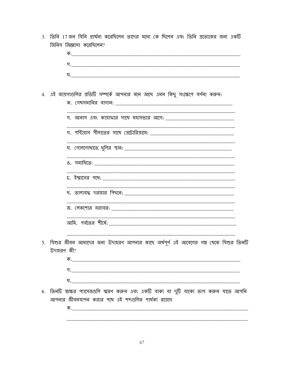3. তিনি 17 জন যিনি প্রার্থনা করেছিলেন তাদের মধ্যে কে ছিলেন এবং তিনি প্রত্যেকের জন্য একটি জিনিস জিজ্ঞাসা করেছিলেন?

|             |            | 4. এই জায়গাগুলির প্রতিটি সম্পর্কে আপনার মনে আছে এমন কিছু সংক্ষেপে বর্ণনা করুন:                                                                |  |
|-------------|------------|------------------------------------------------------------------------------------------------------------------------------------------------|--|
|             |            |                                                                                                                                                |  |
|             |            |                                                                                                                                                |  |
|             |            |                                                                                                                                                |  |
|             |            |                                                                                                                                                |  |
|             |            |                                                                                                                                                |  |
|             |            |                                                                                                                                                |  |
|             |            |                                                                                                                                                |  |
|             |            |                                                                                                                                                |  |
| $5^{\circ}$ | উদাহরণ কী? | যিশুর জীবন আমাদের জন্য উদাহরণ আপনার কাছে অর্থপূর্ণ এই আবেগের গল্প থেকে যিশুর তিনটি                                                             |  |
|             |            |                                                                                                                                                |  |
|             |            |                                                                                                                                                |  |
|             |            |                                                                                                                                                |  |
| 6.          |            | তিনটি স্বাক্ষর প্যাসেজগুলি স্মরণ করুন এবং একটি বাক্য বা দুটি বাক্যে ভাগ করুন যাতে আপনি<br>আপনার জীবনযাপন করার পথে এই শব্দগুলির পার্থক্য রয়েছে |  |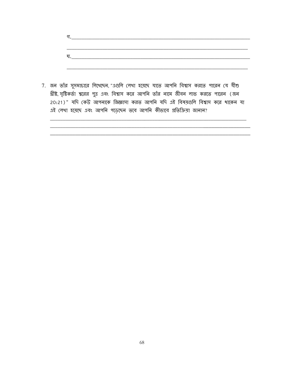| গ. |  |  |  |
|----|--|--|--|
|    |  |  |  |
|    |  |  |  |
|    |  |  |  |
| ঘ. |  |  |  |
|    |  |  |  |

7. জন তাঁর সুসমাচারে লিথেছেন, "এগুলি লেথা হয়েছে যাতে আপনি বিশ্বাস করতে পারেন যে যীশু খ্রীষ্ট, সৃষ্টিকর্তা শ্বরের পুত্র এবং বিশ্বাস করে আপনি তাঁর নামে জীবন লাভ করতে পারেন (জন 20:21)" যদি কেউ আপনাকে জিজ্ঞাসা করত আপনি যদি এই বিষয়গুলি বিশ্বাস করে থাকেন যা এই লেখা হয়েছে এবং আপনি পড়েছেন তবে আপনি কীভাবে প্ৰতিক্ৰিয়া জানান?